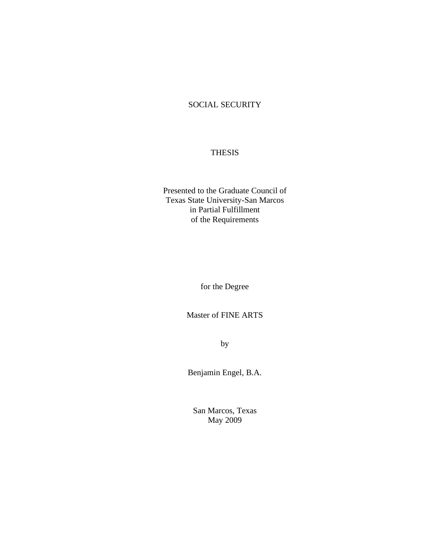## SOCIAL SECURITY

## THESIS

Presented to the Graduate Council of Texas State University-San Marcos in Partial Fulfillment of the Requirements

for the Degree

Master of FINE ARTS

by

Benjamin Engel, B.A.

San Marcos, Texas May 2009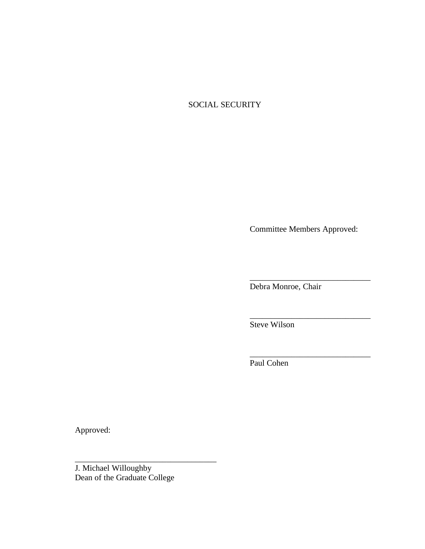# SOCIAL SECURITY

Committee Members Approved:

\_\_\_\_\_\_\_\_\_\_\_\_\_\_\_\_\_\_\_\_\_\_\_\_\_\_\_\_\_

\_\_\_\_\_\_\_\_\_\_\_\_\_\_\_\_\_\_\_\_\_\_\_\_\_\_\_\_\_

\_\_\_\_\_\_\_\_\_\_\_\_\_\_\_\_\_\_\_\_\_\_\_\_\_\_\_\_\_

Debra Monroe, Chair

Steve Wilson

Paul Cohen

Approved:

J. Michael Willoughby Dean of the Graduate College

\_\_\_\_\_\_\_\_\_\_\_\_\_\_\_\_\_\_\_\_\_\_\_\_\_\_\_\_\_\_\_\_\_\_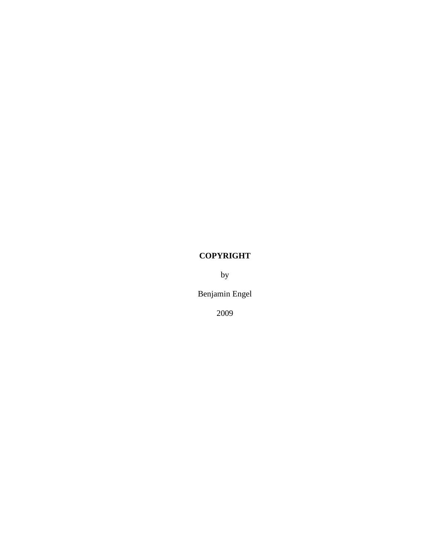# **COPYRIGHT**

by

Benjamin Engel

2009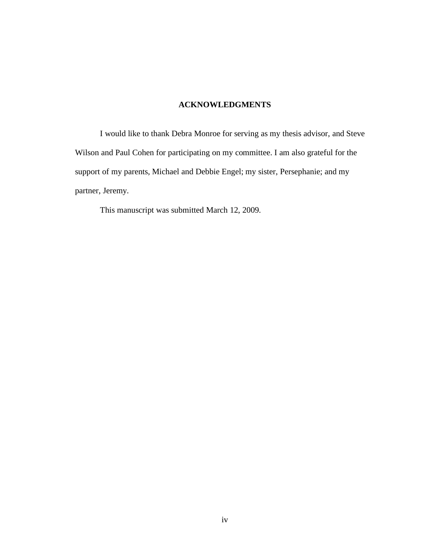## **ACKNOWLEDGMENTS**

I would like to thank Debra Monroe for serving as my thesis advisor, and Steve Wilson and Paul Cohen for participating on my committee. I am also grateful for the support of my parents, Michael and Debbie Engel; my sister, Persephanie; and my partner, Jeremy.

This manuscript was submitted March 12, 2009.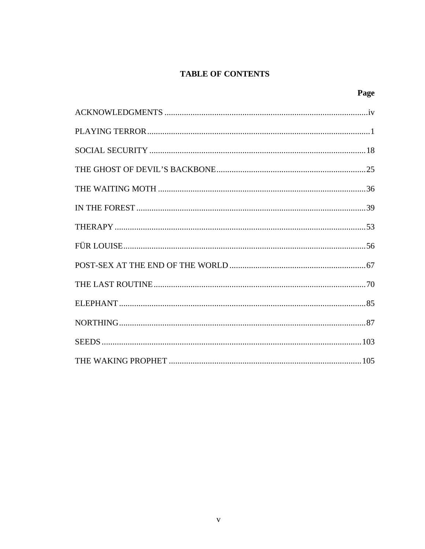# **TABLE OF CONTENTS**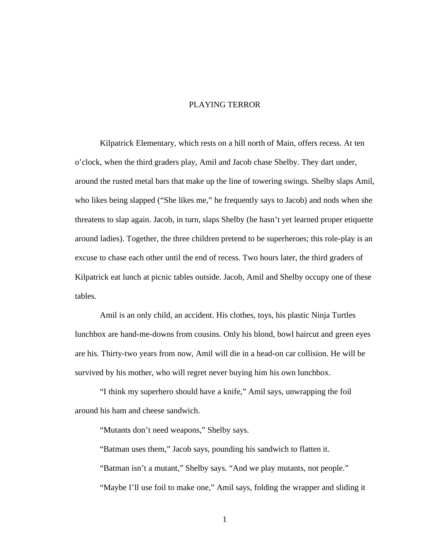### PLAYING TERROR

Kilpatrick Elementary, which rests on a hill north of Main, offers recess. At ten o'clock, when the third graders play, Amil and Jacob chase Shelby. They dart under, around the rusted metal bars that make up the line of towering swings. Shelby slaps Amil, who likes being slapped ("She likes me," he frequently says to Jacob) and nods when she threatens to slap again. Jacob, in turn, slaps Shelby (he hasn't yet learned proper etiquette around ladies). Together, the three children pretend to be superheroes; this role-play is an excuse to chase each other until the end of recess. Two hours later, the third graders of Kilpatrick eat lunch at picnic tables outside. Jacob, Amil and Shelby occupy one of these tables.

Amil is an only child, an accident. His clothes, toys, his plastic Ninja Turtles lunchbox are hand-me-downs from cousins. Only his blond, bowl haircut and green eyes are his. Thirty-two years from now, Amil will die in a head-on car collision. He will be survived by his mother, who will regret never buying him his own lunchbox.

"I think my superhero should have a knife," Amil says, unwrapping the foil around his ham and cheese sandwich.

"Mutants don't need weapons," Shelby says.

"Batman uses them," Jacob says, pounding his sandwich to flatten it. "Batman isn't a mutant," Shelby says. "And we play mutants, not people." "Maybe I'll use foil to make one," Amil says, folding the wrapper and sliding it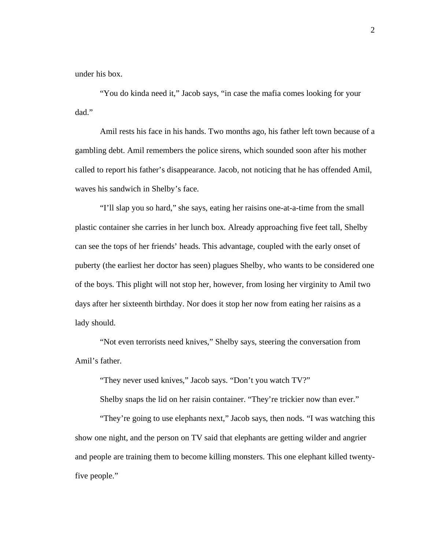under his box.

"You do kinda need it," Jacob says, "in case the mafia comes looking for your dad."

Amil rests his face in his hands. Two months ago, his father left town because of a gambling debt. Amil remembers the police sirens, which sounded soon after his mother called to report his father's disappearance. Jacob, not noticing that he has offended Amil, waves his sandwich in Shelby's face.

"I'll slap you so hard," she says, eating her raisins one-at-a-time from the small plastic container she carries in her lunch box. Already approaching five feet tall, Shelby can see the tops of her friends' heads. This advantage, coupled with the early onset of puberty (the earliest her doctor has seen) plagues Shelby, who wants to be considered one of the boys. This plight will not stop her, however, from losing her virginity to Amil two days after her sixteenth birthday. Nor does it stop her now from eating her raisins as a lady should.

"Not even terrorists need knives," Shelby says, steering the conversation from Amil's father.

"They never used knives," Jacob says. "Don't you watch TV?"

Shelby snaps the lid on her raisin container. "They're trickier now than ever."

"They're going to use elephants next," Jacob says, then nods. "I was watching this show one night, and the person on TV said that elephants are getting wilder and angrier and people are training them to become killing monsters. This one elephant killed twentyfive people."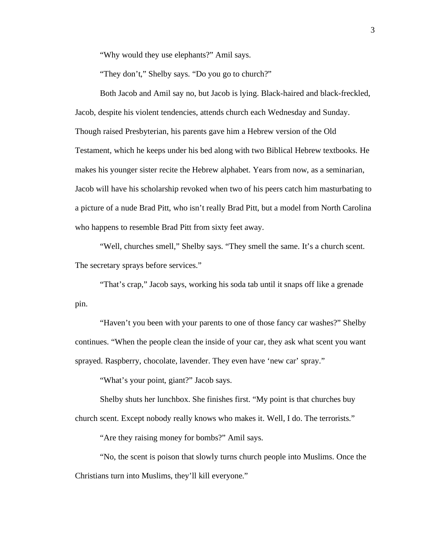"Why would they use elephants?" Amil says.

"They don't," Shelby says. "Do you go to church?"

Both Jacob and Amil say no, but Jacob is lying. Black-haired and black-freckled, Jacob, despite his violent tendencies, attends church each Wednesday and Sunday. Though raised Presbyterian, his parents gave him a Hebrew version of the Old Testament, which he keeps under his bed along with two Biblical Hebrew textbooks. He makes his younger sister recite the Hebrew alphabet. Years from now, as a seminarian, Jacob will have his scholarship revoked when two of his peers catch him masturbating to a picture of a nude Brad Pitt, who isn't really Brad Pitt, but a model from North Carolina who happens to resemble Brad Pitt from sixty feet away.

"Well, churches smell," Shelby says. "They smell the same. It's a church scent. The secretary sprays before services."

"That's crap," Jacob says, working his soda tab until it snaps off like a grenade pin.

"Haven't you been with your parents to one of those fancy car washes?" Shelby continues. "When the people clean the inside of your car, they ask what scent you want sprayed. Raspberry, chocolate, lavender. They even have 'new car' spray."

"What's your point, giant?" Jacob says.

Shelby shuts her lunchbox. She finishes first. "My point is that churches buy

church scent. Except nobody really knows who makes it. Well, I do. The terrorists."

"Are they raising money for bombs?" Amil says.

"No, the scent is poison that slowly turns church people into Muslims. Once the Christians turn into Muslims, they'll kill everyone."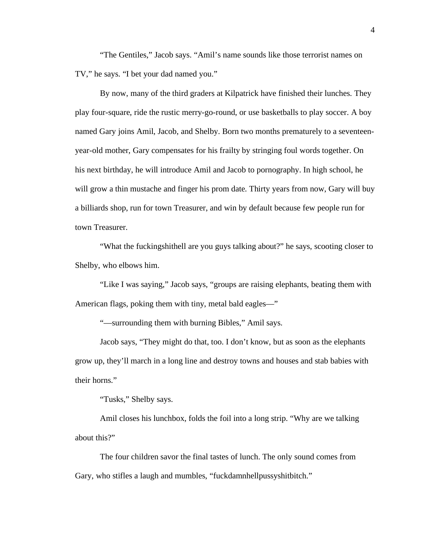"The Gentiles," Jacob says. "Amil's name sounds like those terrorist names on TV," he says. "I bet your dad named you."

By now, many of the third graders at Kilpatrick have finished their lunches. They play four-square, ride the rustic merry-go-round, or use basketballs to play soccer. A boy named Gary joins Amil, Jacob, and Shelby. Born two months prematurely to a seventeenyear-old mother, Gary compensates for his frailty by stringing foul words together. On his next birthday, he will introduce Amil and Jacob to pornography. In high school, he will grow a thin mustache and finger his prom date. Thirty years from now, Gary will buy a billiards shop, run for town Treasurer, and win by default because few people run for town Treasurer.

"What the fuckingshithell are you guys talking about?" he says, scooting closer to Shelby, who elbows him.

"Like I was saying," Jacob says, "groups are raising elephants, beating them with American flags, poking them with tiny, metal bald eagles—"

"—surrounding them with burning Bibles," Amil says.

Jacob says, "They might do that, too. I don't know, but as soon as the elephants grow up, they'll march in a long line and destroy towns and houses and stab babies with their horns."

"Tusks," Shelby says.

Amil closes his lunchbox, folds the foil into a long strip. "Why are we talking about this?"

The four children savor the final tastes of lunch. The only sound comes from Gary, who stifles a laugh and mumbles, "fuckdamnhellpussyshitbitch."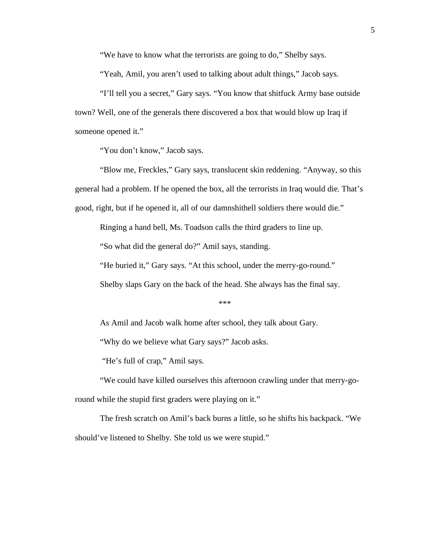"We have to know what the terrorists are going to do," Shelby says.

"Yeah, Amil, you aren't used to talking about adult things," Jacob says.

"I'll tell you a secret," Gary says. "You know that shitfuck Army base outside town? Well, one of the generals there discovered a box that would blow up Iraq if someone opened it."

"You don't know," Jacob says.

"Blow me, Freckles," Gary says, translucent skin reddening. "Anyway, so this general had a problem. If he opened the box, all the terrorists in Iraq would die. That's good, right, but if he opened it, all of our damnshithell soldiers there would die."

Ringing a hand bell, Ms. Toadson calls the third graders to line up.

"So what did the general do?" Amil says, standing.

"He buried it," Gary says. "At this school, under the merry-go-round."

Shelby slaps Gary on the back of the head. She always has the final say.

\*\*\*

As Amil and Jacob walk home after school, they talk about Gary.

"Why do we believe what Gary says?" Jacob asks.

"He's full of crap," Amil says.

"We could have killed ourselves this afternoon crawling under that merry-goround while the stupid first graders were playing on it."

The fresh scratch on Amil's back burns a little, so he shifts his backpack. "We should've listened to Shelby. She told us we were stupid."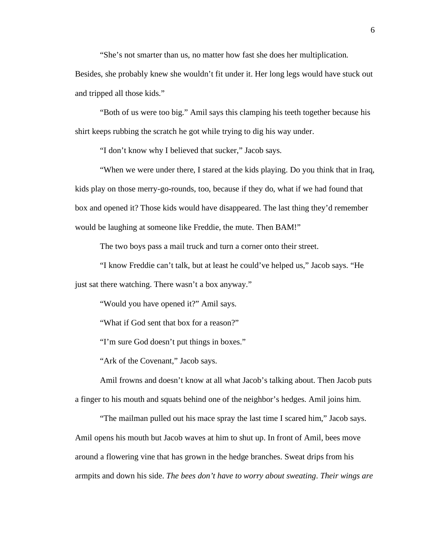"She's not smarter than us, no matter how fast she does her multiplication.

Besides, she probably knew she wouldn't fit under it. Her long legs would have stuck out and tripped all those kids."

"Both of us were too big." Amil says this clamping his teeth together because his shirt keeps rubbing the scratch he got while trying to dig his way under.

"I don't know why I believed that sucker," Jacob says.

"When we were under there, I stared at the kids playing. Do you think that in Iraq, kids play on those merry-go-rounds, too, because if they do, what if we had found that box and opened it? Those kids would have disappeared. The last thing they'd remember would be laughing at someone like Freddie, the mute. Then BAM!"

The two boys pass a mail truck and turn a corner onto their street.

"I know Freddie can't talk, but at least he could've helped us," Jacob says. "He just sat there watching. There wasn't a box anyway."

"Would you have opened it?" Amil says.

"What if God sent that box for a reason?"

"I'm sure God doesn't put things in boxes."

"Ark of the Covenant," Jacob says.

Amil frowns and doesn't know at all what Jacob's talking about. Then Jacob puts a finger to his mouth and squats behind one of the neighbor's hedges. Amil joins him.

"The mailman pulled out his mace spray the last time I scared him," Jacob says. Amil opens his mouth but Jacob waves at him to shut up. In front of Amil, bees move around a flowering vine that has grown in the hedge branches. Sweat drips from his armpits and down his side. *The bees don't have to worry about sweating*. *Their wings are*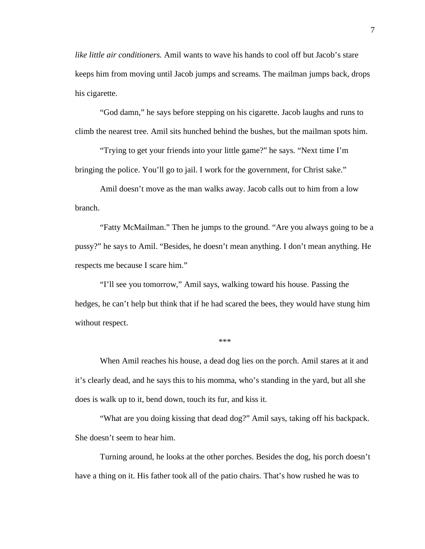*like little air conditioners.* Amil wants to wave his hands to cool off but Jacob's stare keeps him from moving until Jacob jumps and screams. The mailman jumps back, drops his cigarette.

"God damn," he says before stepping on his cigarette. Jacob laughs and runs to climb the nearest tree. Amil sits hunched behind the bushes, but the mailman spots him.

"Trying to get your friends into your little game?" he says. "Next time I'm bringing the police. You'll go to jail. I work for the government, for Christ sake."

Amil doesn't move as the man walks away. Jacob calls out to him from a low branch.

"Fatty McMailman." Then he jumps to the ground. "Are you always going to be a pussy?" he says to Amil. "Besides, he doesn't mean anything. I don't mean anything. He respects me because I scare him."

"I'll see you tomorrow," Amil says, walking toward his house. Passing the hedges, he can't help but think that if he had scared the bees, they would have stung him without respect.

\*\*\*

When Amil reaches his house, a dead dog lies on the porch. Amil stares at it and it's clearly dead, and he says this to his momma, who's standing in the yard, but all she does is walk up to it, bend down, touch its fur, and kiss it.

"What are you doing kissing that dead dog?" Amil says, taking off his backpack. She doesn't seem to hear him.

Turning around, he looks at the other porches. Besides the dog, his porch doesn't have a thing on it. His father took all of the patio chairs. That's how rushed he was to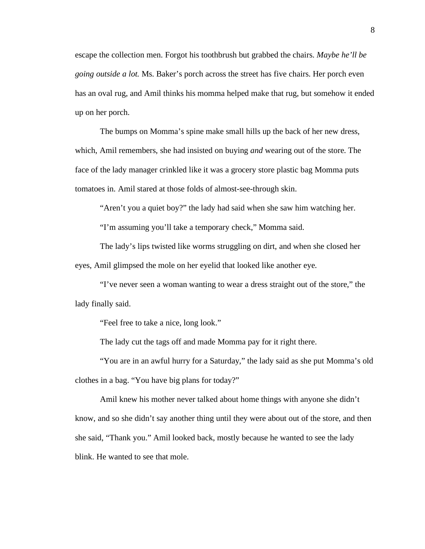escape the collection men. Forgot his toothbrush but grabbed the chairs. *Maybe he'll be going outside a lot.* Ms. Baker's porch across the street has five chairs. Her porch even has an oval rug, and Amil thinks his momma helped make that rug, but somehow it ended up on her porch.

The bumps on Momma's spine make small hills up the back of her new dress, which, Amil remembers, she had insisted on buying *and* wearing out of the store. The face of the lady manager crinkled like it was a grocery store plastic bag Momma puts tomatoes in. Amil stared at those folds of almost-see-through skin.

"Aren't you a quiet boy?" the lady had said when she saw him watching her.

"I'm assuming you'll take a temporary check," Momma said.

The lady's lips twisted like worms struggling on dirt, and when she closed her eyes, Amil glimpsed the mole on her eyelid that looked like another eye.

"I've never seen a woman wanting to wear a dress straight out of the store," the lady finally said.

"Feel free to take a nice, long look."

The lady cut the tags off and made Momma pay for it right there.

"You are in an awful hurry for a Saturday," the lady said as she put Momma's old clothes in a bag. "You have big plans for today?"

Amil knew his mother never talked about home things with anyone she didn't know, and so she didn't say another thing until they were about out of the store, and then she said, "Thank you." Amil looked back, mostly because he wanted to see the lady blink. He wanted to see that mole.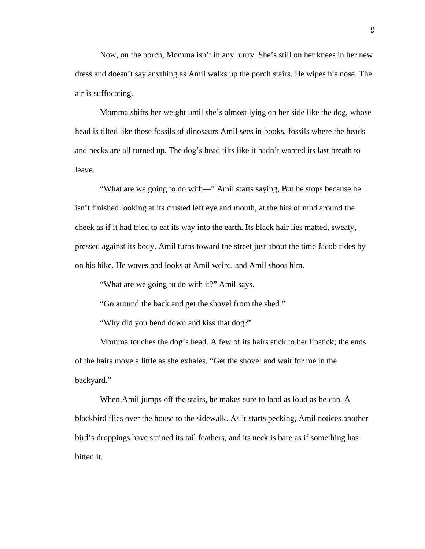Now, on the porch, Momma isn't in any hurry. She's still on her knees in her new dress and doesn't say anything as Amil walks up the porch stairs. He wipes his nose. The air is suffocating.

Momma shifts her weight until she's almost lying on her side like the dog, whose head is tilted like those fossils of dinosaurs Amil sees in books, fossils where the heads and necks are all turned up. The dog's head tilts like it hadn't wanted its last breath to leave.

"What are we going to do with—" Amil starts saying, But he stops because he isn't finished looking at its crusted left eye and mouth, at the bits of mud around the cheek as if it had tried to eat its way into the earth. Its black hair lies matted, sweaty, pressed against its body. Amil turns toward the street just about the time Jacob rides by on his bike. He waves and looks at Amil weird, and Amil shoos him.

"What are we going to do with it?" Amil says.

"Go around the back and get the shovel from the shed."

"Why did you bend down and kiss that dog?"

Momma touches the dog's head. A few of its hairs stick to her lipstick; the ends of the hairs move a little as she exhales. "Get the shovel and wait for me in the backyard."

When Amil jumps off the stairs, he makes sure to land as loud as he can. A blackbird flies over the house to the sidewalk. As it starts pecking, Amil notices another bird's droppings have stained its tail feathers, and its neck is bare as if something has bitten it.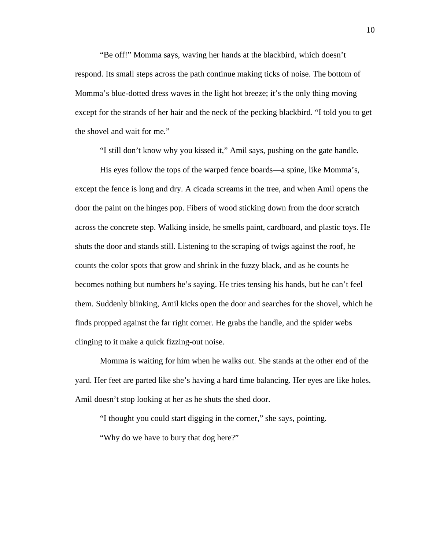"Be off!" Momma says, waving her hands at the blackbird, which doesn't respond. Its small steps across the path continue making ticks of noise. The bottom of Momma's blue-dotted dress waves in the light hot breeze; it's the only thing moving except for the strands of her hair and the neck of the pecking blackbird. "I told you to get the shovel and wait for me."

"I still don't know why you kissed it," Amil says, pushing on the gate handle.

His eyes follow the tops of the warped fence boards—a spine, like Momma's, except the fence is long and dry. A cicada screams in the tree, and when Amil opens the door the paint on the hinges pop. Fibers of wood sticking down from the door scratch across the concrete step. Walking inside, he smells paint, cardboard, and plastic toys. He shuts the door and stands still. Listening to the scraping of twigs against the roof, he counts the color spots that grow and shrink in the fuzzy black, and as he counts he becomes nothing but numbers he's saying. He tries tensing his hands, but he can't feel them. Suddenly blinking, Amil kicks open the door and searches for the shovel, which he finds propped against the far right corner. He grabs the handle, and the spider webs clinging to it make a quick fizzing-out noise.

Momma is waiting for him when he walks out. She stands at the other end of the yard. Her feet are parted like she's having a hard time balancing. Her eyes are like holes. Amil doesn't stop looking at her as he shuts the shed door.

"I thought you could start digging in the corner," she says, pointing.

"Why do we have to bury that dog here?"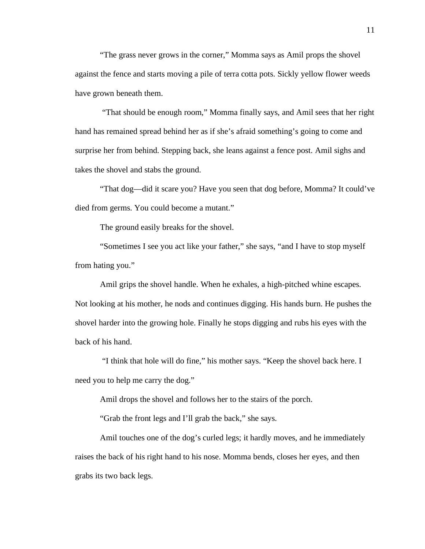"The grass never grows in the corner," Momma says as Amil props the shovel against the fence and starts moving a pile of terra cotta pots. Sickly yellow flower weeds have grown beneath them.

 "That should be enough room," Momma finally says, and Amil sees that her right hand has remained spread behind her as if she's afraid something's going to come and surprise her from behind. Stepping back, she leans against a fence post. Amil sighs and takes the shovel and stabs the ground.

"That dog—did it scare you? Have you seen that dog before, Momma? It could've died from germs. You could become a mutant."

The ground easily breaks for the shovel.

"Sometimes I see you act like your father," she says, "and I have to stop myself from hating you."

Amil grips the shovel handle. When he exhales, a high-pitched whine escapes. Not looking at his mother, he nods and continues digging. His hands burn. He pushes the shovel harder into the growing hole. Finally he stops digging and rubs his eyes with the back of his hand.

 "I think that hole will do fine," his mother says. "Keep the shovel back here. I need you to help me carry the dog."

Amil drops the shovel and follows her to the stairs of the porch.

"Grab the front legs and I'll grab the back," she says.

Amil touches one of the dog's curled legs; it hardly moves, and he immediately raises the back of his right hand to his nose. Momma bends, closes her eyes, and then grabs its two back legs.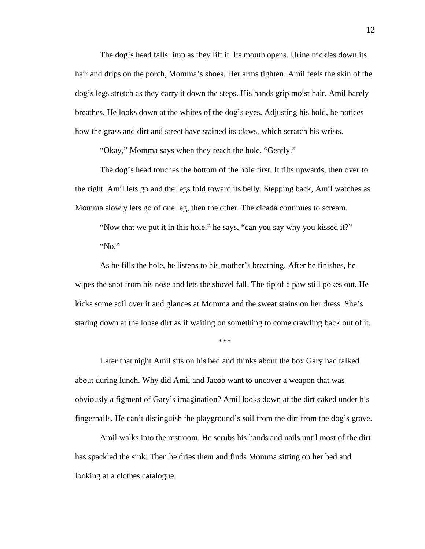The dog's head falls limp as they lift it. Its mouth opens. Urine trickles down its hair and drips on the porch, Momma's shoes. Her arms tighten. Amil feels the skin of the dog's legs stretch as they carry it down the steps. His hands grip moist hair. Amil barely breathes. He looks down at the whites of the dog's eyes. Adjusting his hold, he notices how the grass and dirt and street have stained its claws, which scratch his wrists.

"Okay," Momma says when they reach the hole. "Gently."

The dog's head touches the bottom of the hole first. It tilts upwards, then over to the right. Amil lets go and the legs fold toward its belly. Stepping back, Amil watches as Momma slowly lets go of one leg, then the other. The cicada continues to scream.

"Now that we put it in this hole," he says, "can you say why you kissed it?" "No."

As he fills the hole, he listens to his mother's breathing. After he finishes, he wipes the snot from his nose and lets the shovel fall. The tip of a paw still pokes out. He kicks some soil over it and glances at Momma and the sweat stains on her dress. She's staring down at the loose dirt as if waiting on something to come crawling back out of it.

\*\*\*

Later that night Amil sits on his bed and thinks about the box Gary had talked about during lunch. Why did Amil and Jacob want to uncover a weapon that was obviously a figment of Gary's imagination? Amil looks down at the dirt caked under his fingernails. He can't distinguish the playground's soil from the dirt from the dog's grave.

Amil walks into the restroom. He scrubs his hands and nails until most of the dirt has spackled the sink. Then he dries them and finds Momma sitting on her bed and looking at a clothes catalogue.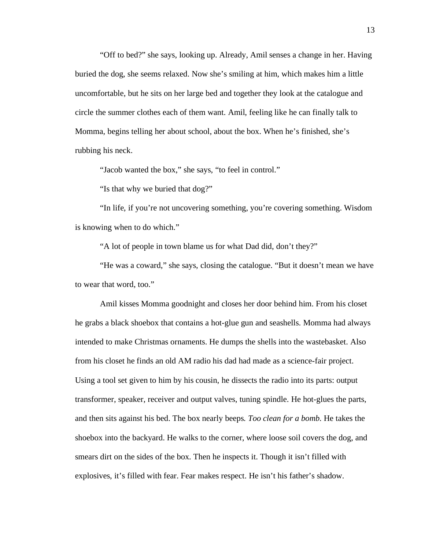"Off to bed?" she says, looking up. Already, Amil senses a change in her. Having buried the dog, she seems relaxed. Now she's smiling at him, which makes him a little uncomfortable, but he sits on her large bed and together they look at the catalogue and circle the summer clothes each of them want. Amil, feeling like he can finally talk to Momma, begins telling her about school, about the box. When he's finished, she's rubbing his neck.

"Jacob wanted the box," she says, "to feel in control."

"Is that why we buried that dog?"

"In life, if you're not uncovering something, you're covering something. Wisdom is knowing when to do which."

"A lot of people in town blame us for what Dad did, don't they?"

"He was a coward," she says, closing the catalogue. "But it doesn't mean we have to wear that word, too."

Amil kisses Momma goodnight and closes her door behind him. From his closet he grabs a black shoebox that contains a hot-glue gun and seashells. Momma had always intended to make Christmas ornaments. He dumps the shells into the wastebasket. Also from his closet he finds an old AM radio his dad had made as a science-fair project. Using a tool set given to him by his cousin, he dissects the radio into its parts: output transformer, speaker, receiver and output valves, tuning spindle. He hot-glues the parts, and then sits against his bed. The box nearly beeps. *Too clean for a bomb.* He takes the shoebox into the backyard. He walks to the corner, where loose soil covers the dog, and smears dirt on the sides of the box. Then he inspects it. Though it isn't filled with explosives, it's filled with fear. Fear makes respect. He isn't his father's shadow.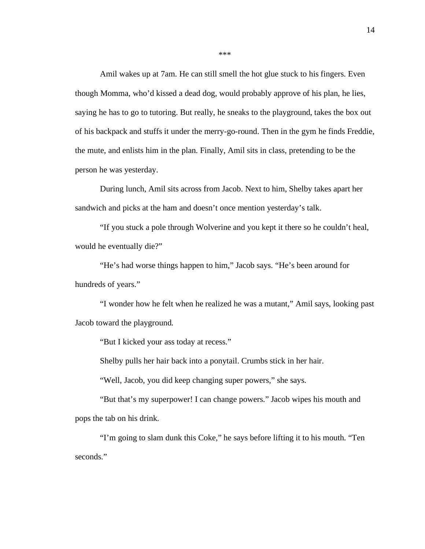Amil wakes up at 7am. He can still smell the hot glue stuck to his fingers. Even though Momma, who'd kissed a dead dog, would probably approve of his plan, he lies, saying he has to go to tutoring. But really, he sneaks to the playground, takes the box out of his backpack and stuffs it under the merry-go-round. Then in the gym he finds Freddie, the mute, and enlists him in the plan. Finally, Amil sits in class, pretending to be the person he was yesterday.

During lunch, Amil sits across from Jacob. Next to him, Shelby takes apart her sandwich and picks at the ham and doesn't once mention yesterday's talk.

"If you stuck a pole through Wolverine and you kept it there so he couldn't heal, would he eventually die?"

"He's had worse things happen to him," Jacob says. "He's been around for hundreds of years."

"I wonder how he felt when he realized he was a mutant," Amil says, looking past Jacob toward the playground.

"But I kicked your ass today at recess."

Shelby pulls her hair back into a ponytail. Crumbs stick in her hair.

"Well, Jacob, you did keep changing super powers," she says.

"But that's my superpower! I can change powers." Jacob wipes his mouth and pops the tab on his drink.

"I'm going to slam dunk this Coke," he says before lifting it to his mouth. "Ten seconds."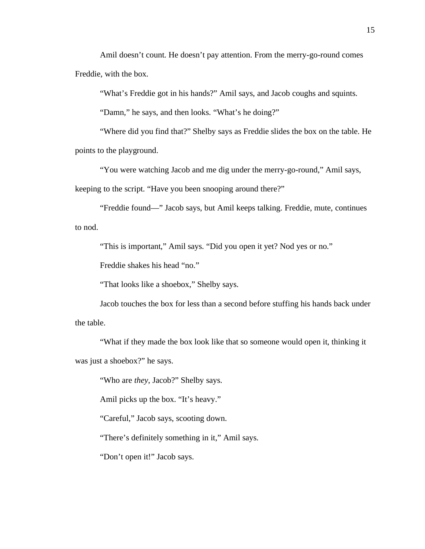Amil doesn't count. He doesn't pay attention. From the merry-go-round comes Freddie, with the box.

"What's Freddie got in his hands?" Amil says, and Jacob coughs and squints.

"Damn," he says, and then looks. "What's he doing?"

"Where did you find that?" Shelby says as Freddie slides the box on the table. He points to the playground.

"You were watching Jacob and me dig under the merry-go-round," Amil says,

keeping to the script. "Have you been snooping around there?"

"Freddie found—" Jacob says, but Amil keeps talking. Freddie, mute, continues to nod.

"This is important," Amil says. "Did you open it yet? Nod yes or no."

Freddie shakes his head "no."

"That looks like a shoebox," Shelby says.

Jacob touches the box for less than a second before stuffing his hands back under the table.

"What if they made the box look like that so someone would open it, thinking it was just a shoebox?" he says.

"Who are *they*, Jacob?" Shelby says.

Amil picks up the box. "It's heavy."

"Careful," Jacob says, scooting down.

"There's definitely something in it," Amil says.

"Don't open it!" Jacob says.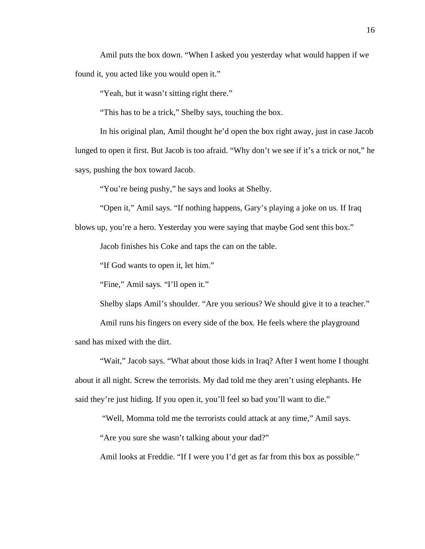Amil puts the box down. "When I asked you yesterday what would happen if we found it, you acted like you would open it."

"Yeah, but it wasn't sitting right there."

"This has to be a trick," Shelby says, touching the box.

In his original plan, Amil thought he'd open the box right away, just in case Jacob lunged to open it first. But Jacob is too afraid. "Why don't we see if it's a trick or not," he says, pushing the box toward Jacob.

"You're being pushy," he says and looks at Shelby.

"Open it," Amil says. "If nothing happens, Gary's playing a joke on us. If Iraq

blows up, you're a hero. Yesterday you were saying that maybe God sent this box."

Jacob finishes his Coke and taps the can on the table.

"If God wants to open it, let him."

"Fine," Amil says. "I'll open it."

Shelby slaps Amil's shoulder. "Are you serious? We should give it to a teacher."

Amil runs his fingers on every side of the box. He feels where the playground sand has mixed with the dirt.

"Wait," Jacob says. "What about those kids in Iraq? After I went home I thought about it all night. Screw the terrorists. My dad told me they aren't using elephants. He said they're just hiding. If you open it, you'll feel so bad you'll want to die."

"Well, Momma told me the terrorists could attack at any time," Amil says.

"Are you sure she wasn't talking about your dad?"

Amil looks at Freddie. "If I were you I'd get as far from this box as possible."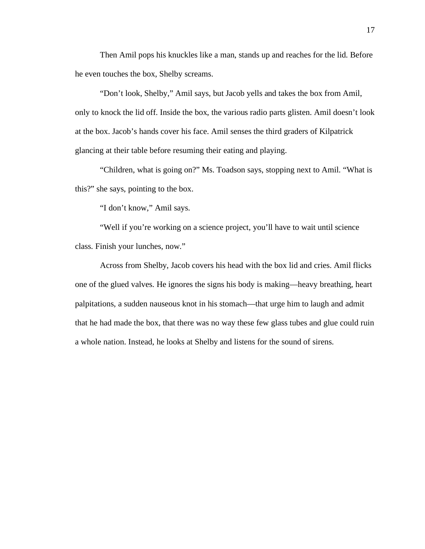Then Amil pops his knuckles like a man, stands up and reaches for the lid. Before he even touches the box, Shelby screams.

"Don't look, Shelby," Amil says, but Jacob yells and takes the box from Amil, only to knock the lid off. Inside the box, the various radio parts glisten. Amil doesn't look at the box. Jacob's hands cover his face. Amil senses the third graders of Kilpatrick glancing at their table before resuming their eating and playing.

"Children, what is going on?" Ms. Toadson says, stopping next to Amil. "What is this?" she says, pointing to the box.

"I don't know," Amil says.

"Well if you're working on a science project, you'll have to wait until science class. Finish your lunches, now."

Across from Shelby, Jacob covers his head with the box lid and cries. Amil flicks one of the glued valves. He ignores the signs his body is making—heavy breathing, heart palpitations, a sudden nauseous knot in his stomach—that urge him to laugh and admit that he had made the box, that there was no way these few glass tubes and glue could ruin a whole nation. Instead, he looks at Shelby and listens for the sound of sirens.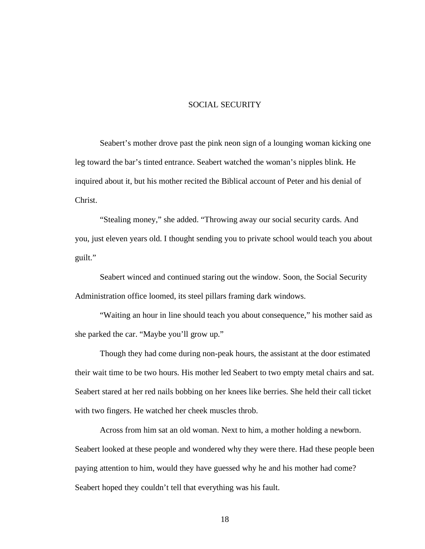#### SOCIAL SECURITY

Seabert's mother drove past the pink neon sign of a lounging woman kicking one leg toward the bar's tinted entrance. Seabert watched the woman's nipples blink. He inquired about it, but his mother recited the Biblical account of Peter and his denial of Christ.

"Stealing money," she added. "Throwing away our social security cards. And you, just eleven years old. I thought sending you to private school would teach you about guilt."

Seabert winced and continued staring out the window. Soon, the Social Security Administration office loomed, its steel pillars framing dark windows.

"Waiting an hour in line should teach you about consequence," his mother said as she parked the car. "Maybe you'll grow up."

Though they had come during non-peak hours, the assistant at the door estimated their wait time to be two hours. His mother led Seabert to two empty metal chairs and sat. Seabert stared at her red nails bobbing on her knees like berries. She held their call ticket with two fingers. He watched her cheek muscles throb.

Across from him sat an old woman. Next to him, a mother holding a newborn. Seabert looked at these people and wondered why they were there. Had these people been paying attention to him, would they have guessed why he and his mother had come? Seabert hoped they couldn't tell that everything was his fault.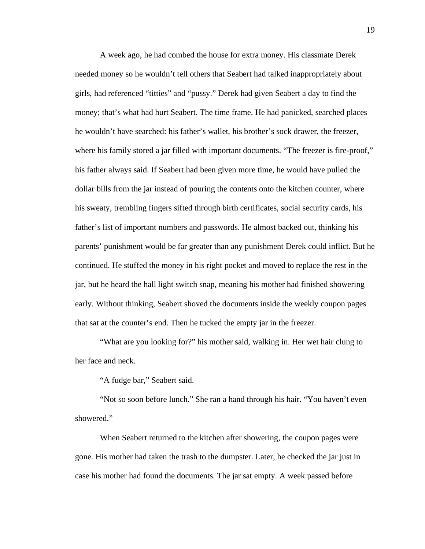A week ago, he had combed the house for extra money. His classmate Derek needed money so he wouldn't tell others that Seabert had talked inappropriately about girls, had referenced "titties" and "pussy." Derek had given Seabert a day to find the money; that's what had hurt Seabert. The time frame. He had panicked, searched places he wouldn't have searched: his father's wallet, his brother's sock drawer, the freezer, where his family stored a jar filled with important documents. "The freezer is fire-proof," his father always said. If Seabert had been given more time, he would have pulled the dollar bills from the jar instead of pouring the contents onto the kitchen counter, where his sweaty, trembling fingers sifted through birth certificates, social security cards, his father's list of important numbers and passwords. He almost backed out, thinking his parents' punishment would be far greater than any punishment Derek could inflict. But he continued. He stuffed the money in his right pocket and moved to replace the rest in the jar, but he heard the hall light switch snap, meaning his mother had finished showering early. Without thinking, Seabert shoved the documents inside the weekly coupon pages that sat at the counter's end. Then he tucked the empty jar in the freezer.

"What are you looking for?" his mother said, walking in. Her wet hair clung to her face and neck.

"A fudge bar," Seabert said.

"Not so soon before lunch." She ran a hand through his hair. "You haven't even showered."

When Seabert returned to the kitchen after showering, the coupon pages were gone. His mother had taken the trash to the dumpster. Later, he checked the jar just in case his mother had found the documents. The jar sat empty. A week passed before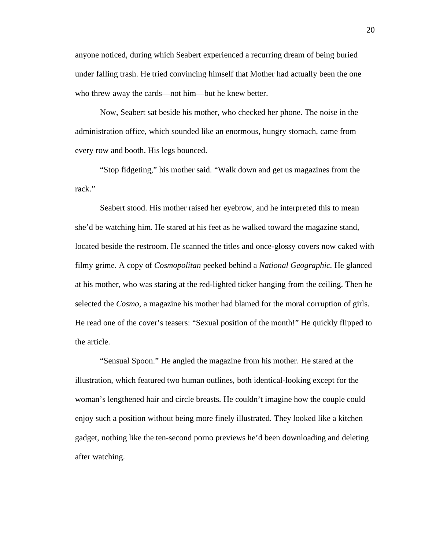anyone noticed, during which Seabert experienced a recurring dream of being buried under falling trash. He tried convincing himself that Mother had actually been the one who threw away the cards—not him—but he knew better.

Now, Seabert sat beside his mother, who checked her phone. The noise in the administration office, which sounded like an enormous, hungry stomach, came from every row and booth. His legs bounced.

"Stop fidgeting," his mother said. "Walk down and get us magazines from the rack."

Seabert stood. His mother raised her eyebrow, and he interpreted this to mean she'd be watching him. He stared at his feet as he walked toward the magazine stand, located beside the restroom. He scanned the titles and once-glossy covers now caked with filmy grime. A copy of *Cosmopolitan* peeked behind a *National Geographic.* He glanced at his mother, who was staring at the red-lighted ticker hanging from the ceiling. Then he selected the *Cosmo*, a magazine his mother had blamed for the moral corruption of girls. He read one of the cover's teasers: "Sexual position of the month!" He quickly flipped to the article.

"Sensual Spoon." He angled the magazine from his mother. He stared at the illustration, which featured two human outlines, both identical-looking except for the woman's lengthened hair and circle breasts. He couldn't imagine how the couple could enjoy such a position without being more finely illustrated. They looked like a kitchen gadget, nothing like the ten-second porno previews he'd been downloading and deleting after watching.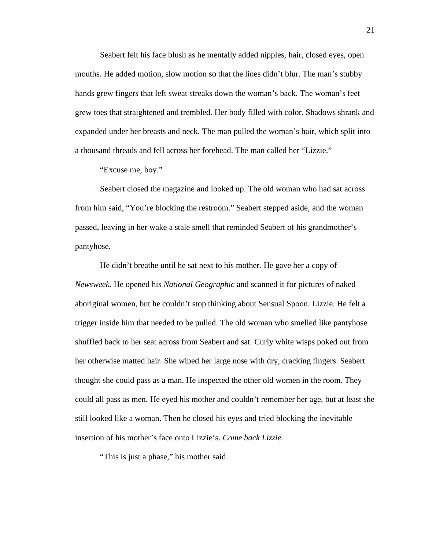Seabert felt his face blush as he mentally added nipples, hair, closed eyes, open mouths. He added motion, slow motion so that the lines didn't blur. The man's stubby hands grew fingers that left sweat streaks down the woman's back. The woman's feet grew toes that straightened and trembled. Her body filled with color. Shadows shrank and expanded under her breasts and neck. The man pulled the woman's hair, which split into a thousand threads and fell across her forehead. The man called her "Lizzie."

"Excuse me, boy."

Seabert closed the magazine and looked up. The old woman who had sat across from him said, "You're blocking the restroom." Seabert stepped aside, and the woman passed, leaving in her wake a stale smell that reminded Seabert of his grandmother's pantyhose.

He didn't breathe until he sat next to his mother. He gave her a copy of *Newsweek.* He opened his *National Geographic* and scanned it for pictures of naked aboriginal women, but he couldn't stop thinking about Sensual Spoon. Lizzie. He felt a trigger inside him that needed to be pulled. The old woman who smelled like pantyhose shuffled back to her seat across from Seabert and sat. Curly white wisps poked out from her otherwise matted hair. She wiped her large nose with dry, cracking fingers. Seabert thought she could pass as a man. He inspected the other old women in the room. They could all pass as men. He eyed his mother and couldn't remember her age, but at least she still looked like a woman. Then he closed his eyes and tried blocking the inevitable insertion of his mother's face onto Lizzie's. *Come back Lizzie.* 

"This is just a phase," his mother said.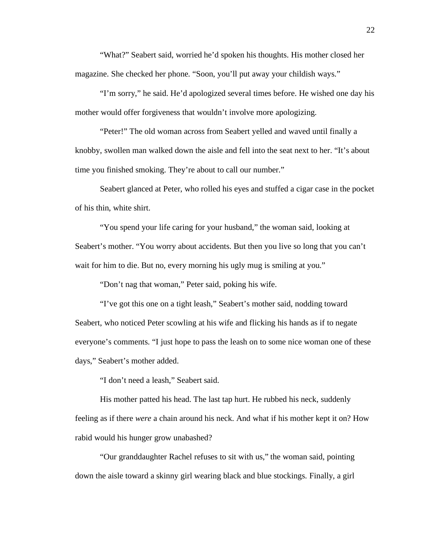"What?" Seabert said, worried he'd spoken his thoughts. His mother closed her magazine. She checked her phone. "Soon, you'll put away your childish ways."

"I'm sorry," he said. He'd apologized several times before. He wished one day his mother would offer forgiveness that wouldn't involve more apologizing.

"Peter!" The old woman across from Seabert yelled and waved until finally a knobby, swollen man walked down the aisle and fell into the seat next to her. "It's about time you finished smoking. They're about to call our number."

Seabert glanced at Peter, who rolled his eyes and stuffed a cigar case in the pocket of his thin, white shirt.

"You spend your life caring for your husband," the woman said, looking at Seabert's mother. "You worry about accidents. But then you live so long that you can't wait for him to die. But no, every morning his ugly mug is smiling at you."

"Don't nag that woman," Peter said, poking his wife.

"I've got this one on a tight leash," Seabert's mother said, nodding toward Seabert, who noticed Peter scowling at his wife and flicking his hands as if to negate everyone's comments. "I just hope to pass the leash on to some nice woman one of these days," Seabert's mother added.

"I don't need a leash," Seabert said.

His mother patted his head. The last tap hurt. He rubbed his neck, suddenly feeling as if there *were* a chain around his neck. And what if his mother kept it on? How rabid would his hunger grow unabashed?

"Our granddaughter Rachel refuses to sit with us," the woman said, pointing down the aisle toward a skinny girl wearing black and blue stockings. Finally, a girl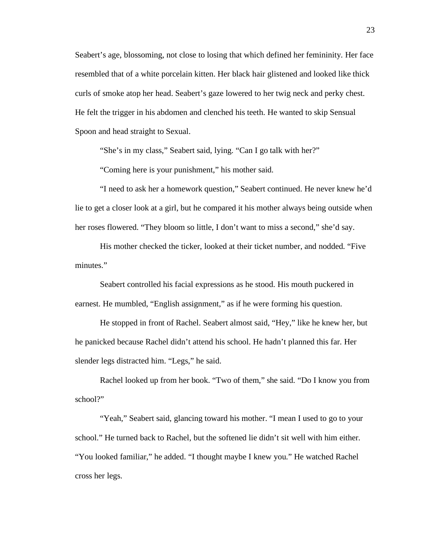Seabert's age, blossoming, not close to losing that which defined her femininity. Her face resembled that of a white porcelain kitten. Her black hair glistened and looked like thick curls of smoke atop her head. Seabert's gaze lowered to her twig neck and perky chest. He felt the trigger in his abdomen and clenched his teeth. He wanted to skip Sensual Spoon and head straight to Sexual.

"She's in my class," Seabert said, lying. "Can I go talk with her?"

"Coming here is your punishment," his mother said.

"I need to ask her a homework question," Seabert continued. He never knew he'd lie to get a closer look at a girl, but he compared it his mother always being outside when her roses flowered. "They bloom so little, I don't want to miss a second," she'd say.

His mother checked the ticker, looked at their ticket number, and nodded. "Five minutes."

Seabert controlled his facial expressions as he stood. His mouth puckered in earnest. He mumbled, "English assignment," as if he were forming his question.

He stopped in front of Rachel. Seabert almost said, "Hey," like he knew her, but he panicked because Rachel didn't attend his school. He hadn't planned this far. Her slender legs distracted him. "Legs," he said.

Rachel looked up from her book. "Two of them," she said. "Do I know you from school?"

"Yeah," Seabert said, glancing toward his mother. "I mean I used to go to your school." He turned back to Rachel, but the softened lie didn't sit well with him either. "You looked familiar," he added. "I thought maybe I knew you." He watched Rachel cross her legs.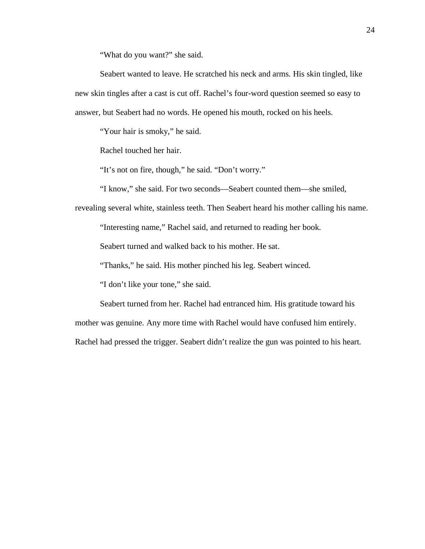"What do you want?" she said.

Seabert wanted to leave. He scratched his neck and arms. His skin tingled, like new skin tingles after a cast is cut off. Rachel's four-word question seemed so easy to answer, but Seabert had no words. He opened his mouth, rocked on his heels.

"Your hair is smoky," he said.

Rachel touched her hair.

"It's not on fire, though," he said. "Don't worry."

"I know," she said. For two seconds—Seabert counted them—she smiled,

revealing several white, stainless teeth. Then Seabert heard his mother calling his name.

"Interesting name," Rachel said, and returned to reading her book.

Seabert turned and walked back to his mother. He sat.

"Thanks," he said. His mother pinched his leg. Seabert winced.

"I don't like your tone," she said.

Seabert turned from her. Rachel had entranced him. His gratitude toward his mother was genuine. Any more time with Rachel would have confused him entirely.

Rachel had pressed the trigger. Seabert didn't realize the gun was pointed to his heart.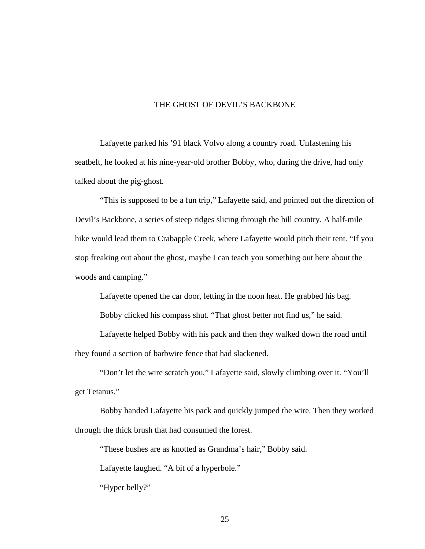#### THE GHOST OF DEVIL'S BACKBONE

Lafayette parked his '91 black Volvo along a country road. Unfastening his seatbelt, he looked at his nine-year-old brother Bobby, who, during the drive, had only talked about the pig-ghost.

"This is supposed to be a fun trip," Lafayette said, and pointed out the direction of Devil's Backbone, a series of steep ridges slicing through the hill country. A half-mile hike would lead them to Crabapple Creek, where Lafayette would pitch their tent. "If you stop freaking out about the ghost, maybe I can teach you something out here about the woods and camping."

Lafayette opened the car door, letting in the noon heat. He grabbed his bag.

Bobby clicked his compass shut. "That ghost better not find us," he said.

Lafayette helped Bobby with his pack and then they walked down the road until they found a section of barbwire fence that had slackened.

"Don't let the wire scratch you," Lafayette said, slowly climbing over it. "You'll get Tetanus."

Bobby handed Lafayette his pack and quickly jumped the wire. Then they worked through the thick brush that had consumed the forest.

"These bushes are as knotted as Grandma's hair," Bobby said.

Lafayette laughed. "A bit of a hyperbole."

"Hyper belly?"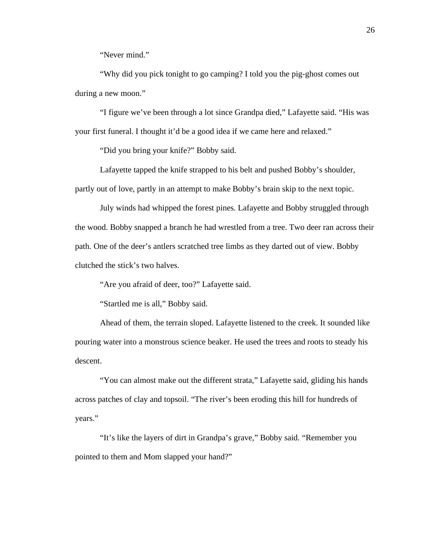"Never mind."

"Why did you pick tonight to go camping? I told you the pig-ghost comes out during a new moon."

"I figure we've been through a lot since Grandpa died," Lafayette said. "His was your first funeral. I thought it'd be a good idea if we came here and relaxed."

"Did you bring your knife?" Bobby said.

Lafayette tapped the knife strapped to his belt and pushed Bobby's shoulder, partly out of love, partly in an attempt to make Bobby's brain skip to the next topic.

July winds had whipped the forest pines. Lafayette and Bobby struggled through the wood. Bobby snapped a branch he had wrestled from a tree. Two deer ran across their path. One of the deer's antlers scratched tree limbs as they darted out of view. Bobby clutched the stick's two halves.

"Are you afraid of deer, too?" Lafayette said.

"Startled me is all," Bobby said.

Ahead of them, the terrain sloped. Lafayette listened to the creek. It sounded like pouring water into a monstrous science beaker. He used the trees and roots to steady his descent.

"You can almost make out the different strata," Lafayette said, gliding his hands across patches of clay and topsoil. "The river's been eroding this hill for hundreds of years."

"It's like the layers of dirt in Grandpa's grave," Bobby said. "Remember you pointed to them and Mom slapped your hand?"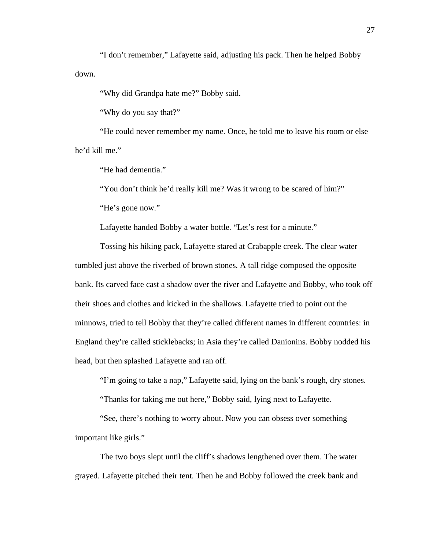"I don't remember," Lafayette said, adjusting his pack. Then he helped Bobby down.

"Why did Grandpa hate me?" Bobby said.

"Why do you say that?"

"He could never remember my name. Once, he told me to leave his room or else he'd kill me."

"He had dementia."

"You don't think he'd really kill me? Was it wrong to be scared of him?" "He's gone now."

Lafayette handed Bobby a water bottle. "Let's rest for a minute."

Tossing his hiking pack, Lafayette stared at Crabapple creek. The clear water tumbled just above the riverbed of brown stones. A tall ridge composed the opposite bank. Its carved face cast a shadow over the river and Lafayette and Bobby, who took off their shoes and clothes and kicked in the shallows. Lafayette tried to point out the minnows, tried to tell Bobby that they're called different names in different countries: in England they're called sticklebacks; in Asia they're called Danionins. Bobby nodded his head, but then splashed Lafayette and ran off.

"I'm going to take a nap," Lafayette said, lying on the bank's rough, dry stones.

"Thanks for taking me out here," Bobby said, lying next to Lafayette.

"See, there's nothing to worry about. Now you can obsess over something important like girls."

The two boys slept until the cliff's shadows lengthened over them. The water grayed. Lafayette pitched their tent. Then he and Bobby followed the creek bank and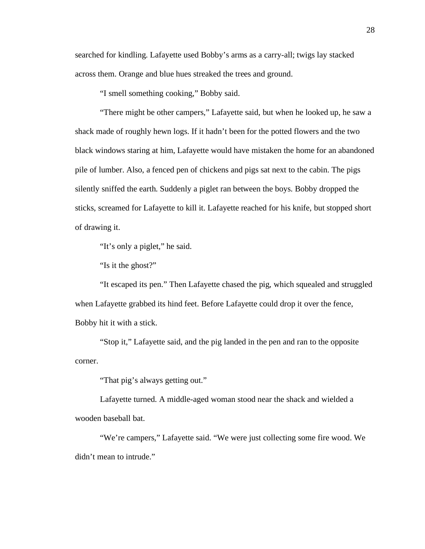searched for kindling. Lafayette used Bobby's arms as a carry-all; twigs lay stacked across them. Orange and blue hues streaked the trees and ground.

"I smell something cooking," Bobby said.

"There might be other campers," Lafayette said, but when he looked up, he saw a shack made of roughly hewn logs. If it hadn't been for the potted flowers and the two black windows staring at him, Lafayette would have mistaken the home for an abandoned pile of lumber. Also, a fenced pen of chickens and pigs sat next to the cabin. The pigs silently sniffed the earth. Suddenly a piglet ran between the boys. Bobby dropped the sticks, screamed for Lafayette to kill it. Lafayette reached for his knife, but stopped short of drawing it.

"It's only a piglet," he said.

"Is it the ghost?"

"It escaped its pen." Then Lafayette chased the pig, which squealed and struggled when Lafayette grabbed its hind feet. Before Lafayette could drop it over the fence, Bobby hit it with a stick.

"Stop it," Lafayette said, and the pig landed in the pen and ran to the opposite corner.

"That pig's always getting out."

Lafayette turned. A middle-aged woman stood near the shack and wielded a wooden baseball bat.

"We're campers," Lafayette said. "We were just collecting some fire wood. We didn't mean to intrude."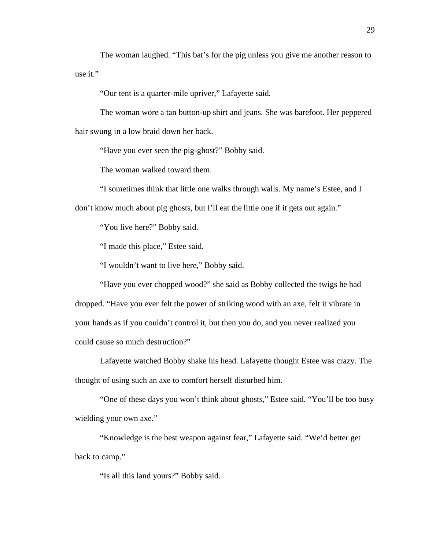The woman laughed. "This bat's for the pig unless you give me another reason to use it."

"Our tent is a quarter-mile upriver," Lafayette said.

The woman wore a tan button-up shirt and jeans. She was barefoot. Her peppered hair swung in a low braid down her back.

"Have you ever seen the pig-ghost?" Bobby said.

The woman walked toward them.

"I sometimes think that little one walks through walls. My name's Estee, and I don't know much about pig ghosts, but I'll eat the little one if it gets out again."

"You live here?" Bobby said.

"I made this place," Estee said.

"I wouldn't want to live here," Bobby said.

"Have you ever chopped wood?" she said as Bobby collected the twigs he had dropped. "Have you ever felt the power of striking wood with an axe, felt it vibrate in your hands as if you couldn't control it, but then you do, and you never realized you could cause so much destruction?"

Lafayette watched Bobby shake his head. Lafayette thought Estee was crazy. The thought of using such an axe to comfort herself disturbed him.

"One of these days you won't think about ghosts," Estee said. "You'll be too busy wielding your own axe."

"Knowledge is the best weapon against fear," Lafayette said. "We'd better get back to camp."

"Is all this land yours?" Bobby said.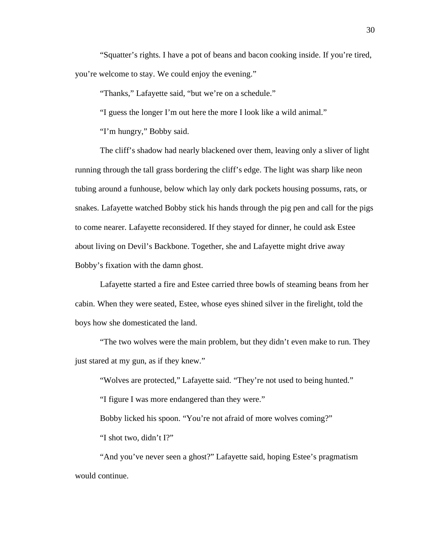"Squatter's rights. I have a pot of beans and bacon cooking inside. If you're tired, you're welcome to stay. We could enjoy the evening."

"Thanks," Lafayette said, "but we're on a schedule."

"I guess the longer I'm out here the more I look like a wild animal."

"I'm hungry," Bobby said.

The cliff's shadow had nearly blackened over them, leaving only a sliver of light running through the tall grass bordering the cliff's edge. The light was sharp like neon tubing around a funhouse, below which lay only dark pockets housing possums, rats, or snakes. Lafayette watched Bobby stick his hands through the pig pen and call for the pigs to come nearer. Lafayette reconsidered. If they stayed for dinner, he could ask Estee about living on Devil's Backbone. Together, she and Lafayette might drive away Bobby's fixation with the damn ghost.

Lafayette started a fire and Estee carried three bowls of steaming beans from her cabin. When they were seated, Estee, whose eyes shined silver in the firelight, told the boys how she domesticated the land.

"The two wolves were the main problem, but they didn't even make to run. They just stared at my gun, as if they knew."

"Wolves are protected," Lafayette said. "They're not used to being hunted."

"I figure I was more endangered than they were."

Bobby licked his spoon. "You're not afraid of more wolves coming?"

"I shot two, didn't I?"

"And you've never seen a ghost?" Lafayette said, hoping Estee's pragmatism would continue.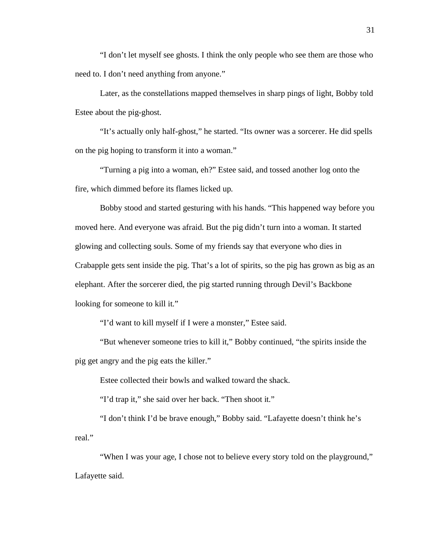"I don't let myself see ghosts. I think the only people who see them are those who need to. I don't need anything from anyone."

Later, as the constellations mapped themselves in sharp pings of light, Bobby told Estee about the pig-ghost.

"It's actually only half-ghost," he started. "Its owner was a sorcerer. He did spells on the pig hoping to transform it into a woman."

"Turning a pig into a woman, eh?" Estee said, and tossed another log onto the fire, which dimmed before its flames licked up.

Bobby stood and started gesturing with his hands. "This happened way before you moved here. And everyone was afraid. But the pig didn't turn into a woman. It started glowing and collecting souls. Some of my friends say that everyone who dies in Crabapple gets sent inside the pig. That's a lot of spirits, so the pig has grown as big as an elephant. After the sorcerer died, the pig started running through Devil's Backbone looking for someone to kill it."

"I'd want to kill myself if I were a monster," Estee said.

"But whenever someone tries to kill it," Bobby continued, "the spirits inside the pig get angry and the pig eats the killer."

Estee collected their bowls and walked toward the shack.

"I'd trap it," she said over her back. "Then shoot it."

"I don't think I'd be brave enough," Bobby said. "Lafayette doesn't think he's real."

"When I was your age, I chose not to believe every story told on the playground," Lafayette said.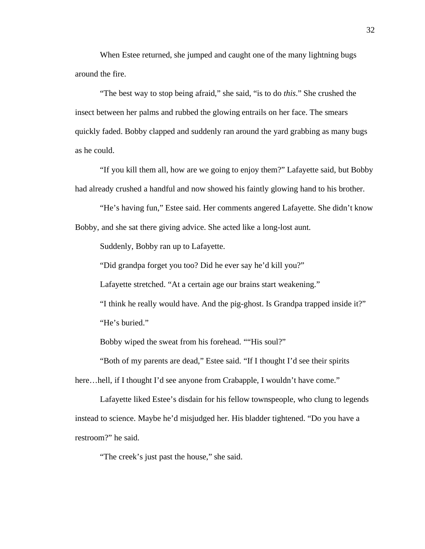When Estee returned, she jumped and caught one of the many lightning bugs around the fire.

"The best way to stop being afraid," she said, "is to do *this*." She crushed the insect between her palms and rubbed the glowing entrails on her face. The smears quickly faded. Bobby clapped and suddenly ran around the yard grabbing as many bugs as he could.

"If you kill them all, how are we going to enjoy them?" Lafayette said, but Bobby had already crushed a handful and now showed his faintly glowing hand to his brother.

"He's having fun," Estee said. Her comments angered Lafayette. She didn't know Bobby, and she sat there giving advice. She acted like a long-lost aunt.

Suddenly, Bobby ran up to Lafayette.

"Did grandpa forget you too? Did he ever say he'd kill you?"

Lafayette stretched. "At a certain age our brains start weakening."

"I think he really would have. And the pig-ghost. Is Grandpa trapped inside it?" "He's buried."

Bobby wiped the sweat from his forehead. ""His soul?"

"Both of my parents are dead," Estee said. "If I thought I'd see their spirits

here...hell, if I thought I'd see anyone from Crabapple, I wouldn't have come."

Lafayette liked Estee's disdain for his fellow townspeople, who clung to legends instead to science. Maybe he'd misjudged her. His bladder tightened. "Do you have a restroom?" he said.

"The creek's just past the house," she said.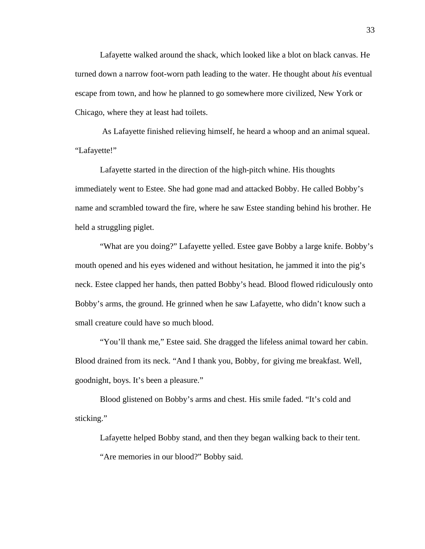Lafayette walked around the shack, which looked like a blot on black canvas. He turned down a narrow foot-worn path leading to the water. He thought about *his* eventual escape from town, and how he planned to go somewhere more civilized, New York or Chicago, where they at least had toilets.

 As Lafayette finished relieving himself, he heard a whoop and an animal squeal. "Lafayette!"

Lafayette started in the direction of the high-pitch whine. His thoughts immediately went to Estee. She had gone mad and attacked Bobby. He called Bobby's name and scrambled toward the fire, where he saw Estee standing behind his brother. He held a struggling piglet.

"What are you doing?" Lafayette yelled. Estee gave Bobby a large knife. Bobby's mouth opened and his eyes widened and without hesitation, he jammed it into the pig's neck. Estee clapped her hands, then patted Bobby's head. Blood flowed ridiculously onto Bobby's arms, the ground. He grinned when he saw Lafayette, who didn't know such a small creature could have so much blood.

"You'll thank me," Estee said. She dragged the lifeless animal toward her cabin. Blood drained from its neck. "And I thank you, Bobby, for giving me breakfast. Well, goodnight, boys. It's been a pleasure."

Blood glistened on Bobby's arms and chest. His smile faded. "It's cold and sticking."

Lafayette helped Bobby stand, and then they began walking back to their tent.

"Are memories in our blood?" Bobby said.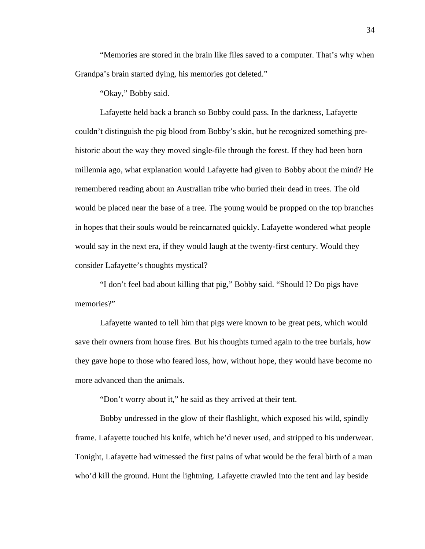"Memories are stored in the brain like files saved to a computer. That's why when Grandpa's brain started dying, his memories got deleted."

"Okay," Bobby said.

Lafayette held back a branch so Bobby could pass. In the darkness, Lafayette couldn't distinguish the pig blood from Bobby's skin, but he recognized something prehistoric about the way they moved single-file through the forest. If they had been born millennia ago, what explanation would Lafayette had given to Bobby about the mind? He remembered reading about an Australian tribe who buried their dead in trees. The old would be placed near the base of a tree. The young would be propped on the top branches in hopes that their souls would be reincarnated quickly. Lafayette wondered what people would say in the next era, if they would laugh at the twenty-first century. Would they consider Lafayette's thoughts mystical?

"I don't feel bad about killing that pig," Bobby said. "Should I? Do pigs have memories?"

Lafayette wanted to tell him that pigs were known to be great pets, which would save their owners from house fires. But his thoughts turned again to the tree burials, how they gave hope to those who feared loss, how, without hope, they would have become no more advanced than the animals.

"Don't worry about it," he said as they arrived at their tent.

Bobby undressed in the glow of their flashlight, which exposed his wild, spindly frame. Lafayette touched his knife, which he'd never used, and stripped to his underwear. Tonight, Lafayette had witnessed the first pains of what would be the feral birth of a man who'd kill the ground. Hunt the lightning. Lafayette crawled into the tent and lay beside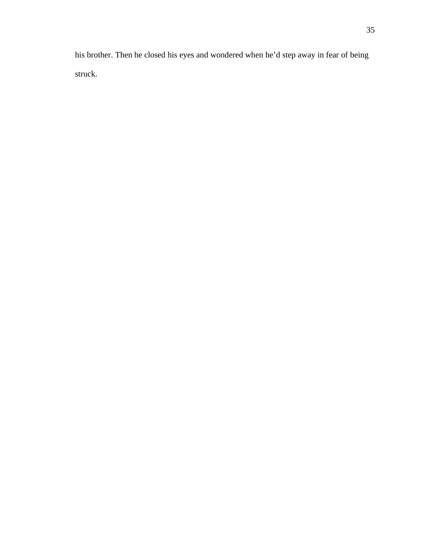his brother. Then he closed his eyes and wondered when he'd step away in fear of being struck.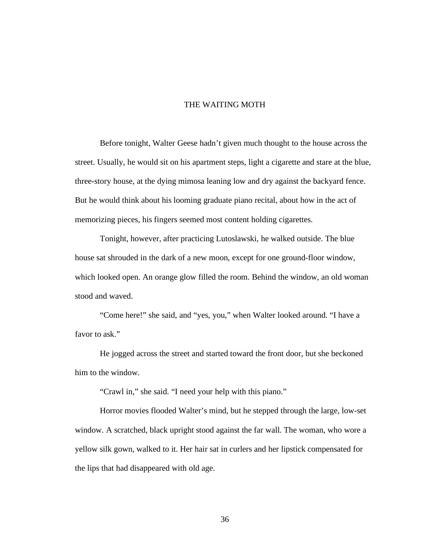## THE WAITING MOTH

Before tonight, Walter Geese hadn't given much thought to the house across the street. Usually, he would sit on his apartment steps, light a cigarette and stare at the blue, three-story house, at the dying mimosa leaning low and dry against the backyard fence. But he would think about his looming graduate piano recital, about how in the act of memorizing pieces, his fingers seemed most content holding cigarettes.

Tonight, however, after practicing Lutoslawski, he walked outside. The blue house sat shrouded in the dark of a new moon, except for one ground-floor window, which looked open. An orange glow filled the room. Behind the window, an old woman stood and waved.

"Come here!" she said, and "yes, you," when Walter looked around. "I have a favor to ask."

He jogged across the street and started toward the front door, but she beckoned him to the window.

"Crawl in," she said. "I need your help with this piano."

Horror movies flooded Walter's mind, but he stepped through the large, low-set window. A scratched, black upright stood against the far wall. The woman, who wore a yellow silk gown, walked to it. Her hair sat in curlers and her lipstick compensated for the lips that had disappeared with old age.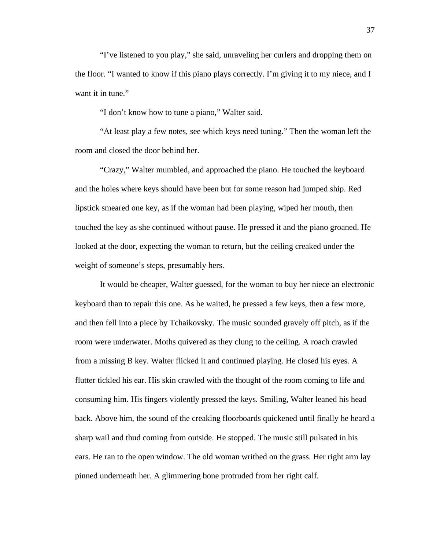"I've listened to you play," she said, unraveling her curlers and dropping them on the floor. "I wanted to know if this piano plays correctly. I'm giving it to my niece, and I want it in tune."

"I don't know how to tune a piano," Walter said.

"At least play a few notes, see which keys need tuning." Then the woman left the room and closed the door behind her.

"Crazy," Walter mumbled, and approached the piano. He touched the keyboard and the holes where keys should have been but for some reason had jumped ship. Red lipstick smeared one key, as if the woman had been playing, wiped her mouth, then touched the key as she continued without pause. He pressed it and the piano groaned. He looked at the door, expecting the woman to return, but the ceiling creaked under the weight of someone's steps, presumably hers.

It would be cheaper, Walter guessed, for the woman to buy her niece an electronic keyboard than to repair this one. As he waited, he pressed a few keys, then a few more, and then fell into a piece by Tchaikovsky. The music sounded gravely off pitch, as if the room were underwater. Moths quivered as they clung to the ceiling. A roach crawled from a missing B key. Walter flicked it and continued playing. He closed his eyes. A flutter tickled his ear. His skin crawled with the thought of the room coming to life and consuming him. His fingers violently pressed the keys. Smiling, Walter leaned his head back. Above him, the sound of the creaking floorboards quickened until finally he heard a sharp wail and thud coming from outside. He stopped. The music still pulsated in his ears. He ran to the open window. The old woman writhed on the grass. Her right arm lay pinned underneath her. A glimmering bone protruded from her right calf.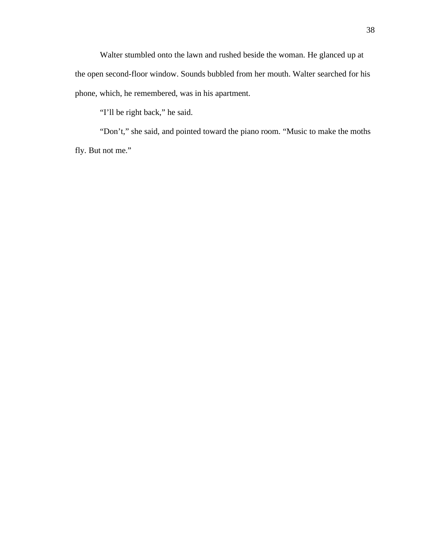Walter stumbled onto the lawn and rushed beside the woman. He glanced up at the open second-floor window. Sounds bubbled from her mouth. Walter searched for his phone, which, he remembered, was in his apartment.

"I'll be right back," he said.

"Don't," she said, and pointed toward the piano room. "Music to make the moths fly. But not me."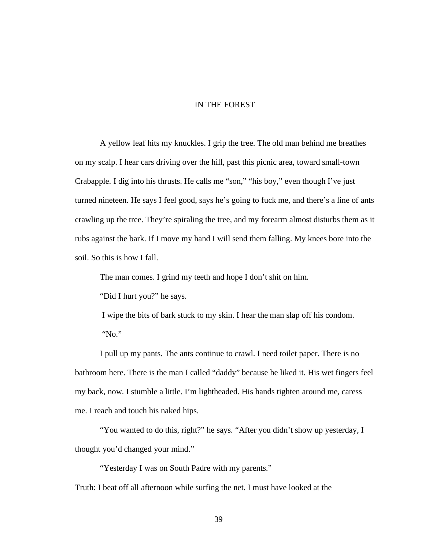## IN THE FOREST

A yellow leaf hits my knuckles. I grip the tree. The old man behind me breathes on my scalp. I hear cars driving over the hill, past this picnic area, toward small-town Crabapple. I dig into his thrusts. He calls me "son," "his boy," even though I've just turned nineteen. He says I feel good, says he's going to fuck me, and there's a line of ants crawling up the tree. They're spiraling the tree, and my forearm almost disturbs them as it rubs against the bark. If I move my hand I will send them falling. My knees bore into the soil. So this is how I fall.

The man comes. I grind my teeth and hope I don't shit on him.

"Did I hurt you?" he says.

 I wipe the bits of bark stuck to my skin. I hear the man slap off his condom. "No."

I pull up my pants. The ants continue to crawl. I need toilet paper. There is no bathroom here. There is the man I called "daddy" because he liked it. His wet fingers feel my back, now. I stumble a little. I'm lightheaded. His hands tighten around me, caress me. I reach and touch his naked hips.

"You wanted to do this, right?" he says. "After you didn't show up yesterday, I thought you'd changed your mind."

"Yesterday I was on South Padre with my parents."

Truth: I beat off all afternoon while surfing the net. I must have looked at the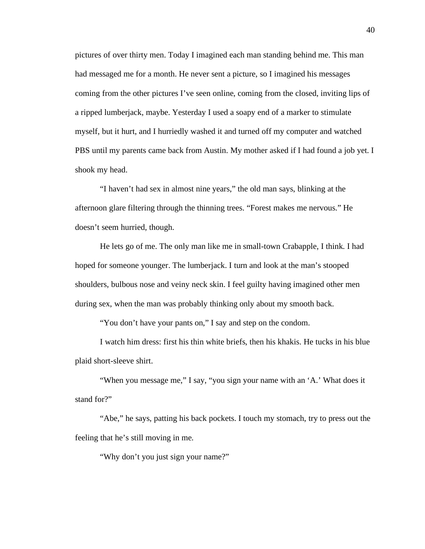pictures of over thirty men. Today I imagined each man standing behind me. This man had messaged me for a month. He never sent a picture, so I imagined his messages coming from the other pictures I've seen online, coming from the closed, inviting lips of a ripped lumberjack, maybe. Yesterday I used a soapy end of a marker to stimulate myself, but it hurt, and I hurriedly washed it and turned off my computer and watched PBS until my parents came back from Austin. My mother asked if I had found a job yet. I shook my head.

"I haven't had sex in almost nine years," the old man says, blinking at the afternoon glare filtering through the thinning trees. "Forest makes me nervous." He doesn't seem hurried, though.

He lets go of me. The only man like me in small-town Crabapple, I think. I had hoped for someone younger. The lumberjack. I turn and look at the man's stooped shoulders, bulbous nose and veiny neck skin. I feel guilty having imagined other men during sex, when the man was probably thinking only about my smooth back.

"You don't have your pants on," I say and step on the condom.

I watch him dress: first his thin white briefs, then his khakis. He tucks in his blue plaid short-sleeve shirt.

"When you message me," I say, "you sign your name with an 'A.' What does it stand for?"

"Abe," he says, patting his back pockets. I touch my stomach, try to press out the feeling that he's still moving in me.

"Why don't you just sign your name?"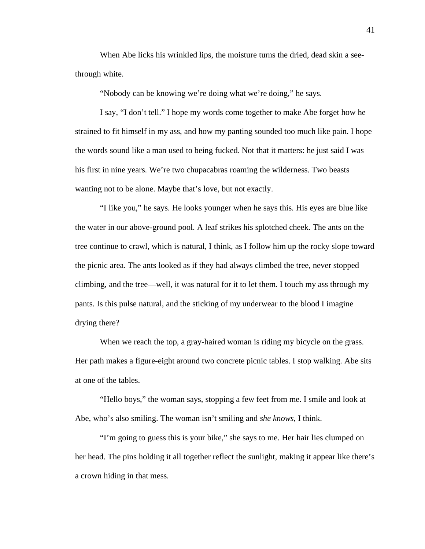When Abe licks his wrinkled lips, the moisture turns the dried, dead skin a seethrough white.

"Nobody can be knowing we're doing what we're doing," he says.

I say, "I don't tell." I hope my words come together to make Abe forget how he strained to fit himself in my ass, and how my panting sounded too much like pain. I hope the words sound like a man used to being fucked. Not that it matters: he just said I was his first in nine years. We're two chupacabras roaming the wilderness. Two beasts wanting not to be alone. Maybe that's love, but not exactly.

"I like you," he says. He looks younger when he says this. His eyes are blue like the water in our above-ground pool. A leaf strikes his splotched cheek. The ants on the tree continue to crawl, which is natural, I think, as I follow him up the rocky slope toward the picnic area. The ants looked as if they had always climbed the tree, never stopped climbing, and the tree—well, it was natural for it to let them. I touch my ass through my pants. Is this pulse natural, and the sticking of my underwear to the blood I imagine drying there?

When we reach the top, a gray-haired woman is riding my bicycle on the grass. Her path makes a figure-eight around two concrete picnic tables. I stop walking. Abe sits at one of the tables.

"Hello boys," the woman says, stopping a few feet from me. I smile and look at Abe, who's also smiling. The woman isn't smiling and *she knows*, I think.

"I'm going to guess this is your bike," she says to me. Her hair lies clumped on her head. The pins holding it all together reflect the sunlight, making it appear like there's a crown hiding in that mess.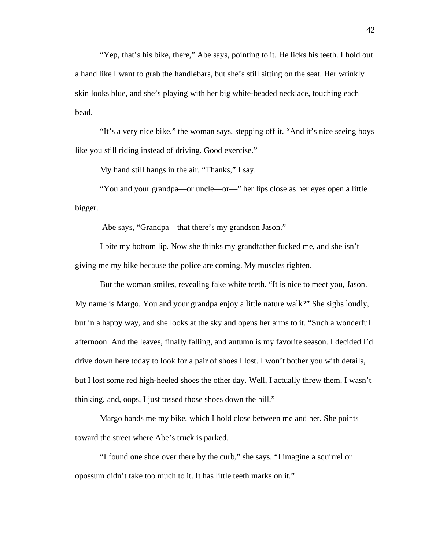"Yep, that's his bike, there," Abe says, pointing to it. He licks his teeth. I hold out a hand like I want to grab the handlebars, but she's still sitting on the seat. Her wrinkly skin looks blue, and she's playing with her big white-beaded necklace, touching each bead.

"It's a very nice bike," the woman says, stepping off it. "And it's nice seeing boys like you still riding instead of driving. Good exercise."

My hand still hangs in the air. "Thanks," I say.

"You and your grandpa—or uncle—or—" her lips close as her eyes open a little bigger.

Abe says, "Grandpa—that there's my grandson Jason."

I bite my bottom lip. Now she thinks my grandfather fucked me, and she isn't giving me my bike because the police are coming. My muscles tighten.

But the woman smiles, revealing fake white teeth. "It is nice to meet you, Jason. My name is Margo. You and your grandpa enjoy a little nature walk?" She sighs loudly, but in a happy way, and she looks at the sky and opens her arms to it. "Such a wonderful afternoon. And the leaves, finally falling, and autumn is my favorite season. I decided I'd drive down here today to look for a pair of shoes I lost. I won't bother you with details, but I lost some red high-heeled shoes the other day. Well, I actually threw them. I wasn't thinking, and, oops, I just tossed those shoes down the hill."

Margo hands me my bike, which I hold close between me and her. She points toward the street where Abe's truck is parked.

"I found one shoe over there by the curb," she says. "I imagine a squirrel or opossum didn't take too much to it. It has little teeth marks on it."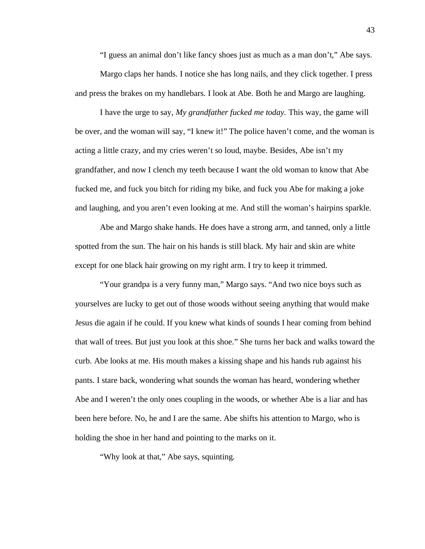"I guess an animal don't like fancy shoes just as much as a man don't," Abe says.

Margo claps her hands. I notice she has long nails, and they click together. I press and press the brakes on my handlebars. I look at Abe. Both he and Margo are laughing.

I have the urge to say, *My grandfather fucked me today.* This way, the game will be over, and the woman will say, "I knew it!" The police haven't come, and the woman is acting a little crazy, and my cries weren't so loud, maybe. Besides, Abe isn't my grandfather, and now I clench my teeth because I want the old woman to know that Abe fucked me, and fuck you bitch for riding my bike, and fuck you Abe for making a joke and laughing, and you aren't even looking at me. And still the woman's hairpins sparkle.

Abe and Margo shake hands. He does have a strong arm, and tanned, only a little spotted from the sun. The hair on his hands is still black. My hair and skin are white except for one black hair growing on my right arm. I try to keep it trimmed.

"Your grandpa is a very funny man," Margo says. "And two nice boys such as yourselves are lucky to get out of those woods without seeing anything that would make Jesus die again if he could. If you knew what kinds of sounds I hear coming from behind that wall of trees. But just you look at this shoe." She turns her back and walks toward the curb. Abe looks at me. His mouth makes a kissing shape and his hands rub against his pants. I stare back, wondering what sounds the woman has heard, wondering whether Abe and I weren't the only ones coupling in the woods, or whether Abe is a liar and has been here before. No, he and I are the same. Abe shifts his attention to Margo, who is holding the shoe in her hand and pointing to the marks on it.

"Why look at that," Abe says, squinting.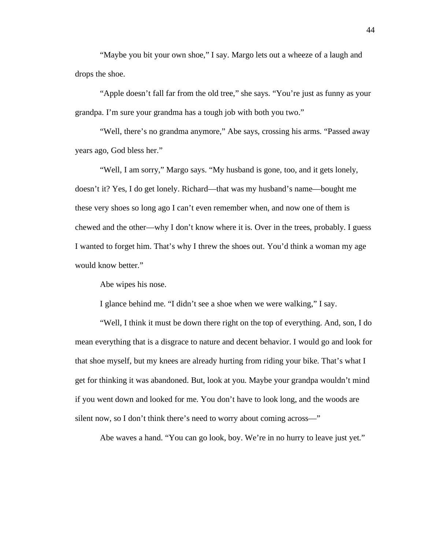"Maybe you bit your own shoe," I say. Margo lets out a wheeze of a laugh and drops the shoe.

"Apple doesn't fall far from the old tree," she says. "You're just as funny as your grandpa. I'm sure your grandma has a tough job with both you two."

"Well, there's no grandma anymore," Abe says, crossing his arms. "Passed away years ago, God bless her."

"Well, I am sorry," Margo says. "My husband is gone, too, and it gets lonely, doesn't it? Yes, I do get lonely. Richard—that was my husband's name—bought me these very shoes so long ago I can't even remember when, and now one of them is chewed and the other—why I don't know where it is. Over in the trees, probably. I guess I wanted to forget him. That's why I threw the shoes out. You'd think a woman my age would know better."

Abe wipes his nose.

I glance behind me. "I didn't see a shoe when we were walking," I say.

"Well, I think it must be down there right on the top of everything. And, son, I do mean everything that is a disgrace to nature and decent behavior. I would go and look for that shoe myself, but my knees are already hurting from riding your bike. That's what I get for thinking it was abandoned. But, look at you. Maybe your grandpa wouldn't mind if you went down and looked for me. You don't have to look long, and the woods are silent now, so I don't think there's need to worry about coming across—"

Abe waves a hand. "You can go look, boy. We're in no hurry to leave just yet."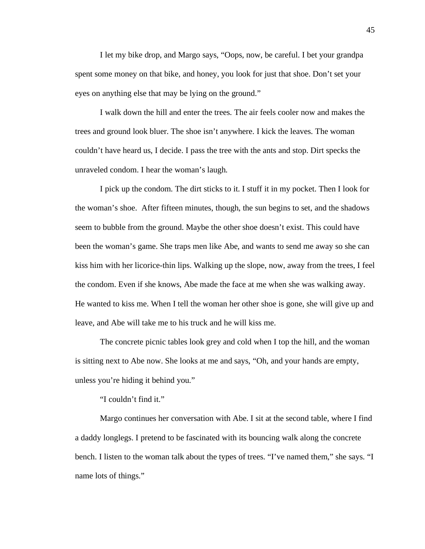I let my bike drop, and Margo says, "Oops, now, be careful. I bet your grandpa spent some money on that bike, and honey, you look for just that shoe. Don't set your eyes on anything else that may be lying on the ground."

I walk down the hill and enter the trees. The air feels cooler now and makes the trees and ground look bluer. The shoe isn't anywhere. I kick the leaves. The woman couldn't have heard us, I decide. I pass the tree with the ants and stop. Dirt specks the unraveled condom. I hear the woman's laugh.

I pick up the condom. The dirt sticks to it. I stuff it in my pocket. Then I look for the woman's shoe. After fifteen minutes, though, the sun begins to set, and the shadows seem to bubble from the ground. Maybe the other shoe doesn't exist. This could have been the woman's game. She traps men like Abe, and wants to send me away so she can kiss him with her licorice-thin lips. Walking up the slope, now, away from the trees, I feel the condom. Even if she knows, Abe made the face at me when she was walking away. He wanted to kiss me. When I tell the woman her other shoe is gone, she will give up and leave, and Abe will take me to his truck and he will kiss me.

The concrete picnic tables look grey and cold when I top the hill, and the woman is sitting next to Abe now. She looks at me and says, "Oh, and your hands are empty, unless you're hiding it behind you."

"I couldn't find it."

Margo continues her conversation with Abe. I sit at the second table, where I find a daddy longlegs. I pretend to be fascinated with its bouncing walk along the concrete bench. I listen to the woman talk about the types of trees. "I've named them," she says. "I name lots of things."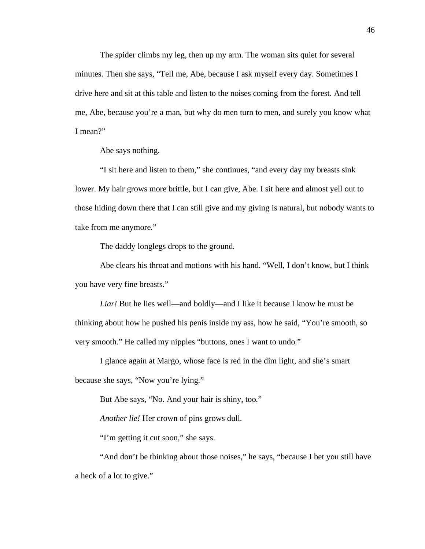The spider climbs my leg, then up my arm. The woman sits quiet for several minutes. Then she says, "Tell me, Abe, because I ask myself every day. Sometimes I drive here and sit at this table and listen to the noises coming from the forest. And tell me, Abe, because you're a man, but why do men turn to men, and surely you know what I mean?"

Abe says nothing.

"I sit here and listen to them," she continues, "and every day my breasts sink lower. My hair grows more brittle, but I can give, Abe. I sit here and almost yell out to those hiding down there that I can still give and my giving is natural, but nobody wants to take from me anymore."

The daddy longlegs drops to the ground.

Abe clears his throat and motions with his hand. "Well, I don't know, but I think you have very fine breasts."

*Liar!* But he lies well—and boldly—and I like it because I know he must be thinking about how he pushed his penis inside my ass, how he said, "You're smooth, so very smooth." He called my nipples "buttons, ones I want to undo."

I glance again at Margo, whose face is red in the dim light, and she's smart because she says, "Now you're lying."

But Abe says, "No. And your hair is shiny, too."

*Another lie!* Her crown of pins grows dull.

"I'm getting it cut soon," she says.

"And don't be thinking about those noises," he says, "because I bet you still have a heck of a lot to give."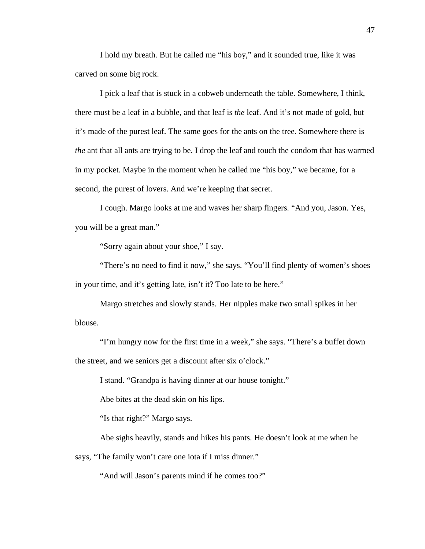I hold my breath. But he called me "his boy," and it sounded true, like it was carved on some big rock.

I pick a leaf that is stuck in a cobweb underneath the table. Somewhere, I think, there must be a leaf in a bubble, and that leaf is *the* leaf. And it's not made of gold, but it's made of the purest leaf. The same goes for the ants on the tree. Somewhere there is *the* ant that all ants are trying to be. I drop the leaf and touch the condom that has warmed in my pocket. Maybe in the moment when he called me "his boy," we became, for a second, the purest of lovers. And we're keeping that secret.

I cough. Margo looks at me and waves her sharp fingers. "And you, Jason. Yes, you will be a great man."

"Sorry again about your shoe," I say.

"There's no need to find it now," she says. "You'll find plenty of women's shoes in your time, and it's getting late, isn't it? Too late to be here."

Margo stretches and slowly stands. Her nipples make two small spikes in her blouse.

"I'm hungry now for the first time in a week," she says. "There's a buffet down the street, and we seniors get a discount after six o'clock."

I stand. "Grandpa is having dinner at our house tonight."

Abe bites at the dead skin on his lips.

"Is that right?" Margo says.

Abe sighs heavily, stands and hikes his pants. He doesn't look at me when he says, "The family won't care one iota if I miss dinner."

"And will Jason's parents mind if he comes too?"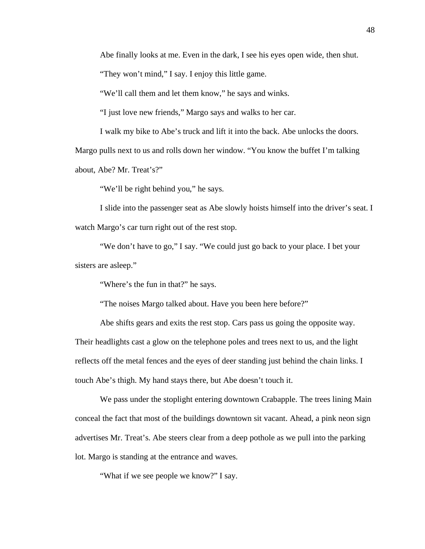Abe finally looks at me. Even in the dark, I see his eyes open wide, then shut.

"They won't mind," I say. I enjoy this little game.

"We'll call them and let them know," he says and winks.

"I just love new friends," Margo says and walks to her car.

I walk my bike to Abe's truck and lift it into the back. Abe unlocks the doors.

Margo pulls next to us and rolls down her window. "You know the buffet I'm talking about, Abe? Mr. Treat's?"

"We'll be right behind you," he says.

I slide into the passenger seat as Abe slowly hoists himself into the driver's seat. I watch Margo's car turn right out of the rest stop.

"We don't have to go," I say. "We could just go back to your place. I bet your sisters are asleep."

"Where's the fun in that?" he says.

"The noises Margo talked about. Have you been here before?"

Abe shifts gears and exits the rest stop. Cars pass us going the opposite way. Their headlights cast a glow on the telephone poles and trees next to us, and the light reflects off the metal fences and the eyes of deer standing just behind the chain links. I touch Abe's thigh. My hand stays there, but Abe doesn't touch it.

We pass under the stoplight entering downtown Crabapple. The trees lining Main conceal the fact that most of the buildings downtown sit vacant. Ahead, a pink neon sign advertises Mr. Treat's. Abe steers clear from a deep pothole as we pull into the parking lot. Margo is standing at the entrance and waves.

"What if we see people we know?" I say.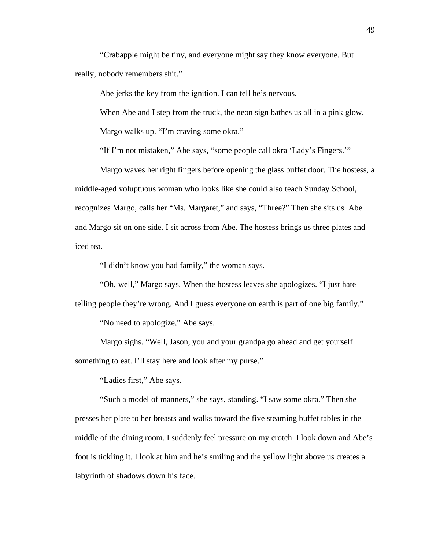"Crabapple might be tiny, and everyone might say they know everyone. But really, nobody remembers shit."

Abe jerks the key from the ignition. I can tell he's nervous.

When Abe and I step from the truck, the neon sign bathes us all in a pink glow.

Margo walks up. "I'm craving some okra."

"If I'm not mistaken," Abe says, "some people call okra 'Lady's Fingers.'"

Margo waves her right fingers before opening the glass buffet door. The hostess, a middle-aged voluptuous woman who looks like she could also teach Sunday School, recognizes Margo, calls her "Ms. Margaret," and says, "Three?" Then she sits us. Abe and Margo sit on one side. I sit across from Abe. The hostess brings us three plates and iced tea.

"I didn't know you had family," the woman says.

"Oh, well," Margo says. When the hostess leaves she apologizes. "I just hate

telling people they're wrong. And I guess everyone on earth is part of one big family."

"No need to apologize," Abe says.

Margo sighs. "Well, Jason, you and your grandpa go ahead and get yourself something to eat. I'll stay here and look after my purse."

"Ladies first," Abe says.

"Such a model of manners," she says, standing. "I saw some okra." Then she presses her plate to her breasts and walks toward the five steaming buffet tables in the middle of the dining room. I suddenly feel pressure on my crotch. I look down and Abe's foot is tickling it. I look at him and he's smiling and the yellow light above us creates a labyrinth of shadows down his face.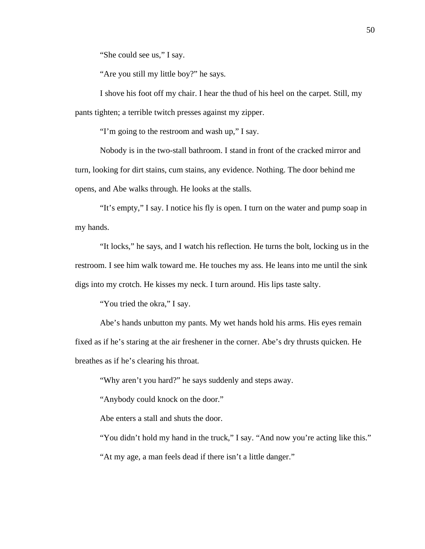"She could see us," I say.

"Are you still my little boy?" he says.

I shove his foot off my chair. I hear the thud of his heel on the carpet. Still, my pants tighten; a terrible twitch presses against my zipper.

"I'm going to the restroom and wash up," I say.

Nobody is in the two-stall bathroom. I stand in front of the cracked mirror and turn, looking for dirt stains, cum stains, any evidence. Nothing. The door behind me opens, and Abe walks through. He looks at the stalls.

"It's empty," I say. I notice his fly is open. I turn on the water and pump soap in my hands.

"It locks," he says, and I watch his reflection. He turns the bolt, locking us in the restroom. I see him walk toward me. He touches my ass. He leans into me until the sink digs into my crotch. He kisses my neck. I turn around. His lips taste salty.

"You tried the okra," I say.

Abe's hands unbutton my pants. My wet hands hold his arms. His eyes remain fixed as if he's staring at the air freshener in the corner. Abe's dry thrusts quicken. He breathes as if he's clearing his throat.

"Why aren't you hard?" he says suddenly and steps away.

"Anybody could knock on the door."

Abe enters a stall and shuts the door.

"You didn't hold my hand in the truck," I say. "And now you're acting like this."

"At my age, a man feels dead if there isn't a little danger."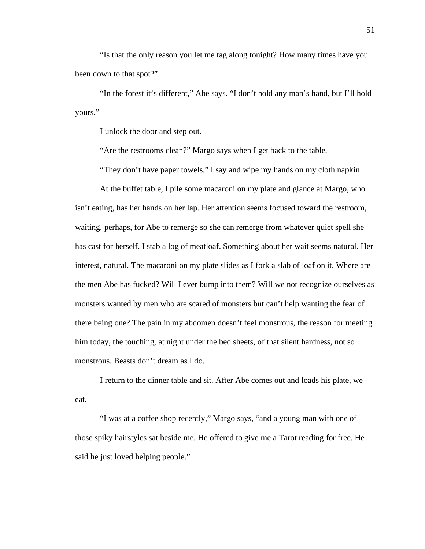"Is that the only reason you let me tag along tonight? How many times have you been down to that spot?"

"In the forest it's different," Abe says. "I don't hold any man's hand, but I'll hold yours."

I unlock the door and step out.

"Are the restrooms clean?" Margo says when I get back to the table.

"They don't have paper towels," I say and wipe my hands on my cloth napkin.

At the buffet table, I pile some macaroni on my plate and glance at Margo, who isn't eating, has her hands on her lap. Her attention seems focused toward the restroom, waiting, perhaps, for Abe to remerge so she can remerge from whatever quiet spell she has cast for herself. I stab a log of meatloaf. Something about her wait seems natural. Her interest, natural. The macaroni on my plate slides as I fork a slab of loaf on it. Where are the men Abe has fucked? Will I ever bump into them? Will we not recognize ourselves as monsters wanted by men who are scared of monsters but can't help wanting the fear of there being one? The pain in my abdomen doesn't feel monstrous, the reason for meeting him today, the touching, at night under the bed sheets, of that silent hardness, not so monstrous. Beasts don't dream as I do.

I return to the dinner table and sit. After Abe comes out and loads his plate, we eat.

"I was at a coffee shop recently," Margo says, "and a young man with one of those spiky hairstyles sat beside me. He offered to give me a Tarot reading for free. He said he just loved helping people."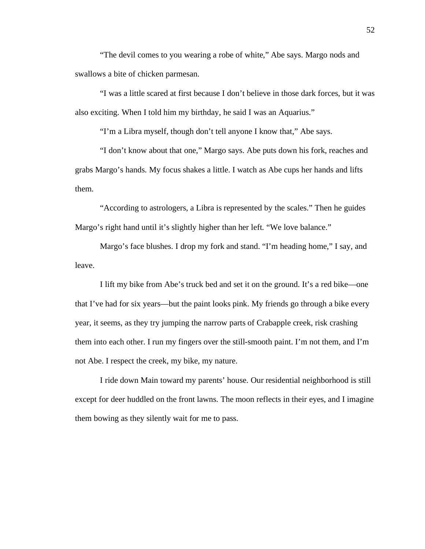"The devil comes to you wearing a robe of white," Abe says. Margo nods and swallows a bite of chicken parmesan.

"I was a little scared at first because I don't believe in those dark forces, but it was also exciting. When I told him my birthday, he said I was an Aquarius."

"I'm a Libra myself, though don't tell anyone I know that," Abe says.

"I don't know about that one," Margo says. Abe puts down his fork, reaches and grabs Margo's hands. My focus shakes a little. I watch as Abe cups her hands and lifts them.

"According to astrologers, a Libra is represented by the scales." Then he guides Margo's right hand until it's slightly higher than her left. "We love balance."

Margo's face blushes. I drop my fork and stand. "I'm heading home," I say, and leave.

I lift my bike from Abe's truck bed and set it on the ground. It's a red bike—one that I've had for six years—but the paint looks pink. My friends go through a bike every year, it seems, as they try jumping the narrow parts of Crabapple creek, risk crashing them into each other. I run my fingers over the still-smooth paint. I'm not them, and I'm not Abe. I respect the creek, my bike, my nature.

I ride down Main toward my parents' house. Our residential neighborhood is still except for deer huddled on the front lawns. The moon reflects in their eyes, and I imagine them bowing as they silently wait for me to pass.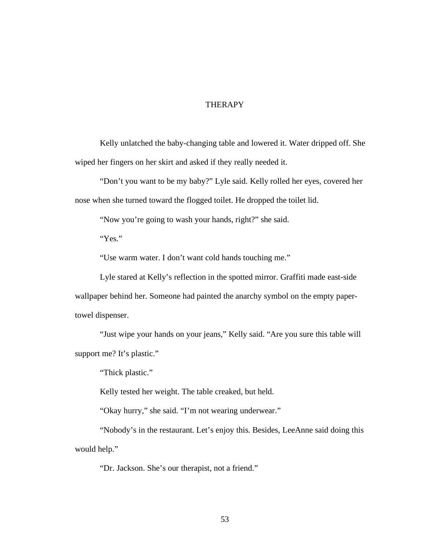## THERAPY

Kelly unlatched the baby-changing table and lowered it. Water dripped off. She wiped her fingers on her skirt and asked if they really needed it.

"Don't you want to be my baby?" Lyle said. Kelly rolled her eyes, covered her nose when she turned toward the flogged toilet. He dropped the toilet lid.

"Now you're going to wash your hands, right?" she said.

"Yes."

"Use warm water. I don't want cold hands touching me."

Lyle stared at Kelly's reflection in the spotted mirror. Graffiti made east-side wallpaper behind her. Someone had painted the anarchy symbol on the empty papertowel dispenser.

"Just wipe your hands on your jeans," Kelly said. "Are you sure this table will support me? It's plastic."

"Thick plastic."

Kelly tested her weight. The table creaked, but held.

"Okay hurry," she said. "I'm not wearing underwear."

"Nobody's in the restaurant. Let's enjoy this. Besides, LeeAnne said doing this would help."

"Dr. Jackson. She's our therapist, not a friend."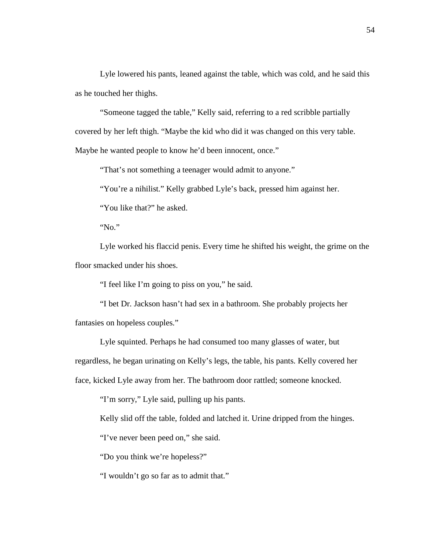Lyle lowered his pants, leaned against the table, which was cold, and he said this as he touched her thighs.

"Someone tagged the table," Kelly said, referring to a red scribble partially covered by her left thigh. "Maybe the kid who did it was changed on this very table. Maybe he wanted people to know he'd been innocent, once."

"That's not something a teenager would admit to anyone."

"You're a nihilist." Kelly grabbed Lyle's back, pressed him against her.

"You like that?" he asked.

"No."

Lyle worked his flaccid penis. Every time he shifted his weight, the grime on the floor smacked under his shoes.

"I feel like I'm going to piss on you," he said.

"I bet Dr. Jackson hasn't had sex in a bathroom. She probably projects her fantasies on hopeless couples."

Lyle squinted. Perhaps he had consumed too many glasses of water, but regardless, he began urinating on Kelly's legs, the table, his pants. Kelly covered her face, kicked Lyle away from her. The bathroom door rattled; someone knocked.

"I'm sorry," Lyle said, pulling up his pants.

Kelly slid off the table, folded and latched it. Urine dripped from the hinges.

"I've never been peed on," she said.

"Do you think we're hopeless?"

"I wouldn't go so far as to admit that."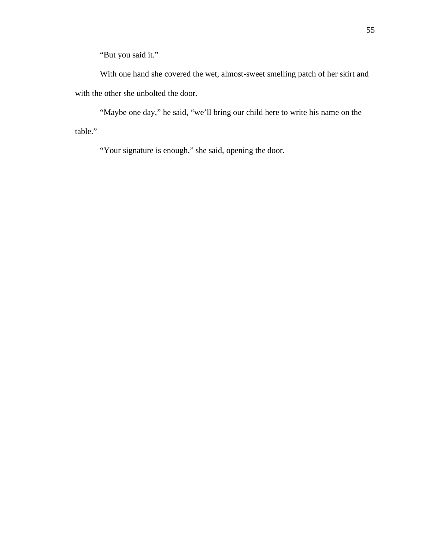"But you said it."

With one hand she covered the wet, almost-sweet smelling patch of her skirt and with the other she unbolted the door.

"Maybe one day," he said, "we'll bring our child here to write his name on the table."

"Your signature is enough," she said, opening the door.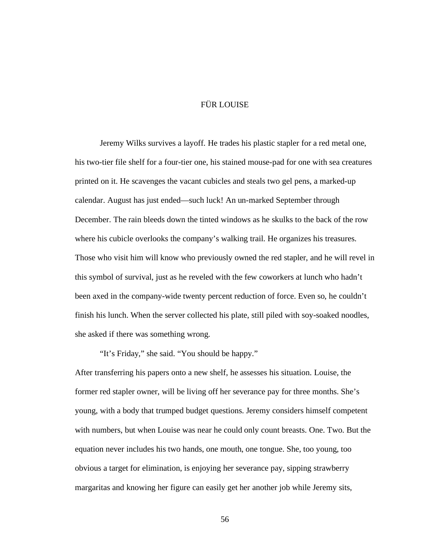# FÜR LOUISE

Jeremy Wilks survives a layoff. He trades his plastic stapler for a red metal one, his two-tier file shelf for a four-tier one, his stained mouse-pad for one with sea creatures printed on it. He scavenges the vacant cubicles and steals two gel pens, a marked-up calendar. August has just ended—such luck! An un-marked September through December. The rain bleeds down the tinted windows as he skulks to the back of the row where his cubicle overlooks the company's walking trail. He organizes his treasures. Those who visit him will know who previously owned the red stapler, and he will revel in this symbol of survival, just as he reveled with the few coworkers at lunch who hadn't been axed in the company-wide twenty percent reduction of force. Even so, he couldn't finish his lunch. When the server collected his plate, still piled with soy-soaked noodles, she asked if there was something wrong.

"It's Friday," she said. "You should be happy."

After transferring his papers onto a new shelf, he assesses his situation. Louise, the former red stapler owner, will be living off her severance pay for three months. She's young, with a body that trumped budget questions. Jeremy considers himself competent with numbers, but when Louise was near he could only count breasts. One. Two. But the equation never includes his two hands, one mouth, one tongue. She, too young, too obvious a target for elimination, is enjoying her severance pay, sipping strawberry margaritas and knowing her figure can easily get her another job while Jeremy sits,

56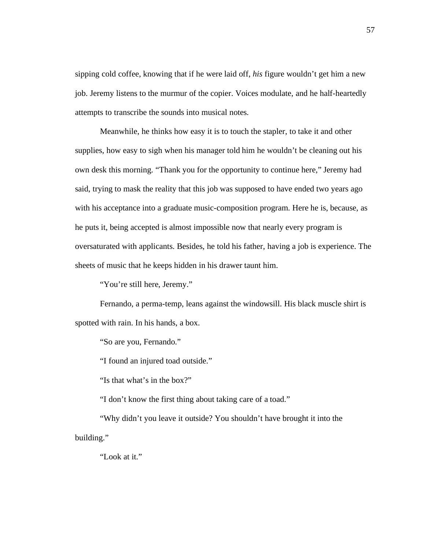sipping cold coffee, knowing that if he were laid off, *his* figure wouldn't get him a new job. Jeremy listens to the murmur of the copier. Voices modulate, and he half-heartedly attempts to transcribe the sounds into musical notes.

Meanwhile, he thinks how easy it is to touch the stapler, to take it and other supplies, how easy to sigh when his manager told him he wouldn't be cleaning out his own desk this morning. "Thank you for the opportunity to continue here," Jeremy had said, trying to mask the reality that this job was supposed to have ended two years ago with his acceptance into a graduate music-composition program. Here he is, because, as he puts it, being accepted is almost impossible now that nearly every program is oversaturated with applicants. Besides, he told his father, having a job is experience. The sheets of music that he keeps hidden in his drawer taunt him.

"You're still here, Jeremy."

Fernando, a perma-temp, leans against the windowsill. His black muscle shirt is spotted with rain. In his hands, a box.

"So are you, Fernando."

"I found an injured toad outside."

"Is that what's in the box?"

"I don't know the first thing about taking care of a toad."

"Why didn't you leave it outside? You shouldn't have brought it into the building."

"Look at it."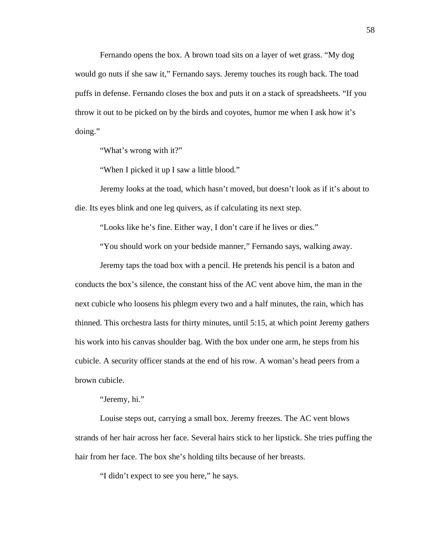Fernando opens the box. A brown toad sits on a layer of wet grass. "My dog would go nuts if she saw it," Fernando says. Jeremy touches its rough back. The toad puffs in defense. Fernando closes the box and puts it on a stack of spreadsheets. "If you throw it out to be picked on by the birds and coyotes, humor me when I ask how it's doing."

"What's wrong with it?"

"When I picked it up I saw a little blood."

Jeremy looks at the toad, which hasn't moved, but doesn't look as if it's about to die. Its eyes blink and one leg quivers, as if calculating its next step.

"Looks like he's fine. Either way, I don't care if he lives or dies."

"You should work on your bedside manner," Fernando says, walking away.

Jeremy taps the toad box with a pencil. He pretends his pencil is a baton and conducts the box's silence, the constant hiss of the AC vent above him, the man in the next cubicle who loosens his phlegm every two and a half minutes, the rain, which has thinned. This orchestra lasts for thirty minutes, until 5:15, at which point Jeremy gathers his work into his canvas shoulder bag. With the box under one arm, he steps from his cubicle. A security officer stands at the end of his row. A woman's head peers from a brown cubicle.

"Jeremy, hi."

Louise steps out, carrying a small box. Jeremy freezes. The AC vent blows strands of her hair across her face. Several hairs stick to her lipstick. She tries puffing the hair from her face. The box she's holding tilts because of her breasts.

"I didn't expect to see you here," he says.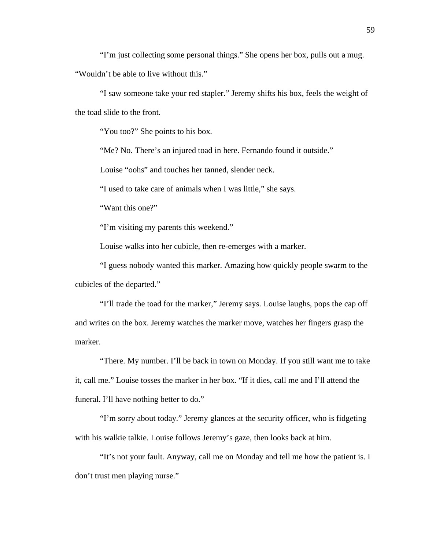"I'm just collecting some personal things." She opens her box, pulls out a mug. "Wouldn't be able to live without this."

"I saw someone take your red stapler." Jeremy shifts his box, feels the weight of the toad slide to the front.

"You too?" She points to his box.

"Me? No. There's an injured toad in here. Fernando found it outside."

Louise "oohs" and touches her tanned, slender neck.

"I used to take care of animals when I was little," she says.

"Want this one?"

"I'm visiting my parents this weekend."

Louise walks into her cubicle, then re-emerges with a marker.

"I guess nobody wanted this marker. Amazing how quickly people swarm to the cubicles of the departed."

"I'll trade the toad for the marker," Jeremy says. Louise laughs, pops the cap off and writes on the box. Jeremy watches the marker move, watches her fingers grasp the marker.

"There. My number. I'll be back in town on Monday. If you still want me to take it, call me." Louise tosses the marker in her box. "If it dies, call me and I'll attend the funeral. I'll have nothing better to do."

"I'm sorry about today." Jeremy glances at the security officer, who is fidgeting with his walkie talkie. Louise follows Jeremy's gaze, then looks back at him.

"It's not your fault. Anyway, call me on Monday and tell me how the patient is. I don't trust men playing nurse."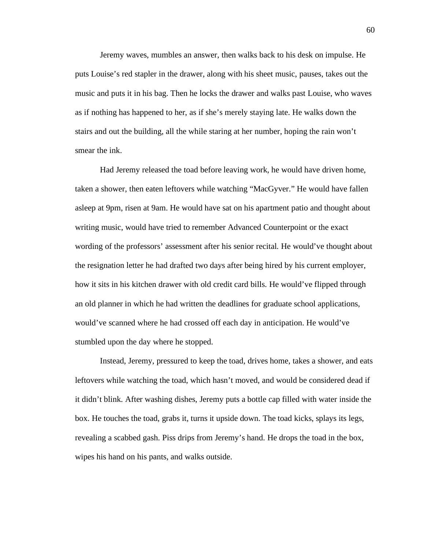Jeremy waves, mumbles an answer, then walks back to his desk on impulse. He puts Louise's red stapler in the drawer, along with his sheet music, pauses, takes out the music and puts it in his bag. Then he locks the drawer and walks past Louise, who waves as if nothing has happened to her, as if she's merely staying late. He walks down the stairs and out the building, all the while staring at her number, hoping the rain won't smear the ink.

Had Jeremy released the toad before leaving work, he would have driven home, taken a shower, then eaten leftovers while watching "MacGyver." He would have fallen asleep at 9pm, risen at 9am. He would have sat on his apartment patio and thought about writing music, would have tried to remember Advanced Counterpoint or the exact wording of the professors' assessment after his senior recital. He would've thought about the resignation letter he had drafted two days after being hired by his current employer, how it sits in his kitchen drawer with old credit card bills. He would've flipped through an old planner in which he had written the deadlines for graduate school applications, would've scanned where he had crossed off each day in anticipation. He would've stumbled upon the day where he stopped.

Instead, Jeremy, pressured to keep the toad, drives home, takes a shower, and eats leftovers while watching the toad, which hasn't moved, and would be considered dead if it didn't blink. After washing dishes, Jeremy puts a bottle cap filled with water inside the box. He touches the toad, grabs it, turns it upside down. The toad kicks, splays its legs, revealing a scabbed gash. Piss drips from Jeremy's hand. He drops the toad in the box, wipes his hand on his pants, and walks outside.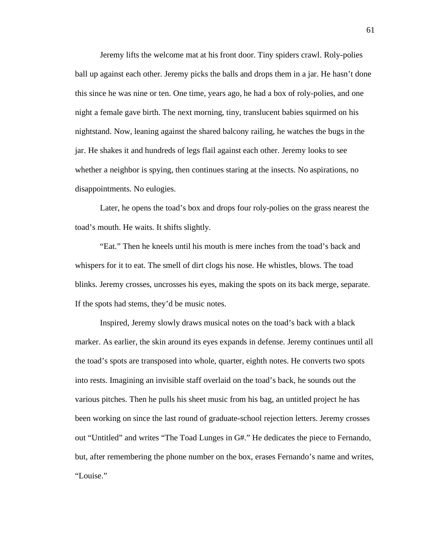Jeremy lifts the welcome mat at his front door. Tiny spiders crawl. Roly-polies ball up against each other. Jeremy picks the balls and drops them in a jar. He hasn't done this since he was nine or ten. One time, years ago, he had a box of roly-polies, and one night a female gave birth. The next morning, tiny, translucent babies squirmed on his nightstand. Now, leaning against the shared balcony railing, he watches the bugs in the jar. He shakes it and hundreds of legs flail against each other. Jeremy looks to see whether a neighbor is spying, then continues staring at the insects. No aspirations, no disappointments. No eulogies.

Later, he opens the toad's box and drops four roly-polies on the grass nearest the toad's mouth. He waits. It shifts slightly.

"Eat." Then he kneels until his mouth is mere inches from the toad's back and whispers for it to eat. The smell of dirt clogs his nose. He whistles, blows. The toad blinks. Jeremy crosses, uncrosses his eyes, making the spots on its back merge, separate. If the spots had stems, they'd be music notes.

Inspired, Jeremy slowly draws musical notes on the toad's back with a black marker. As earlier, the skin around its eyes expands in defense. Jeremy continues until all the toad's spots are transposed into whole, quarter, eighth notes. He converts two spots into rests. Imagining an invisible staff overlaid on the toad's back, he sounds out the various pitches. Then he pulls his sheet music from his bag, an untitled project he has been working on since the last round of graduate-school rejection letters. Jeremy crosses out "Untitled" and writes "The Toad Lunges in G#." He dedicates the piece to Fernando, but, after remembering the phone number on the box, erases Fernando's name and writes, "Louise."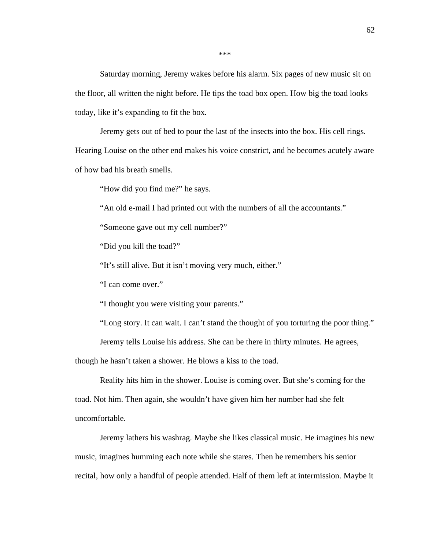Saturday morning, Jeremy wakes before his alarm. Six pages of new music sit on the floor, all written the night before. He tips the toad box open. How big the toad looks today, like it's expanding to fit the box.

Jeremy gets out of bed to pour the last of the insects into the box. His cell rings.

Hearing Louise on the other end makes his voice constrict, and he becomes acutely aware of how bad his breath smells.

"How did you find me?" he says.

"An old e-mail I had printed out with the numbers of all the accountants."

"Someone gave out my cell number?"

"Did you kill the toad?"

"It's still alive. But it isn't moving very much, either."

"I can come over."

"I thought you were visiting your parents."

"Long story. It can wait. I can't stand the thought of you torturing the poor thing."

Jeremy tells Louise his address. She can be there in thirty minutes. He agrees,

though he hasn't taken a shower. He blows a kiss to the toad.

Reality hits him in the shower. Louise is coming over. But she's coming for the toad. Not him. Then again, she wouldn't have given him her number had she felt uncomfortable.

Jeremy lathers his washrag. Maybe she likes classical music. He imagines his new music, imagines humming each note while she stares. Then he remembers his senior recital, how only a handful of people attended. Half of them left at intermission. Maybe it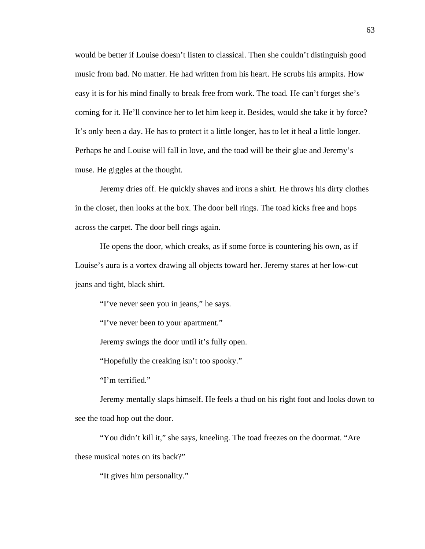would be better if Louise doesn't listen to classical. Then she couldn't distinguish good music from bad. No matter. He had written from his heart. He scrubs his armpits. How easy it is for his mind finally to break free from work. The toad. He can't forget she's coming for it. He'll convince her to let him keep it. Besides, would she take it by force? It's only been a day. He has to protect it a little longer, has to let it heal a little longer. Perhaps he and Louise will fall in love, and the toad will be their glue and Jeremy's muse. He giggles at the thought.

Jeremy dries off. He quickly shaves and irons a shirt. He throws his dirty clothes in the closet, then looks at the box. The door bell rings. The toad kicks free and hops across the carpet. The door bell rings again.

He opens the door, which creaks, as if some force is countering his own, as if Louise's aura is a vortex drawing all objects toward her. Jeremy stares at her low-cut jeans and tight, black shirt.

"I've never seen you in jeans," he says.

"I've never been to your apartment."

Jeremy swings the door until it's fully open.

"Hopefully the creaking isn't too spooky."

"I'm terrified."

Jeremy mentally slaps himself. He feels a thud on his right foot and looks down to see the toad hop out the door.

"You didn't kill it," she says, kneeling. The toad freezes on the doormat. "Are these musical notes on its back?"

"It gives him personality."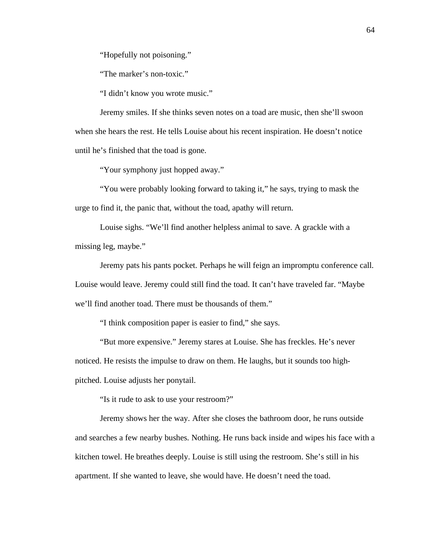"Hopefully not poisoning."

"The marker's non-toxic."

"I didn't know you wrote music."

Jeremy smiles. If she thinks seven notes on a toad are music, then she'll swoon when she hears the rest. He tells Louise about his recent inspiration. He doesn't notice until he's finished that the toad is gone.

"Your symphony just hopped away."

"You were probably looking forward to taking it," he says, trying to mask the urge to find it, the panic that, without the toad, apathy will return.

Louise sighs. "We'll find another helpless animal to save. A grackle with a missing leg, maybe."

Jeremy pats his pants pocket. Perhaps he will feign an impromptu conference call. Louise would leave. Jeremy could still find the toad. It can't have traveled far. "Maybe we'll find another toad. There must be thousands of them."

"I think composition paper is easier to find," she says.

"But more expensive." Jeremy stares at Louise. She has freckles. He's never noticed. He resists the impulse to draw on them. He laughs, but it sounds too highpitched. Louise adjusts her ponytail.

"Is it rude to ask to use your restroom?"

Jeremy shows her the way. After she closes the bathroom door, he runs outside and searches a few nearby bushes. Nothing. He runs back inside and wipes his face with a kitchen towel. He breathes deeply. Louise is still using the restroom. She's still in his apartment. If she wanted to leave, she would have. He doesn't need the toad.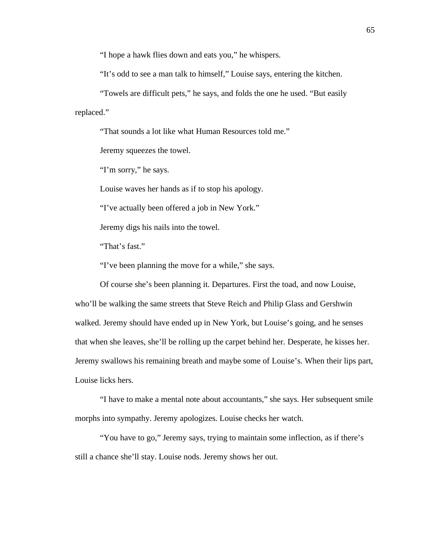"I hope a hawk flies down and eats you," he whispers.

"It's odd to see a man talk to himself," Louise says, entering the kitchen.

"Towels are difficult pets," he says, and folds the one he used. "But easily replaced."

"That sounds a lot like what Human Resources told me."

Jeremy squeezes the towel.

"I'm sorry," he says.

Louise waves her hands as if to stop his apology.

"I've actually been offered a job in New York."

Jeremy digs his nails into the towel.

"That's fast."

"I've been planning the move for a while," she says.

Of course she's been planning it. Departures. First the toad, and now Louise, who'll be walking the same streets that Steve Reich and Philip Glass and Gershwin walked. Jeremy should have ended up in New York, but Louise's going, and he senses that when she leaves, she'll be rolling up the carpet behind her. Desperate, he kisses her. Jeremy swallows his remaining breath and maybe some of Louise's. When their lips part, Louise licks hers.

"I have to make a mental note about accountants," she says. Her subsequent smile morphs into sympathy. Jeremy apologizes. Louise checks her watch.

"You have to go," Jeremy says, trying to maintain some inflection, as if there's still a chance she'll stay. Louise nods. Jeremy shows her out.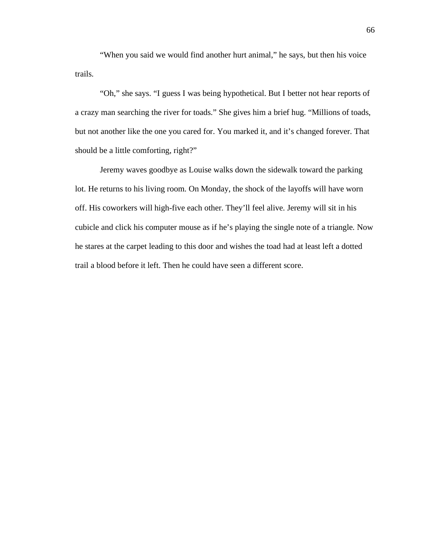"When you said we would find another hurt animal," he says, but then his voice trails.

"Oh," she says. "I guess I was being hypothetical. But I better not hear reports of a crazy man searching the river for toads." She gives him a brief hug. "Millions of toads, but not another like the one you cared for. You marked it, and it's changed forever. That should be a little comforting, right?"

Jeremy waves goodbye as Louise walks down the sidewalk toward the parking lot. He returns to his living room. On Monday, the shock of the layoffs will have worn off. His coworkers will high-five each other. They'll feel alive. Jeremy will sit in his cubicle and click his computer mouse as if he's playing the single note of a triangle. Now he stares at the carpet leading to this door and wishes the toad had at least left a dotted trail a blood before it left. Then he could have seen a different score.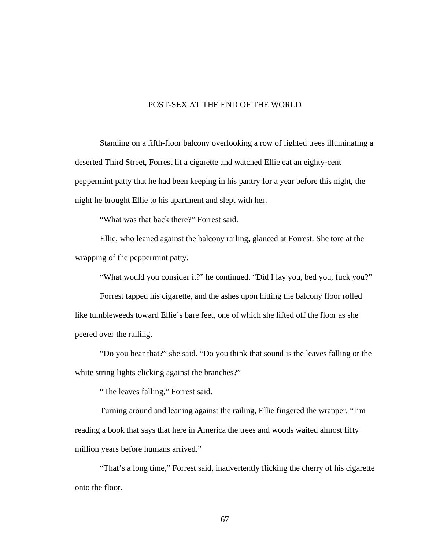## POST-SEX AT THE END OF THE WORLD

Standing on a fifth-floor balcony overlooking a row of lighted trees illuminating a deserted Third Street, Forrest lit a cigarette and watched Ellie eat an eighty-cent peppermint patty that he had been keeping in his pantry for a year before this night, the night he brought Ellie to his apartment and slept with her.

"What was that back there?" Forrest said.

Ellie, who leaned against the balcony railing, glanced at Forrest. She tore at the wrapping of the peppermint patty.

"What would you consider it?" he continued. "Did I lay you, bed you, fuck you?"

Forrest tapped his cigarette, and the ashes upon hitting the balcony floor rolled like tumbleweeds toward Ellie's bare feet, one of which she lifted off the floor as she peered over the railing.

"Do you hear that?" she said. "Do you think that sound is the leaves falling or the white string lights clicking against the branches?"

"The leaves falling," Forrest said.

Turning around and leaning against the railing, Ellie fingered the wrapper. "I'm reading a book that says that here in America the trees and woods waited almost fifty million years before humans arrived."

"That's a long time," Forrest said, inadvertently flicking the cherry of his cigarette onto the floor.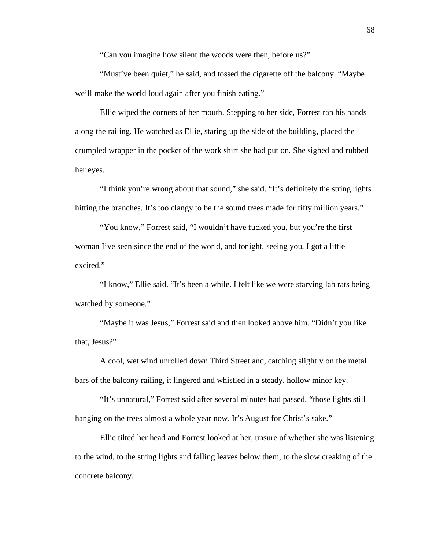"Can you imagine how silent the woods were then, before us?"

"Must've been quiet," he said, and tossed the cigarette off the balcony. "Maybe we'll make the world loud again after you finish eating."

Ellie wiped the corners of her mouth. Stepping to her side, Forrest ran his hands along the railing. He watched as Ellie, staring up the side of the building, placed the crumpled wrapper in the pocket of the work shirt she had put on. She sighed and rubbed her eyes.

"I think you're wrong about that sound," she said. "It's definitely the string lights hitting the branches. It's too clangy to be the sound trees made for fifty million years."

"You know," Forrest said, "I wouldn't have fucked you, but you're the first woman I've seen since the end of the world, and tonight, seeing you, I got a little excited."

"I know," Ellie said. "It's been a while. I felt like we were starving lab rats being watched by someone."

"Maybe it was Jesus," Forrest said and then looked above him. "Didn't you like that, Jesus?"

A cool, wet wind unrolled down Third Street and, catching slightly on the metal bars of the balcony railing, it lingered and whistled in a steady, hollow minor key.

"It's unnatural," Forrest said after several minutes had passed, "those lights still hanging on the trees almost a whole year now. It's August for Christ's sake."

Ellie tilted her head and Forrest looked at her, unsure of whether she was listening to the wind, to the string lights and falling leaves below them, to the slow creaking of the concrete balcony.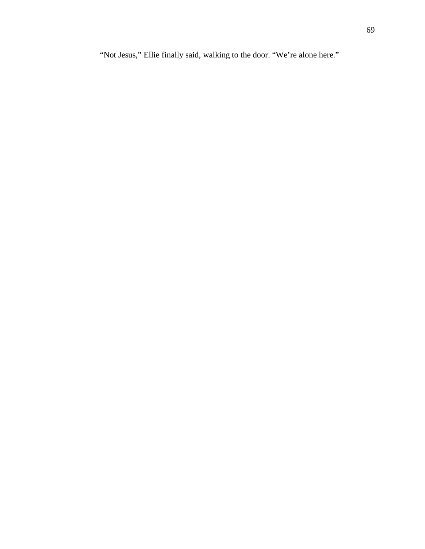"Not Jesus," Ellie finally said, walking to the door. "We're alone here."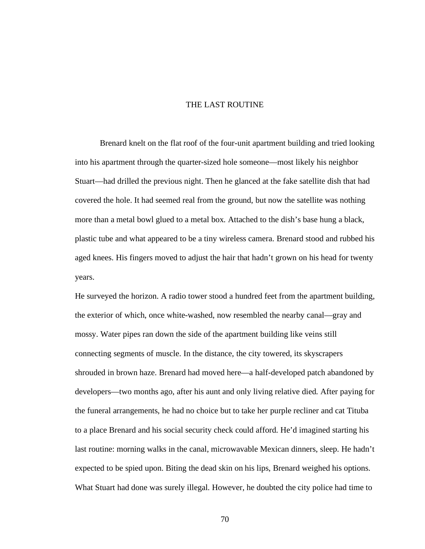## THE LAST ROUTINE

Brenard knelt on the flat roof of the four-unit apartment building and tried looking into his apartment through the quarter-sized hole someone—most likely his neighbor Stuart—had drilled the previous night. Then he glanced at the fake satellite dish that had covered the hole. It had seemed real from the ground, but now the satellite was nothing more than a metal bowl glued to a metal box. Attached to the dish's base hung a black, plastic tube and what appeared to be a tiny wireless camera. Brenard stood and rubbed his aged knees. His fingers moved to adjust the hair that hadn't grown on his head for twenty years.

He surveyed the horizon. A radio tower stood a hundred feet from the apartment building, the exterior of which, once white-washed, now resembled the nearby canal—gray and mossy. Water pipes ran down the side of the apartment building like veins still connecting segments of muscle. In the distance, the city towered, its skyscrapers shrouded in brown haze. Brenard had moved here—a half-developed patch abandoned by developers—two months ago, after his aunt and only living relative died. After paying for the funeral arrangements, he had no choice but to take her purple recliner and cat Tituba to a place Brenard and his social security check could afford. He'd imagined starting his last routine: morning walks in the canal, microwavable Mexican dinners, sleep. He hadn't expected to be spied upon. Biting the dead skin on his lips, Brenard weighed his options. What Stuart had done was surely illegal. However, he doubted the city police had time to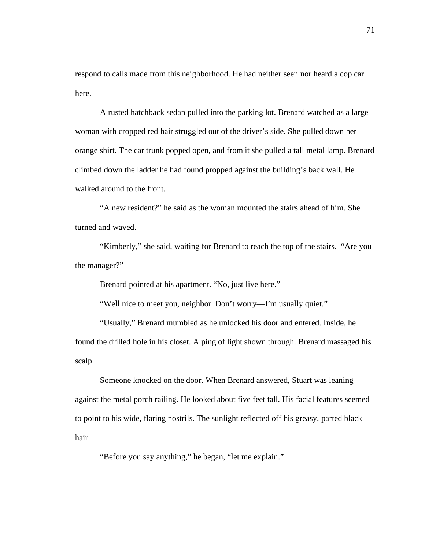respond to calls made from this neighborhood. He had neither seen nor heard a cop car here.

A rusted hatchback sedan pulled into the parking lot. Brenard watched as a large woman with cropped red hair struggled out of the driver's side. She pulled down her orange shirt. The car trunk popped open, and from it she pulled a tall metal lamp. Brenard climbed down the ladder he had found propped against the building's back wall. He walked around to the front.

"A new resident?" he said as the woman mounted the stairs ahead of him. She turned and waved.

"Kimberly," she said, waiting for Brenard to reach the top of the stairs. "Are you the manager?"

Brenard pointed at his apartment. "No, just live here."

"Well nice to meet you, neighbor. Don't worry—I'm usually quiet."

"Usually," Brenard mumbled as he unlocked his door and entered. Inside, he found the drilled hole in his closet. A ping of light shown through. Brenard massaged his scalp.

Someone knocked on the door. When Brenard answered, Stuart was leaning against the metal porch railing. He looked about five feet tall. His facial features seemed to point to his wide, flaring nostrils. The sunlight reflected off his greasy, parted black hair.

"Before you say anything," he began, "let me explain."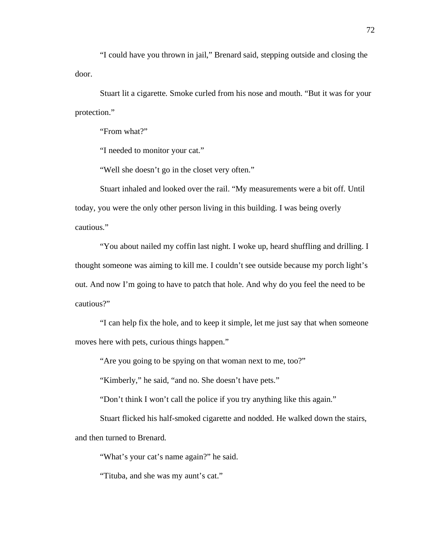"I could have you thrown in jail," Brenard said, stepping outside and closing the door.

Stuart lit a cigarette. Smoke curled from his nose and mouth. "But it was for your protection."

"From what?"

"I needed to monitor your cat."

"Well she doesn't go in the closet very often."

Stuart inhaled and looked over the rail. "My measurements were a bit off. Until today, you were the only other person living in this building. I was being overly cautious."

"You about nailed my coffin last night. I woke up, heard shuffling and drilling. I thought someone was aiming to kill me. I couldn't see outside because my porch light's out. And now I'm going to have to patch that hole. And why do you feel the need to be cautious?"

"I can help fix the hole, and to keep it simple, let me just say that when someone moves here with pets, curious things happen."

"Are you going to be spying on that woman next to me, too?"

"Kimberly," he said, "and no. She doesn't have pets."

"Don't think I won't call the police if you try anything like this again."

Stuart flicked his half-smoked cigarette and nodded. He walked down the stairs, and then turned to Brenard.

"What's your cat's name again?" he said.

"Tituba, and she was my aunt's cat."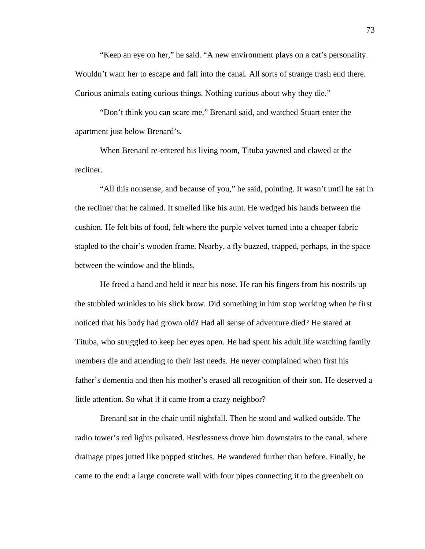"Keep an eye on her," he said. "A new environment plays on a cat's personality. Wouldn't want her to escape and fall into the canal. All sorts of strange trash end there. Curious animals eating curious things. Nothing curious about why they die."

"Don't think you can scare me," Brenard said, and watched Stuart enter the apartment just below Brenard's.

When Brenard re-entered his living room, Tituba yawned and clawed at the recliner.

"All this nonsense, and because of you," he said, pointing. It wasn't until he sat in the recliner that he calmed. It smelled like his aunt. He wedged his hands between the cushion. He felt bits of food, felt where the purple velvet turned into a cheaper fabric stapled to the chair's wooden frame. Nearby, a fly buzzed, trapped, perhaps, in the space between the window and the blinds.

He freed a hand and held it near his nose. He ran his fingers from his nostrils up the stubbled wrinkles to his slick brow. Did something in him stop working when he first noticed that his body had grown old? Had all sense of adventure died? He stared at Tituba, who struggled to keep her eyes open. He had spent his adult life watching family members die and attending to their last needs. He never complained when first his father's dementia and then his mother's erased all recognition of their son. He deserved a little attention. So what if it came from a crazy neighbor?

Brenard sat in the chair until nightfall. Then he stood and walked outside. The radio tower's red lights pulsated. Restlessness drove him downstairs to the canal, where drainage pipes jutted like popped stitches. He wandered further than before. Finally, he came to the end: a large concrete wall with four pipes connecting it to the greenbelt on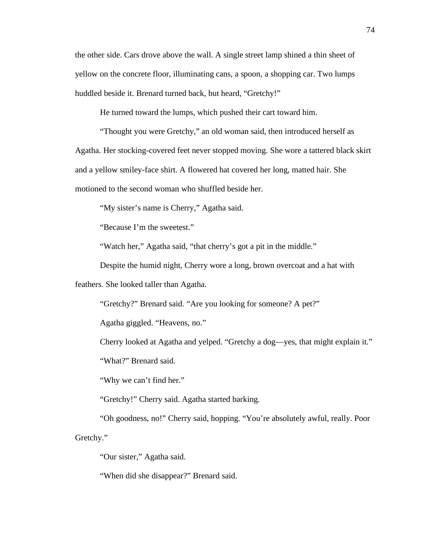the other side. Cars drove above the wall. A single street lamp shined a thin sheet of yellow on the concrete floor, illuminating cans, a spoon, a shopping car. Two lumps huddled beside it. Brenard turned back, but heard, "Gretchy!"

He turned toward the lumps, which pushed their cart toward him.

"Thought you were Gretchy," an old woman said, then introduced herself as Agatha. Her stocking-covered feet never stopped moving. She wore a tattered black skirt and a yellow smiley-face shirt. A flowered hat covered her long, matted hair. She motioned to the second woman who shuffled beside her.

"My sister's name is Cherry," Agatha said.

"Because I'm the sweetest."

"Watch her," Agatha said, "that cherry's got a pit in the middle."

Despite the humid night, Cherry wore a long, brown overcoat and a hat with

feathers. She looked taller than Agatha.

"Gretchy?" Brenard said. "Are you looking for someone? A pet?"

Agatha giggled. "Heavens, no."

Cherry looked at Agatha and yelped. "Gretchy a dog—yes, that might explain it."

"What?" Brenard said.

"Why we can't find her."

"Gretchy!" Cherry said. Agatha started barking.

"Oh goodness, no!" Cherry said, hopping. "You're absolutely awful, really. Poor Gretchy."

"Our sister," Agatha said.

"When did she disappear?" Brenard said.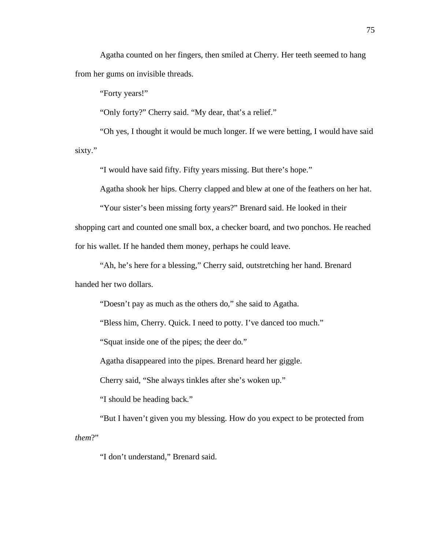Agatha counted on her fingers, then smiled at Cherry. Her teeth seemed to hang from her gums on invisible threads.

"Forty years!"

"Only forty?" Cherry said. "My dear, that's a relief."

"Oh yes, I thought it would be much longer. If we were betting, I would have said sixty."

"I would have said fifty. Fifty years missing. But there's hope."

Agatha shook her hips. Cherry clapped and blew at one of the feathers on her hat.

"Your sister's been missing forty years?" Brenard said. He looked in their

shopping cart and counted one small box, a checker board, and two ponchos. He reached

for his wallet. If he handed them money, perhaps he could leave.

"Ah, he's here for a blessing," Cherry said, outstretching her hand. Brenard handed her two dollars.

"Doesn't pay as much as the others do," she said to Agatha.

"Bless him, Cherry. Quick. I need to potty. I've danced too much."

"Squat inside one of the pipes; the deer do."

Agatha disappeared into the pipes. Brenard heard her giggle.

Cherry said, "She always tinkles after she's woken up."

"I should be heading back."

"But I haven't given you my blessing. How do you expect to be protected from *them*?"

"I don't understand," Brenard said.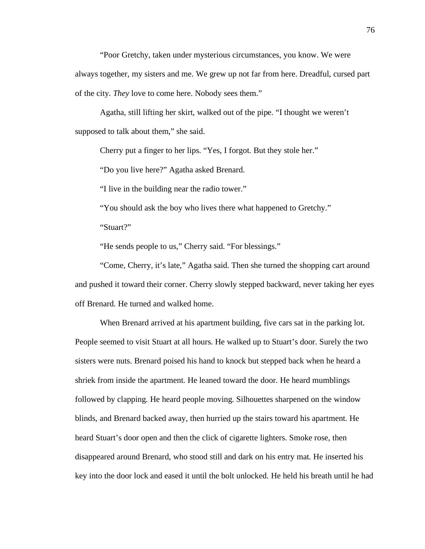"Poor Gretchy, taken under mysterious circumstances, you know. We were always together, my sisters and me. We grew up not far from here. Dreadful, cursed part of the city. *They* love to come here. Nobody sees them."

Agatha, still lifting her skirt, walked out of the pipe. "I thought we weren't supposed to talk about them," she said.

Cherry put a finger to her lips. "Yes, I forgot. But they stole her."

"Do you live here?" Agatha asked Brenard.

"I live in the building near the radio tower."

"You should ask the boy who lives there what happened to Gretchy."

"Stuart?"

"He sends people to us," Cherry said. "For blessings."

"Come, Cherry, it's late," Agatha said. Then she turned the shopping cart around and pushed it toward their corner. Cherry slowly stepped backward, never taking her eyes off Brenard. He turned and walked home.

When Brenard arrived at his apartment building, five cars sat in the parking lot. People seemed to visit Stuart at all hours. He walked up to Stuart's door. Surely the two sisters were nuts. Brenard poised his hand to knock but stepped back when he heard a shriek from inside the apartment. He leaned toward the door. He heard mumblings followed by clapping. He heard people moving. Silhouettes sharpened on the window blinds, and Brenard backed away, then hurried up the stairs toward his apartment. He heard Stuart's door open and then the click of cigarette lighters. Smoke rose, then disappeared around Brenard, who stood still and dark on his entry mat. He inserted his key into the door lock and eased it until the bolt unlocked. He held his breath until he had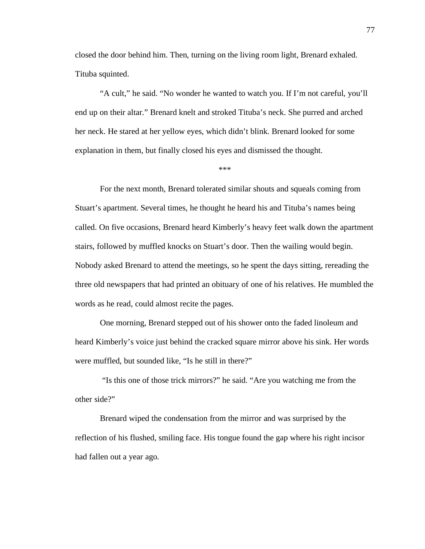closed the door behind him. Then, turning on the living room light, Brenard exhaled. Tituba squinted.

"A cult," he said. "No wonder he wanted to watch you. If I'm not careful, you'll end up on their altar." Brenard knelt and stroked Tituba's neck. She purred and arched her neck. He stared at her yellow eyes, which didn't blink. Brenard looked for some explanation in them, but finally closed his eyes and dismissed the thought.

\*\*\*

For the next month, Brenard tolerated similar shouts and squeals coming from Stuart's apartment. Several times, he thought he heard his and Tituba's names being called. On five occasions, Brenard heard Kimberly's heavy feet walk down the apartment stairs, followed by muffled knocks on Stuart's door. Then the wailing would begin. Nobody asked Brenard to attend the meetings, so he spent the days sitting, rereading the three old newspapers that had printed an obituary of one of his relatives. He mumbled the words as he read, could almost recite the pages.

One morning, Brenard stepped out of his shower onto the faded linoleum and heard Kimberly's voice just behind the cracked square mirror above his sink. Her words were muffled, but sounded like, "Is he still in there?"

 "Is this one of those trick mirrors?" he said. "Are you watching me from the other side?"

Brenard wiped the condensation from the mirror and was surprised by the reflection of his flushed, smiling face. His tongue found the gap where his right incisor had fallen out a year ago.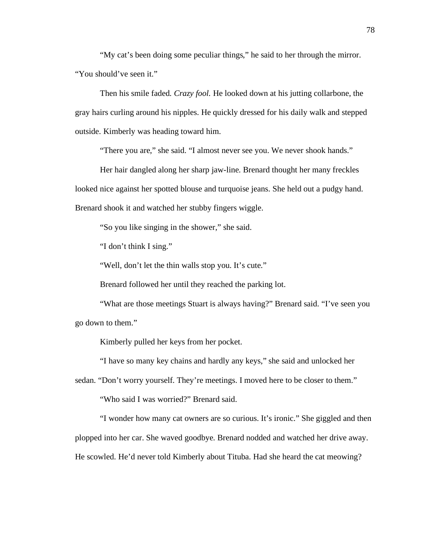"My cat's been doing some peculiar things," he said to her through the mirror. "You should've seen it."

Then his smile faded. *Crazy fool.* He looked down at his jutting collarbone, the gray hairs curling around his nipples. He quickly dressed for his daily walk and stepped outside. Kimberly was heading toward him.

"There you are," she said. "I almost never see you. We never shook hands."

Her hair dangled along her sharp jaw-line. Brenard thought her many freckles looked nice against her spotted blouse and turquoise jeans. She held out a pudgy hand. Brenard shook it and watched her stubby fingers wiggle.

"So you like singing in the shower," she said.

"I don't think I sing."

"Well, don't let the thin walls stop you. It's cute."

Brenard followed her until they reached the parking lot.

"What are those meetings Stuart is always having?" Brenard said. "I've seen you go down to them."

Kimberly pulled her keys from her pocket.

"I have so many key chains and hardly any keys," she said and unlocked her

sedan. "Don't worry yourself. They're meetings. I moved here to be closer to them."

"Who said I was worried?" Brenard said.

"I wonder how many cat owners are so curious. It's ironic." She giggled and then plopped into her car. She waved goodbye. Brenard nodded and watched her drive away. He scowled. He'd never told Kimberly about Tituba. Had she heard the cat meowing?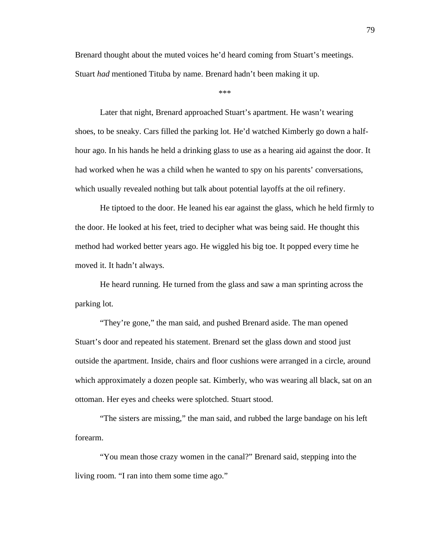Brenard thought about the muted voices he'd heard coming from Stuart's meetings. Stuart *had* mentioned Tituba by name. Brenard hadn't been making it up.

\*\*\*

Later that night, Brenard approached Stuart's apartment. He wasn't wearing shoes, to be sneaky. Cars filled the parking lot. He'd watched Kimberly go down a halfhour ago. In his hands he held a drinking glass to use as a hearing aid against the door. It had worked when he was a child when he wanted to spy on his parents' conversations, which usually revealed nothing but talk about potential layoffs at the oil refinery.

He tiptoed to the door. He leaned his ear against the glass, which he held firmly to the door. He looked at his feet, tried to decipher what was being said. He thought this method had worked better years ago. He wiggled his big toe. It popped every time he moved it. It hadn't always.

He heard running. He turned from the glass and saw a man sprinting across the parking lot.

"They're gone," the man said, and pushed Brenard aside. The man opened Stuart's door and repeated his statement. Brenard set the glass down and stood just outside the apartment. Inside, chairs and floor cushions were arranged in a circle, around which approximately a dozen people sat. Kimberly, who was wearing all black, sat on an ottoman. Her eyes and cheeks were splotched. Stuart stood.

"The sisters are missing," the man said, and rubbed the large bandage on his left forearm.

"You mean those crazy women in the canal?" Brenard said, stepping into the living room. "I ran into them some time ago."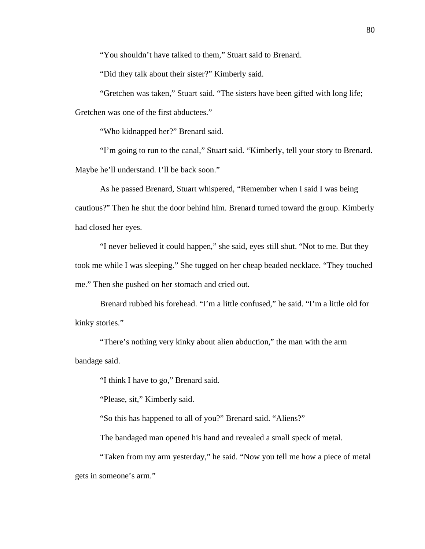"You shouldn't have talked to them," Stuart said to Brenard.

"Did they talk about their sister?" Kimberly said.

"Gretchen was taken," Stuart said. "The sisters have been gifted with long life; Gretchen was one of the first abductees."

"Who kidnapped her?" Brenard said.

"I'm going to run to the canal," Stuart said. "Kimberly, tell your story to Brenard. Maybe he'll understand. I'll be back soon."

As he passed Brenard, Stuart whispered, "Remember when I said I was being cautious?" Then he shut the door behind him. Brenard turned toward the group. Kimberly had closed her eyes.

"I never believed it could happen," she said, eyes still shut. "Not to me. But they took me while I was sleeping." She tugged on her cheap beaded necklace. "They touched me." Then she pushed on her stomach and cried out.

Brenard rubbed his forehead. "I'm a little confused," he said. "I'm a little old for kinky stories."

"There's nothing very kinky about alien abduction," the man with the arm bandage said.

"I think I have to go," Brenard said.

"Please, sit," Kimberly said.

"So this has happened to all of you?" Brenard said. "Aliens?"

The bandaged man opened his hand and revealed a small speck of metal.

"Taken from my arm yesterday," he said. "Now you tell me how a piece of metal gets in someone's arm."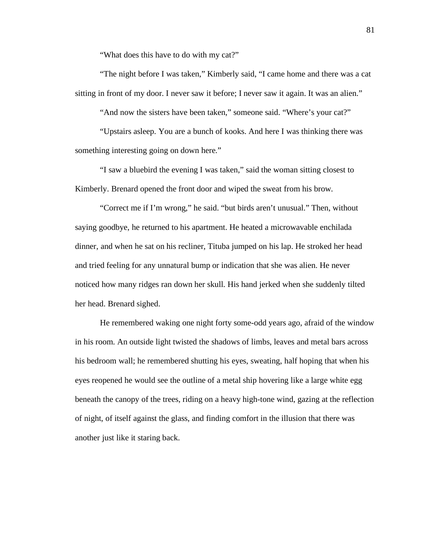"What does this have to do with my cat?"

"The night before I was taken," Kimberly said, "I came home and there was a cat sitting in front of my door. I never saw it before; I never saw it again. It was an alien."

"And now the sisters have been taken," someone said. "Where's your cat?"

"Upstairs asleep. You are a bunch of kooks. And here I was thinking there was something interesting going on down here."

"I saw a bluebird the evening I was taken," said the woman sitting closest to Kimberly. Brenard opened the front door and wiped the sweat from his brow.

"Correct me if I'm wrong," he said. "but birds aren't unusual." Then, without saying goodbye, he returned to his apartment. He heated a microwavable enchilada dinner, and when he sat on his recliner, Tituba jumped on his lap. He stroked her head and tried feeling for any unnatural bump or indication that she was alien. He never noticed how many ridges ran down her skull. His hand jerked when she suddenly tilted her head. Brenard sighed.

He remembered waking one night forty some-odd years ago, afraid of the window in his room. An outside light twisted the shadows of limbs, leaves and metal bars across his bedroom wall; he remembered shutting his eyes, sweating, half hoping that when his eyes reopened he would see the outline of a metal ship hovering like a large white egg beneath the canopy of the trees, riding on a heavy high-tone wind, gazing at the reflection of night, of itself against the glass, and finding comfort in the illusion that there was another just like it staring back.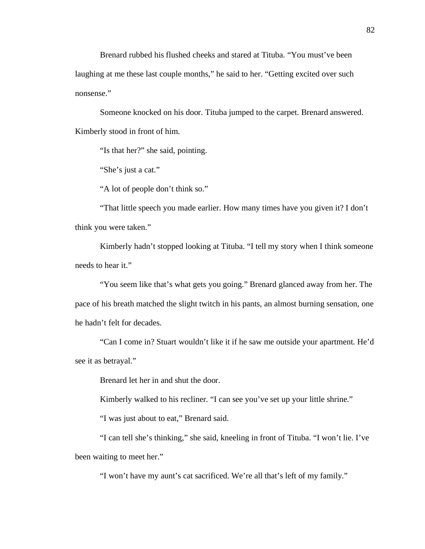Brenard rubbed his flushed cheeks and stared at Tituba. "You must've been laughing at me these last couple months," he said to her. "Getting excited over such nonsense."

Someone knocked on his door. Tituba jumped to the carpet. Brenard answered. Kimberly stood in front of him.

"Is that her?" she said, pointing.

"She's just a cat."

"A lot of people don't think so."

"That little speech you made earlier. How many times have you given it? I don't think you were taken."

Kimberly hadn't stopped looking at Tituba. "I tell my story when I think someone needs to hear it."

"You seem like that's what gets you going." Brenard glanced away from her. The pace of his breath matched the slight twitch in his pants, an almost burning sensation, one he hadn't felt for decades.

"Can I come in? Stuart wouldn't like it if he saw me outside your apartment. He'd see it as betrayal."

Brenard let her in and shut the door.

Kimberly walked to his recliner. "I can see you've set up your little shrine."

"I was just about to eat," Brenard said.

"I can tell she's thinking," she said, kneeling in front of Tituba. "I won't lie. I've been waiting to meet her."

"I won't have my aunt's cat sacrificed. We're all that's left of my family."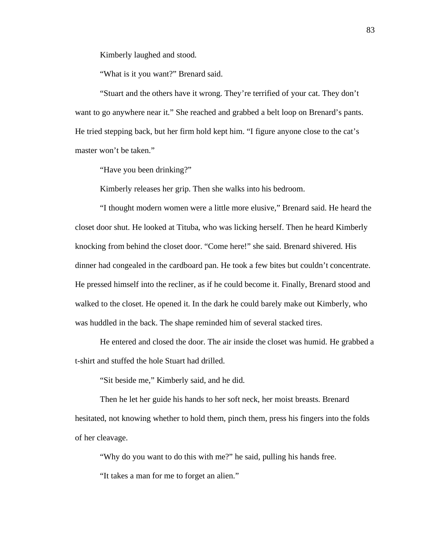Kimberly laughed and stood.

"What is it you want?" Brenard said.

"Stuart and the others have it wrong. They're terrified of your cat. They don't want to go anywhere near it." She reached and grabbed a belt loop on Brenard's pants. He tried stepping back, but her firm hold kept him. "I figure anyone close to the cat's master won't be taken."

"Have you been drinking?"

Kimberly releases her grip. Then she walks into his bedroom.

"I thought modern women were a little more elusive," Brenard said. He heard the closet door shut. He looked at Tituba, who was licking herself. Then he heard Kimberly knocking from behind the closet door. "Come here!" she said. Brenard shivered. His dinner had congealed in the cardboard pan. He took a few bites but couldn't concentrate. He pressed himself into the recliner, as if he could become it. Finally, Brenard stood and walked to the closet. He opened it. In the dark he could barely make out Kimberly, who was huddled in the back. The shape reminded him of several stacked tires.

He entered and closed the door. The air inside the closet was humid. He grabbed a t-shirt and stuffed the hole Stuart had drilled.

"Sit beside me," Kimberly said, and he did.

Then he let her guide his hands to her soft neck, her moist breasts. Brenard hesitated, not knowing whether to hold them, pinch them, press his fingers into the folds of her cleavage.

"Why do you want to do this with me?" he said, pulling his hands free.

"It takes a man for me to forget an alien."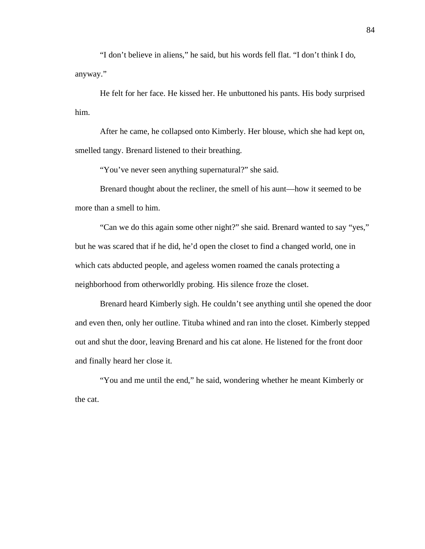"I don't believe in aliens," he said, but his words fell flat. "I don't think I do, anyway."

He felt for her face. He kissed her. He unbuttoned his pants. His body surprised him.

After he came, he collapsed onto Kimberly. Her blouse, which she had kept on, smelled tangy. Brenard listened to their breathing.

"You've never seen anything supernatural?" she said.

Brenard thought about the recliner, the smell of his aunt—how it seemed to be more than a smell to him.

"Can we do this again some other night?" she said. Brenard wanted to say "yes," but he was scared that if he did, he'd open the closet to find a changed world, one in which cats abducted people, and ageless women roamed the canals protecting a neighborhood from otherworldly probing. His silence froze the closet.

Brenard heard Kimberly sigh. He couldn't see anything until she opened the door and even then, only her outline. Tituba whined and ran into the closet. Kimberly stepped out and shut the door, leaving Brenard and his cat alone. He listened for the front door and finally heard her close it.

"You and me until the end," he said, wondering whether he meant Kimberly or the cat.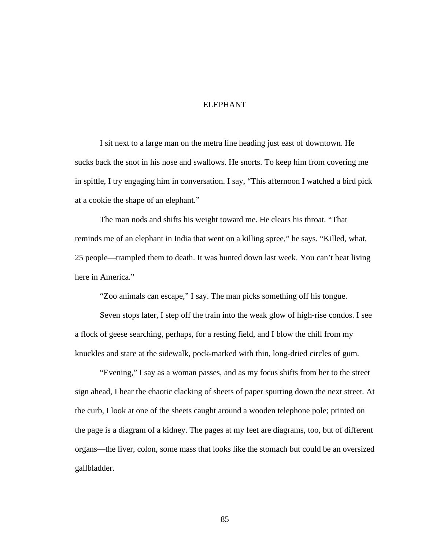## ELEPHANT

I sit next to a large man on the metra line heading just east of downtown. He sucks back the snot in his nose and swallows. He snorts. To keep him from covering me in spittle, I try engaging him in conversation. I say, "This afternoon I watched a bird pick at a cookie the shape of an elephant."

The man nods and shifts his weight toward me. He clears his throat. "That reminds me of an elephant in India that went on a killing spree," he says. "Killed, what, 25 people—trampled them to death. It was hunted down last week. You can't beat living here in America."

"Zoo animals can escape," I say. The man picks something off his tongue.

Seven stops later, I step off the train into the weak glow of high-rise condos. I see a flock of geese searching, perhaps, for a resting field, and I blow the chill from my knuckles and stare at the sidewalk, pock-marked with thin, long-dried circles of gum.

"Evening," I say as a woman passes, and as my focus shifts from her to the street sign ahead, I hear the chaotic clacking of sheets of paper spurting down the next street. At the curb, I look at one of the sheets caught around a wooden telephone pole; printed on the page is a diagram of a kidney. The pages at my feet are diagrams, too, but of different organs—the liver, colon, some mass that looks like the stomach but could be an oversized gallbladder.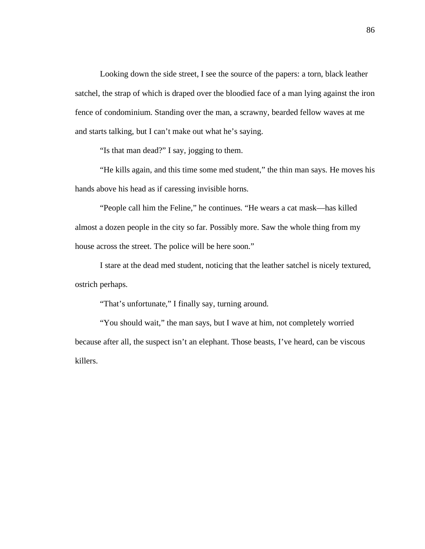Looking down the side street, I see the source of the papers: a torn, black leather satchel, the strap of which is draped over the bloodied face of a man lying against the iron fence of condominium. Standing over the man, a scrawny, bearded fellow waves at me and starts talking, but I can't make out what he's saying.

"Is that man dead?" I say, jogging to them.

"He kills again, and this time some med student," the thin man says. He moves his hands above his head as if caressing invisible horns.

"People call him the Feline," he continues. "He wears a cat mask—has killed almost a dozen people in the city so far. Possibly more. Saw the whole thing from my house across the street. The police will be here soon."

I stare at the dead med student, noticing that the leather satchel is nicely textured, ostrich perhaps.

"That's unfortunate," I finally say, turning around.

"You should wait," the man says, but I wave at him, not completely worried because after all, the suspect isn't an elephant. Those beasts, I've heard, can be viscous killers.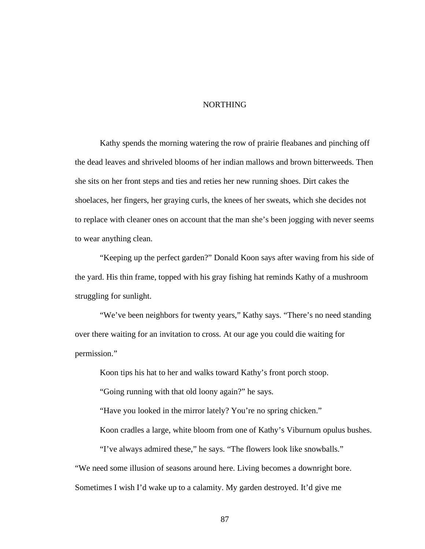## NORTHING

Kathy spends the morning watering the row of prairie fleabanes and pinching off the dead leaves and shriveled blooms of her indian mallows and brown bitterweeds. Then she sits on her front steps and ties and reties her new running shoes. Dirt cakes the shoelaces, her fingers, her graying curls, the knees of her sweats, which she decides not to replace with cleaner ones on account that the man she's been jogging with never seems to wear anything clean.

"Keeping up the perfect garden?" Donald Koon says after waving from his side of the yard. His thin frame, topped with his gray fishing hat reminds Kathy of a mushroom struggling for sunlight.

"We've been neighbors for twenty years," Kathy says. "There's no need standing over there waiting for an invitation to cross. At our age you could die waiting for permission."

Koon tips his hat to her and walks toward Kathy's front porch stoop.

"Going running with that old loony again?" he says.

"Have you looked in the mirror lately? You're no spring chicken."

Koon cradles a large, white bloom from one of Kathy's Viburnum opulus bushes.

"I've always admired these," he says. "The flowers look like snowballs."

"We need some illusion of seasons around here. Living becomes a downright bore.

Sometimes I wish I'd wake up to a calamity. My garden destroyed. It'd give me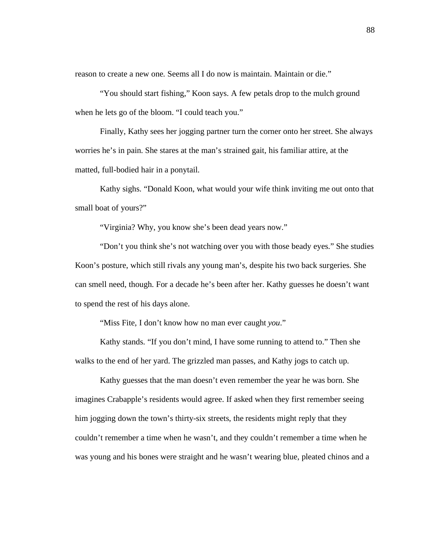reason to create a new one. Seems all I do now is maintain. Maintain or die."

"You should start fishing," Koon says. A few petals drop to the mulch ground when he lets go of the bloom. "I could teach you."

Finally, Kathy sees her jogging partner turn the corner onto her street. She always worries he's in pain. She stares at the man's strained gait, his familiar attire, at the matted, full-bodied hair in a ponytail.

Kathy sighs. "Donald Koon, what would your wife think inviting me out onto that small boat of yours?"

"Virginia? Why, you know she's been dead years now."

"Don't you think she's not watching over you with those beady eyes." She studies Koon's posture, which still rivals any young man's, despite his two back surgeries. She can smell need, though. For a decade he's been after her. Kathy guesses he doesn't want to spend the rest of his days alone.

"Miss Fite, I don't know how no man ever caught *you*."

Kathy stands. "If you don't mind, I have some running to attend to." Then she walks to the end of her yard. The grizzled man passes, and Kathy jogs to catch up.

Kathy guesses that the man doesn't even remember the year he was born. She imagines Crabapple's residents would agree. If asked when they first remember seeing him jogging down the town's thirty-six streets, the residents might reply that they couldn't remember a time when he wasn't, and they couldn't remember a time when he was young and his bones were straight and he wasn't wearing blue, pleated chinos and a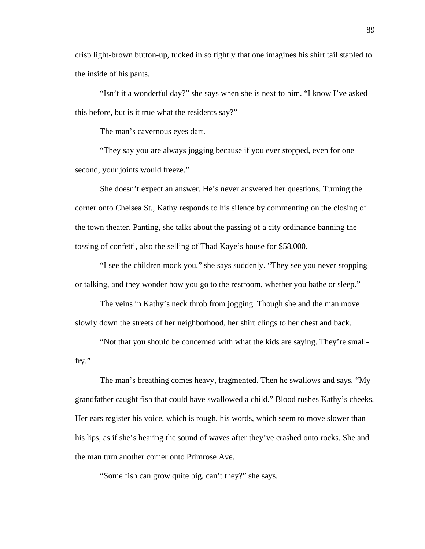crisp light-brown button-up, tucked in so tightly that one imagines his shirt tail stapled to the inside of his pants.

"Isn't it a wonderful day?" she says when she is next to him. "I know I've asked this before, but is it true what the residents say?"

The man's cavernous eyes dart.

"They say you are always jogging because if you ever stopped, even for one second, your joints would freeze."

She doesn't expect an answer. He's never answered her questions. Turning the corner onto Chelsea St., Kathy responds to his silence by commenting on the closing of the town theater. Panting, she talks about the passing of a city ordinance banning the tossing of confetti, also the selling of Thad Kaye's house for \$58,000.

"I see the children mock you," she says suddenly. "They see you never stopping or talking, and they wonder how you go to the restroom, whether you bathe or sleep."

The veins in Kathy's neck throb from jogging. Though she and the man move slowly down the streets of her neighborhood, her shirt clings to her chest and back.

"Not that you should be concerned with what the kids are saying. They're smallfry."

The man's breathing comes heavy, fragmented. Then he swallows and says, "My grandfather caught fish that could have swallowed a child." Blood rushes Kathy's cheeks. Her ears register his voice, which is rough, his words, which seem to move slower than his lips, as if she's hearing the sound of waves after they've crashed onto rocks. She and the man turn another corner onto Primrose Ave.

"Some fish can grow quite big, can't they?" she says.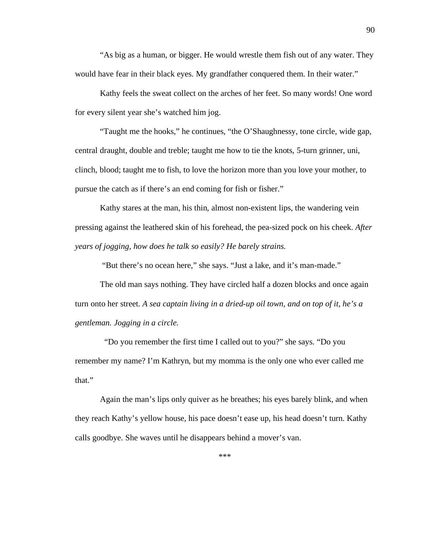"As big as a human, or bigger. He would wrestle them fish out of any water. They would have fear in their black eyes. My grandfather conquered them. In their water."

Kathy feels the sweat collect on the arches of her feet. So many words! One word for every silent year she's watched him jog.

"Taught me the hooks," he continues, "the O'Shaughnessy, tone circle, wide gap, central draught, double and treble; taught me how to tie the knots, 5-turn grinner, uni, clinch, blood; taught me to fish, to love the horizon more than you love your mother, to pursue the catch as if there's an end coming for fish or fisher."

Kathy stares at the man, his thin, almost non-existent lips, the wandering vein pressing against the leathered skin of his forehead, the pea-sized pock on his cheek. *After years of jogging, how does he talk so easily? He barely strains.*

"But there's no ocean here," she says. "Just a lake, and it's man-made."

The old man says nothing. They have circled half a dozen blocks and once again turn onto her street. *A sea captain living in a dried-up oil town, and on top of it, he's a gentleman. Jogging in a circle.*

 "Do you remember the first time I called out to you?" she says. "Do you remember my name? I'm Kathryn, but my momma is the only one who ever called me that."

Again the man's lips only quiver as he breathes; his eyes barely blink, and when they reach Kathy's yellow house, his pace doesn't ease up, his head doesn't turn. Kathy calls goodbye. She waves until he disappears behind a mover's van.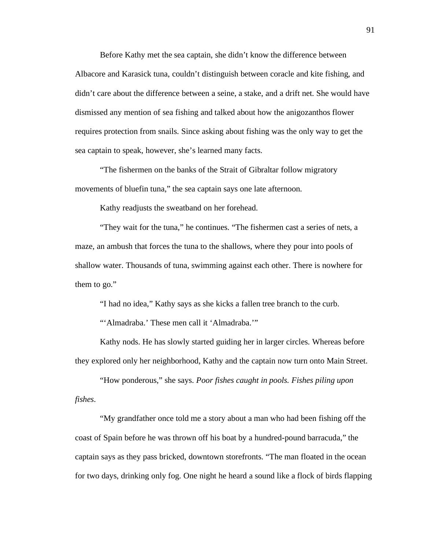Before Kathy met the sea captain, she didn't know the difference between Albacore and Karasick tuna, couldn't distinguish between coracle and kite fishing, and didn't care about the difference between a seine, a stake, and a drift net. She would have dismissed any mention of sea fishing and talked about how the anigozanthos flower requires protection from snails. Since asking about fishing was the only way to get the sea captain to speak, however, she's learned many facts.

"The fishermen on the banks of the Strait of Gibraltar follow migratory movements of bluefin tuna," the sea captain says one late afternoon.

Kathy readjusts the sweatband on her forehead.

"They wait for the tuna," he continues. "The fishermen cast a series of nets, a maze, an ambush that forces the tuna to the shallows, where they pour into pools of shallow water. Thousands of tuna, swimming against each other. There is nowhere for them to go."

"I had no idea," Kathy says as she kicks a fallen tree branch to the curb. "'Almadraba.' These men call it 'Almadraba.'"

Kathy nods. He has slowly started guiding her in larger circles. Whereas before they explored only her neighborhood, Kathy and the captain now turn onto Main Street.

"How ponderous," she says. *Poor fishes caught in pools. Fishes piling upon fishes*.

"My grandfather once told me a story about a man who had been fishing off the coast of Spain before he was thrown off his boat by a hundred-pound barracuda," the captain says as they pass bricked, downtown storefronts. "The man floated in the ocean for two days, drinking only fog. One night he heard a sound like a flock of birds flapping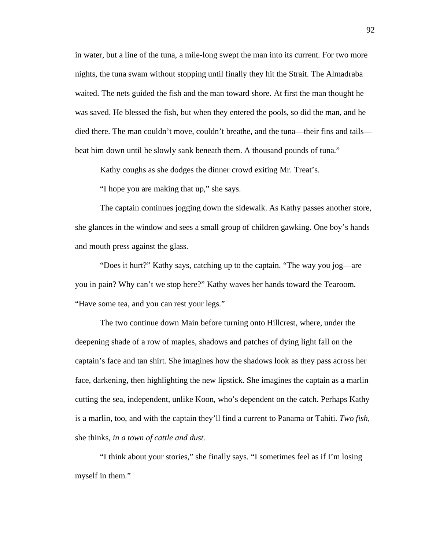in water, but a line of the tuna, a mile-long swept the man into its current. For two more nights, the tuna swam without stopping until finally they hit the Strait. The Almadraba waited. The nets guided the fish and the man toward shore. At first the man thought he was saved. He blessed the fish, but when they entered the pools, so did the man, and he died there. The man couldn't move, couldn't breathe, and the tuna—their fins and tails beat him down until he slowly sank beneath them. A thousand pounds of tuna."

Kathy coughs as she dodges the dinner crowd exiting Mr. Treat's.

"I hope you are making that up," she says.

The captain continues jogging down the sidewalk. As Kathy passes another store, she glances in the window and sees a small group of children gawking. One boy's hands and mouth press against the glass.

"Does it hurt?" Kathy says, catching up to the captain. "The way you jog—are you in pain? Why can't we stop here?" Kathy waves her hands toward the Tearoom. "Have some tea, and you can rest your legs."

The two continue down Main before turning onto Hillcrest, where, under the deepening shade of a row of maples, shadows and patches of dying light fall on the captain's face and tan shirt. She imagines how the shadows look as they pass across her face, darkening, then highlighting the new lipstick. She imagines the captain as a marlin cutting the sea, independent, unlike Koon, who's dependent on the catch. Perhaps Kathy is a marlin, too, and with the captain they'll find a current to Panama or Tahiti. *Two fish,*  she thinks, *in a town of cattle and dust.*

"I think about your stories," she finally says. "I sometimes feel as if I'm losing myself in them."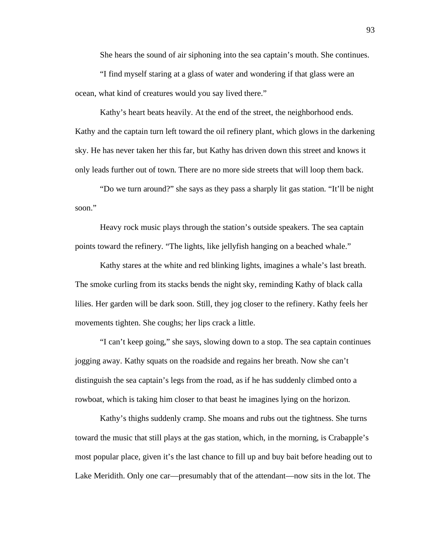She hears the sound of air siphoning into the sea captain's mouth. She continues.

"I find myself staring at a glass of water and wondering if that glass were an ocean, what kind of creatures would you say lived there."

Kathy's heart beats heavily. At the end of the street, the neighborhood ends. Kathy and the captain turn left toward the oil refinery plant, which glows in the darkening sky. He has never taken her this far, but Kathy has driven down this street and knows it only leads further out of town. There are no more side streets that will loop them back.

"Do we turn around?" she says as they pass a sharply lit gas station. "It'll be night soon."

Heavy rock music plays through the station's outside speakers. The sea captain points toward the refinery. "The lights, like jellyfish hanging on a beached whale."

Kathy stares at the white and red blinking lights, imagines a whale's last breath. The smoke curling from its stacks bends the night sky, reminding Kathy of black calla lilies. Her garden will be dark soon. Still, they jog closer to the refinery. Kathy feels her movements tighten. She coughs; her lips crack a little.

"I can't keep going," she says, slowing down to a stop. The sea captain continues jogging away. Kathy squats on the roadside and regains her breath. Now she can't distinguish the sea captain's legs from the road, as if he has suddenly climbed onto a rowboat, which is taking him closer to that beast he imagines lying on the horizon.

Kathy's thighs suddenly cramp. She moans and rubs out the tightness. She turns toward the music that still plays at the gas station, which, in the morning, is Crabapple's most popular place, given it's the last chance to fill up and buy bait before heading out to Lake Meridith. Only one car—presumably that of the attendant—now sits in the lot. The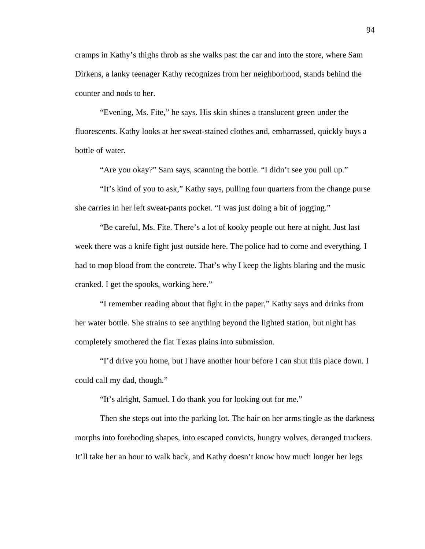cramps in Kathy's thighs throb as she walks past the car and into the store, where Sam Dirkens, a lanky teenager Kathy recognizes from her neighborhood, stands behind the counter and nods to her.

"Evening, Ms. Fite," he says. His skin shines a translucent green under the fluorescents. Kathy looks at her sweat-stained clothes and, embarrassed, quickly buys a bottle of water.

"Are you okay?" Sam says, scanning the bottle. "I didn't see you pull up."

"It's kind of you to ask," Kathy says, pulling four quarters from the change purse she carries in her left sweat-pants pocket. "I was just doing a bit of jogging."

"Be careful, Ms. Fite. There's a lot of kooky people out here at night. Just last week there was a knife fight just outside here. The police had to come and everything. I had to mop blood from the concrete. That's why I keep the lights blaring and the music cranked. I get the spooks, working here."

"I remember reading about that fight in the paper," Kathy says and drinks from her water bottle. She strains to see anything beyond the lighted station, but night has completely smothered the flat Texas plains into submission.

"I'd drive you home, but I have another hour before I can shut this place down. I could call my dad, though."

"It's alright, Samuel. I do thank you for looking out for me."

Then she steps out into the parking lot. The hair on her arms tingle as the darkness morphs into foreboding shapes, into escaped convicts, hungry wolves, deranged truckers. It'll take her an hour to walk back, and Kathy doesn't know how much longer her legs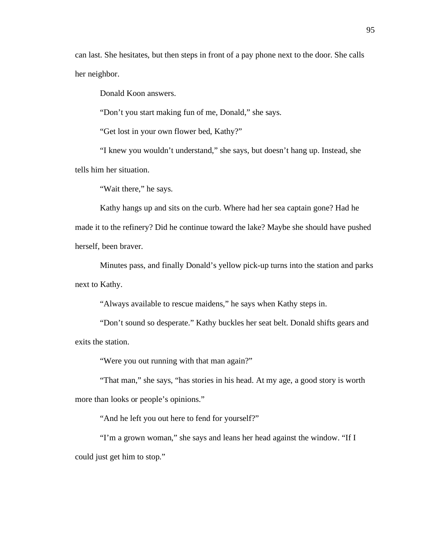can last. She hesitates, but then steps in front of a pay phone next to the door. She calls her neighbor.

Donald Koon answers.

"Don't you start making fun of me, Donald," she says.

"Get lost in your own flower bed, Kathy?"

"I knew you wouldn't understand," she says, but doesn't hang up. Instead, she tells him her situation.

"Wait there," he says.

Kathy hangs up and sits on the curb. Where had her sea captain gone? Had he made it to the refinery? Did he continue toward the lake? Maybe she should have pushed herself, been braver.

Minutes pass, and finally Donald's yellow pick-up turns into the station and parks next to Kathy.

"Always available to rescue maidens," he says when Kathy steps in.

"Don't sound so desperate." Kathy buckles her seat belt. Donald shifts gears and exits the station.

"Were you out running with that man again?"

"That man," she says, "has stories in his head. At my age, a good story is worth more than looks or people's opinions."

"And he left you out here to fend for yourself?"

"I'm a grown woman," she says and leans her head against the window. "If I could just get him to stop."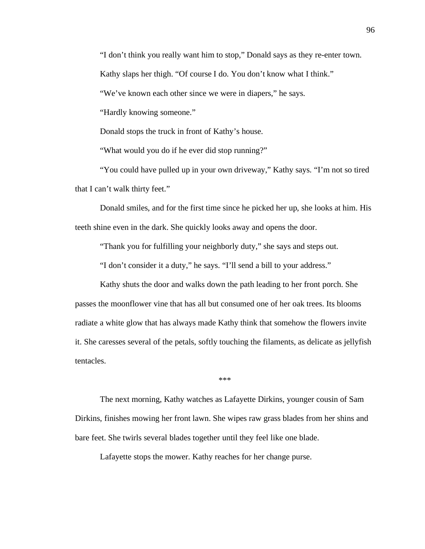"I don't think you really want him to stop," Donald says as they re-enter town.

Kathy slaps her thigh. "Of course I do. You don't know what I think."

"We've known each other since we were in diapers," he says.

"Hardly knowing someone."

Donald stops the truck in front of Kathy's house.

"What would you do if he ever did stop running?"

"You could have pulled up in your own driveway," Kathy says. "I'm not so tired that I can't walk thirty feet."

Donald smiles, and for the first time since he picked her up, she looks at him. His teeth shine even in the dark. She quickly looks away and opens the door.

"Thank you for fulfilling your neighborly duty," she says and steps out.

"I don't consider it a duty," he says. "I'll send a bill to your address."

Kathy shuts the door and walks down the path leading to her front porch. She passes the moonflower vine that has all but consumed one of her oak trees. Its blooms radiate a white glow that has always made Kathy think that somehow the flowers invite it. She caresses several of the petals, softly touching the filaments, as delicate as jellyfish tentacles.

\*\*\*

The next morning, Kathy watches as Lafayette Dirkins, younger cousin of Sam Dirkins, finishes mowing her front lawn. She wipes raw grass blades from her shins and bare feet. She twirls several blades together until they feel like one blade.

Lafayette stops the mower. Kathy reaches for her change purse.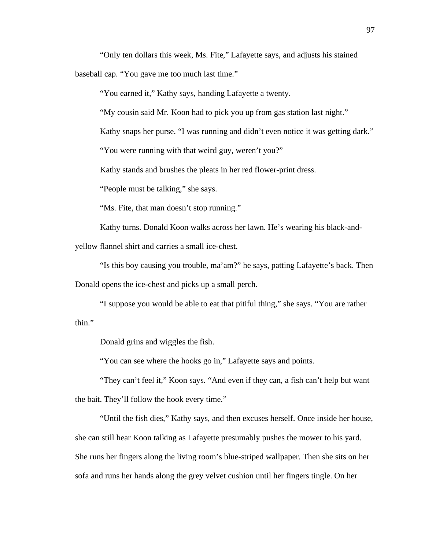"Only ten dollars this week, Ms. Fite," Lafayette says, and adjusts his stained

baseball cap. "You gave me too much last time."

"You earned it," Kathy says, handing Lafayette a twenty.

"My cousin said Mr. Koon had to pick you up from gas station last night."

Kathy snaps her purse. "I was running and didn't even notice it was getting dark."

"You were running with that weird guy, weren't you?"

Kathy stands and brushes the pleats in her red flower-print dress.

"People must be talking," she says.

"Ms. Fite, that man doesn't stop running."

Kathy turns. Donald Koon walks across her lawn. He's wearing his black-and-

yellow flannel shirt and carries a small ice-chest.

"Is this boy causing you trouble, ma'am?" he says, patting Lafayette's back. Then Donald opens the ice-chest and picks up a small perch.

"I suppose you would be able to eat that pitiful thing," she says. "You are rather thin."

Donald grins and wiggles the fish.

"You can see where the hooks go in," Lafayette says and points.

"They can't feel it," Koon says. "And even if they can, a fish can't help but want the bait. They'll follow the hook every time."

"Until the fish dies," Kathy says, and then excuses herself. Once inside her house, she can still hear Koon talking as Lafayette presumably pushes the mower to his yard. She runs her fingers along the living room's blue-striped wallpaper. Then she sits on her sofa and runs her hands along the grey velvet cushion until her fingers tingle. On her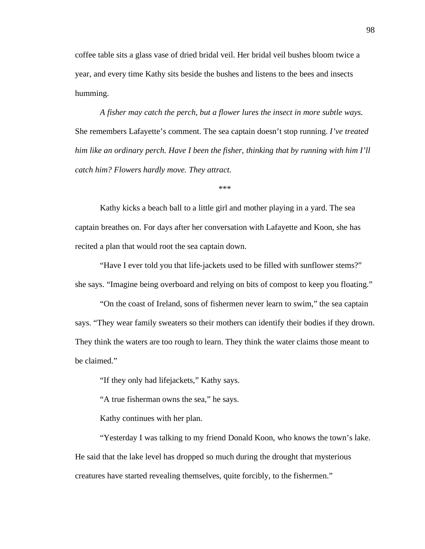coffee table sits a glass vase of dried bridal veil. Her bridal veil bushes bloom twice a year, and every time Kathy sits beside the bushes and listens to the bees and insects humming.

*A fisher may catch the perch*, *but a flower lures the insect in more subtle ways.* She remembers Lafayette's comment. The sea captain doesn't stop running. *I've treated him like an ordinary perch. Have I been the fisher, thinking that by running with him I'll catch him? Flowers hardly move. They attract.*

\*\*\*

Kathy kicks a beach ball to a little girl and mother playing in a yard. The sea captain breathes on. For days after her conversation with Lafayette and Koon, she has recited a plan that would root the sea captain down.

"Have I ever told you that life-jackets used to be filled with sunflower stems?" she says. "Imagine being overboard and relying on bits of compost to keep you floating."

"On the coast of Ireland, sons of fishermen never learn to swim," the sea captain says. "They wear family sweaters so their mothers can identify their bodies if they drown. They think the waters are too rough to learn. They think the water claims those meant to be claimed."

"If they only had lifejackets," Kathy says.

"A true fisherman owns the sea," he says.

Kathy continues with her plan.

"Yesterday I was talking to my friend Donald Koon, who knows the town's lake. He said that the lake level has dropped so much during the drought that mysterious creatures have started revealing themselves, quite forcibly, to the fishermen."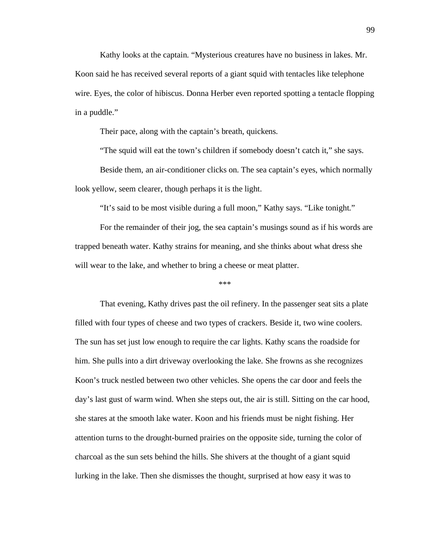Kathy looks at the captain. "Mysterious creatures have no business in lakes. Mr. Koon said he has received several reports of a giant squid with tentacles like telephone wire. Eyes, the color of hibiscus. Donna Herber even reported spotting a tentacle flopping in a puddle."

Their pace, along with the captain's breath, quickens.

"The squid will eat the town's children if somebody doesn't catch it," she says.

Beside them, an air-conditioner clicks on. The sea captain's eyes, which normally look yellow, seem clearer, though perhaps it is the light.

"It's said to be most visible during a full moon," Kathy says. "Like tonight."

For the remainder of their jog, the sea captain's musings sound as if his words are trapped beneath water. Kathy strains for meaning, and she thinks about what dress she will wear to the lake, and whether to bring a cheese or meat platter.

\*\*\*

That evening, Kathy drives past the oil refinery. In the passenger seat sits a plate filled with four types of cheese and two types of crackers. Beside it, two wine coolers. The sun has set just low enough to require the car lights. Kathy scans the roadside for him. She pulls into a dirt driveway overlooking the lake. She frowns as she recognizes Koon's truck nestled between two other vehicles. She opens the car door and feels the day's last gust of warm wind. When she steps out, the air is still. Sitting on the car hood, she stares at the smooth lake water. Koon and his friends must be night fishing. Her attention turns to the drought-burned prairies on the opposite side, turning the color of charcoal as the sun sets behind the hills. She shivers at the thought of a giant squid lurking in the lake. Then she dismisses the thought, surprised at how easy it was to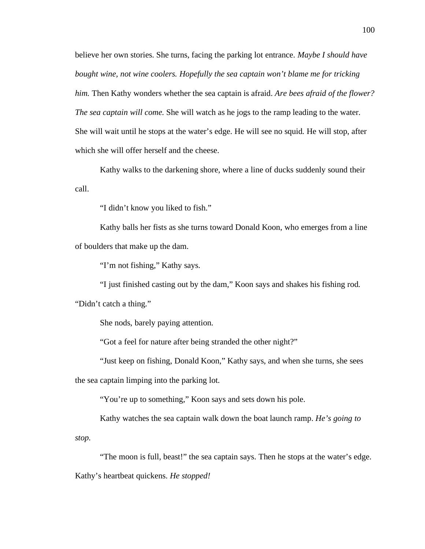believe her own stories. She turns, facing the parking lot entrance. *Maybe I should have bought wine, not wine coolers. Hopefully the sea captain won't blame me for tricking him.* Then Kathy wonders whether the sea captain is afraid. *Are bees afraid of the flower? The sea captain will come.* She will watch as he jogs to the ramp leading to the water. She will wait until he stops at the water's edge. He will see no squid. He will stop, after which she will offer herself and the cheese.

Kathy walks to the darkening shore, where a line of ducks suddenly sound their call.

"I didn't know you liked to fish."

Kathy balls her fists as she turns toward Donald Koon, who emerges from a line of boulders that make up the dam.

"I'm not fishing," Kathy says.

"I just finished casting out by the dam," Koon says and shakes his fishing rod.

"Didn't catch a thing."

She nods, barely paying attention.

"Got a feel for nature after being stranded the other night?"

"Just keep on fishing, Donald Koon," Kathy says, and when she turns, she sees

the sea captain limping into the parking lot.

"You're up to something," Koon says and sets down his pole.

Kathy watches the sea captain walk down the boat launch ramp. *He's going to* 

*stop.* 

"The moon is full, beast!" the sea captain says. Then he stops at the water's edge. Kathy's heartbeat quickens. *He stopped!*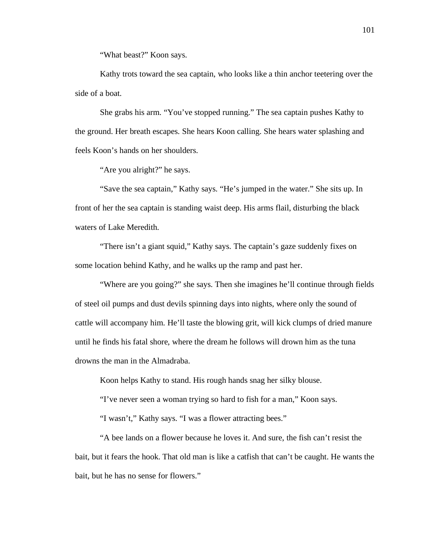"What beast?" Koon says.

Kathy trots toward the sea captain, who looks like a thin anchor teetering over the side of a boat.

She grabs his arm. "You've stopped running." The sea captain pushes Kathy to the ground. Her breath escapes. She hears Koon calling. She hears water splashing and feels Koon's hands on her shoulders.

"Are you alright?" he says.

"Save the sea captain," Kathy says. "He's jumped in the water." She sits up. In front of her the sea captain is standing waist deep. His arms flail, disturbing the black waters of Lake Meredith.

"There isn't a giant squid," Kathy says. The captain's gaze suddenly fixes on some location behind Kathy, and he walks up the ramp and past her.

"Where are you going?" she says. Then she imagines he'll continue through fields of steel oil pumps and dust devils spinning days into nights, where only the sound of cattle will accompany him. He'll taste the blowing grit, will kick clumps of dried manure until he finds his fatal shore, where the dream he follows will drown him as the tuna drowns the man in the Almadraba.

Koon helps Kathy to stand. His rough hands snag her silky blouse.

"I've never seen a woman trying so hard to fish for a man," Koon says.

"I wasn't," Kathy says. "I was a flower attracting bees."

"A bee lands on a flower because he loves it. And sure, the fish can't resist the bait, but it fears the hook. That old man is like a catfish that can't be caught. He wants the bait, but he has no sense for flowers."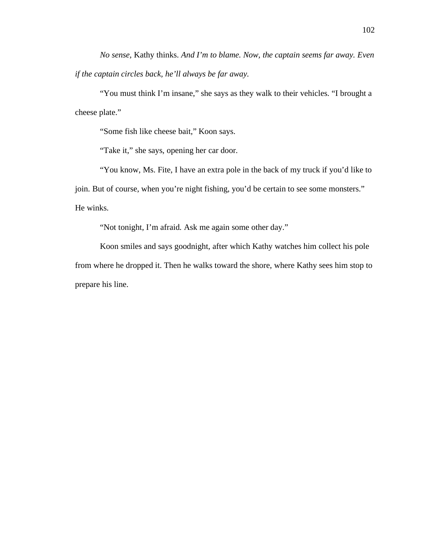*No sense,* Kathy thinks. *And I'm to blame. Now, the captain seems far away. Even if the captain circles back, he'll always be far away.*

"You must think I'm insane," she says as they walk to their vehicles. "I brought a cheese plate."

"Some fish like cheese bait," Koon says.

"Take it," she says, opening her car door.

"You know, Ms. Fite, I have an extra pole in the back of my truck if you'd like to join. But of course, when you're night fishing, you'd be certain to see some monsters." He winks.

"Not tonight, I'm afraid. Ask me again some other day."

Koon smiles and says goodnight, after which Kathy watches him collect his pole from where he dropped it. Then he walks toward the shore, where Kathy sees him stop to prepare his line.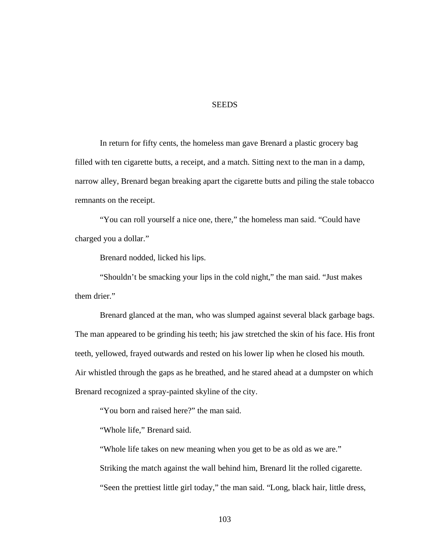## **SEEDS**

In return for fifty cents, the homeless man gave Brenard a plastic grocery bag filled with ten cigarette butts, a receipt, and a match. Sitting next to the man in a damp, narrow alley, Brenard began breaking apart the cigarette butts and piling the stale tobacco remnants on the receipt.

"You can roll yourself a nice one, there," the homeless man said. "Could have charged you a dollar."

Brenard nodded, licked his lips.

"Shouldn't be smacking your lips in the cold night," the man said. "Just makes them drier."

Brenard glanced at the man, who was slumped against several black garbage bags. The man appeared to be grinding his teeth; his jaw stretched the skin of his face. His front teeth, yellowed, frayed outwards and rested on his lower lip when he closed his mouth. Air whistled through the gaps as he breathed, and he stared ahead at a dumpster on which Brenard recognized a spray-painted skyline of the city.

"You born and raised here?" the man said.

"Whole life," Brenard said.

"Whole life takes on new meaning when you get to be as old as we are."

Striking the match against the wall behind him, Brenard lit the rolled cigarette.

"Seen the prettiest little girl today," the man said. "Long, black hair, little dress,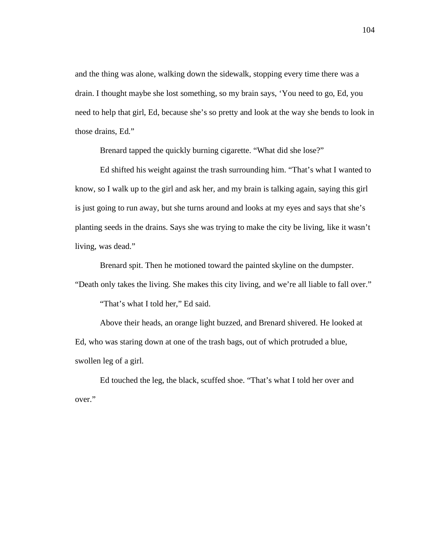and the thing was alone, walking down the sidewalk, stopping every time there was a drain. I thought maybe she lost something, so my brain says, 'You need to go, Ed, you need to help that girl, Ed, because she's so pretty and look at the way she bends to look in those drains, Ed."

Brenard tapped the quickly burning cigarette. "What did she lose?"

Ed shifted his weight against the trash surrounding him. "That's what I wanted to know, so I walk up to the girl and ask her, and my brain is talking again, saying this girl is just going to run away, but she turns around and looks at my eyes and says that she's planting seeds in the drains. Says she was trying to make the city be living, like it wasn't living, was dead."

Brenard spit. Then he motioned toward the painted skyline on the dumpster.

"Death only takes the living. She makes this city living, and we're all liable to fall over."

"That's what I told her," Ed said.

Above their heads, an orange light buzzed, and Brenard shivered. He looked at Ed, who was staring down at one of the trash bags, out of which protruded a blue, swollen leg of a girl.

Ed touched the leg, the black, scuffed shoe. "That's what I told her over and over."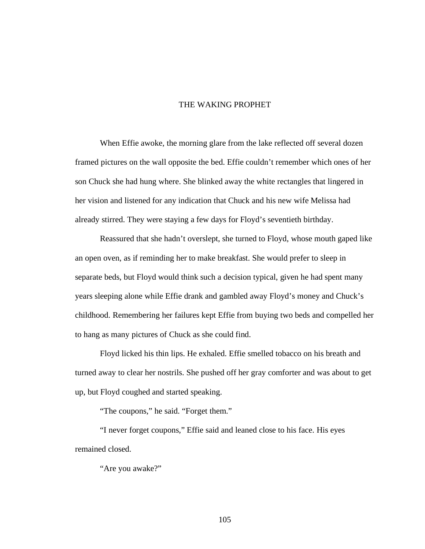## THE WAKING PROPHET

When Effie awoke, the morning glare from the lake reflected off several dozen framed pictures on the wall opposite the bed. Effie couldn't remember which ones of her son Chuck she had hung where. She blinked away the white rectangles that lingered in her vision and listened for any indication that Chuck and his new wife Melissa had already stirred. They were staying a few days for Floyd's seventieth birthday.

Reassured that she hadn't overslept, she turned to Floyd, whose mouth gaped like an open oven, as if reminding her to make breakfast. She would prefer to sleep in separate beds, but Floyd would think such a decision typical, given he had spent many years sleeping alone while Effie drank and gambled away Floyd's money and Chuck's childhood. Remembering her failures kept Effie from buying two beds and compelled her to hang as many pictures of Chuck as she could find.

Floyd licked his thin lips. He exhaled. Effie smelled tobacco on his breath and turned away to clear her nostrils. She pushed off her gray comforter and was about to get up, but Floyd coughed and started speaking.

"The coupons," he said. "Forget them."

"I never forget coupons," Effie said and leaned close to his face. His eyes remained closed.

"Are you awake?"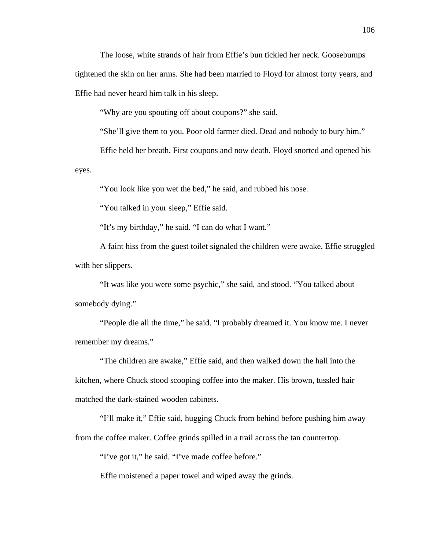The loose, white strands of hair from Effie's bun tickled her neck. Goosebumps tightened the skin on her arms. She had been married to Floyd for almost forty years, and Effie had never heard him talk in his sleep.

"Why are you spouting off about coupons?" she said.

"She'll give them to you. Poor old farmer died. Dead and nobody to bury him."

Effie held her breath. First coupons and now death. Floyd snorted and opened his

eyes.

"You look like you wet the bed," he said, and rubbed his nose.

"You talked in your sleep," Effie said.

"It's my birthday," he said. "I can do what I want."

A faint hiss from the guest toilet signaled the children were awake. Effie struggled with her slippers.

"It was like you were some psychic," she said, and stood. "You talked about somebody dying."

"People die all the time," he said. "I probably dreamed it. You know me. I never remember my dreams."

"The children are awake," Effie said, and then walked down the hall into the kitchen, where Chuck stood scooping coffee into the maker. His brown, tussled hair matched the dark-stained wooden cabinets.

"I'll make it," Effie said, hugging Chuck from behind before pushing him away from the coffee maker. Coffee grinds spilled in a trail across the tan countertop.

"I've got it," he said. "I've made coffee before."

Effie moistened a paper towel and wiped away the grinds.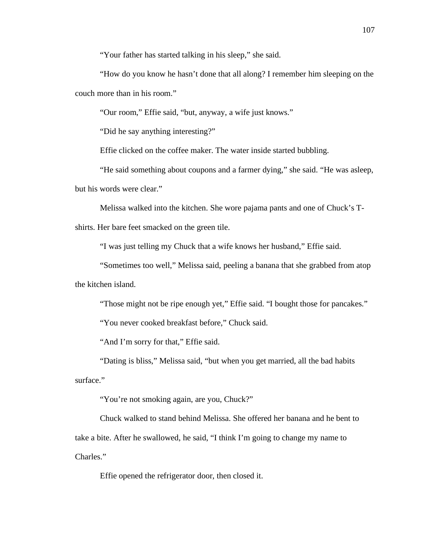"Your father has started talking in his sleep," she said.

"How do you know he hasn't done that all along? I remember him sleeping on the couch more than in his room."

"Our room," Effie said, "but, anyway, a wife just knows."

"Did he say anything interesting?"

Effie clicked on the coffee maker. The water inside started bubbling.

"He said something about coupons and a farmer dying," she said. "He was asleep, but his words were clear."

Melissa walked into the kitchen. She wore pajama pants and one of Chuck's T-

shirts. Her bare feet smacked on the green tile.

"I was just telling my Chuck that a wife knows her husband," Effie said.

"Sometimes too well," Melissa said, peeling a banana that she grabbed from atop the kitchen island.

"Those might not be ripe enough yet," Effie said. "I bought those for pancakes."

"You never cooked breakfast before," Chuck said.

"And I'm sorry for that," Effie said.

"Dating is bliss," Melissa said, "but when you get married, all the bad habits surface."

"You're not smoking again, are you, Chuck?"

Chuck walked to stand behind Melissa. She offered her banana and he bent to take a bite. After he swallowed, he said, "I think I'm going to change my name to Charles."

Effie opened the refrigerator door, then closed it.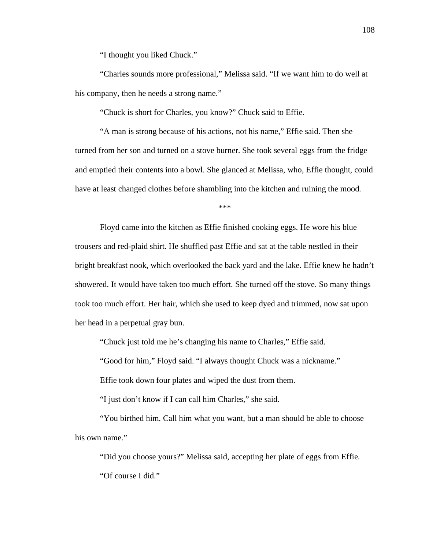"I thought you liked Chuck."

"Charles sounds more professional," Melissa said. "If we want him to do well at his company, then he needs a strong name."

"Chuck is short for Charles, you know?" Chuck said to Effie.

"A man is strong because of his actions, not his name," Effie said. Then she turned from her son and turned on a stove burner. She took several eggs from the fridge and emptied their contents into a bowl. She glanced at Melissa, who, Effie thought, could have at least changed clothes before shambling into the kitchen and ruining the mood.

\*\*\*

Floyd came into the kitchen as Effie finished cooking eggs. He wore his blue trousers and red-plaid shirt. He shuffled past Effie and sat at the table nestled in their bright breakfast nook, which overlooked the back yard and the lake. Effie knew he hadn't showered. It would have taken too much effort. She turned off the stove. So many things took too much effort. Her hair, which she used to keep dyed and trimmed, now sat upon her head in a perpetual gray bun.

"Chuck just told me he's changing his name to Charles," Effie said.

"Good for him," Floyd said. "I always thought Chuck was a nickname."

Effie took down four plates and wiped the dust from them.

"I just don't know if I can call him Charles," she said.

"You birthed him. Call him what you want, but a man should be able to choose his own name."

"Did you choose yours?" Melissa said, accepting her plate of eggs from Effie. "Of course I did."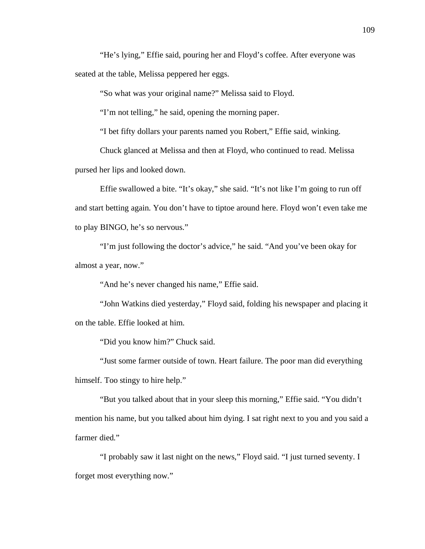"He's lying," Effie said, pouring her and Floyd's coffee. After everyone was seated at the table, Melissa peppered her eggs.

"So what was your original name?" Melissa said to Floyd.

"I'm not telling," he said, opening the morning paper.

"I bet fifty dollars your parents named you Robert," Effie said, winking.

Chuck glanced at Melissa and then at Floyd, who continued to read. Melissa

pursed her lips and looked down.

Effie swallowed a bite. "It's okay," she said. "It's not like I'm going to run off and start betting again. You don't have to tiptoe around here. Floyd won't even take me to play BINGO, he's so nervous."

"I'm just following the doctor's advice," he said. "And you've been okay for almost a year, now."

"And he's never changed his name," Effie said.

"John Watkins died yesterday," Floyd said, folding his newspaper and placing it on the table. Effie looked at him.

"Did you know him?" Chuck said.

"Just some farmer outside of town. Heart failure. The poor man did everything himself. Too stingy to hire help."

"But you talked about that in your sleep this morning," Effie said. "You didn't mention his name, but you talked about him dying. I sat right next to you and you said a farmer died."

"I probably saw it last night on the news," Floyd said. "I just turned seventy. I forget most everything now."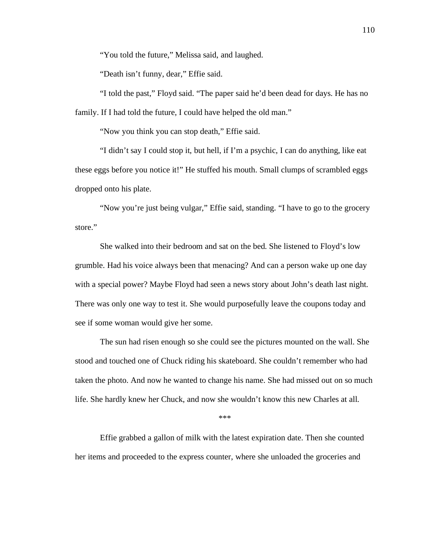"You told the future," Melissa said, and laughed.

"Death isn't funny, dear," Effie said.

"I told the past," Floyd said. "The paper said he'd been dead for days. He has no family. If I had told the future, I could have helped the old man."

"Now you think you can stop death," Effie said.

"I didn't say I could stop it, but hell, if I'm a psychic, I can do anything, like eat these eggs before you notice it!" He stuffed his mouth. Small clumps of scrambled eggs dropped onto his plate.

"Now you're just being vulgar," Effie said, standing. "I have to go to the grocery store."

She walked into their bedroom and sat on the bed. She listened to Floyd's low grumble. Had his voice always been that menacing? And can a person wake up one day with a special power? Maybe Floyd had seen a news story about John's death last night. There was only one way to test it. She would purposefully leave the coupons today and see if some woman would give her some.

The sun had risen enough so she could see the pictures mounted on the wall. She stood and touched one of Chuck riding his skateboard. She couldn't remember who had taken the photo. And now he wanted to change his name. She had missed out on so much life. She hardly knew her Chuck, and now she wouldn't know this new Charles at all.

\*\*\*

Effie grabbed a gallon of milk with the latest expiration date. Then she counted her items and proceeded to the express counter, where she unloaded the groceries and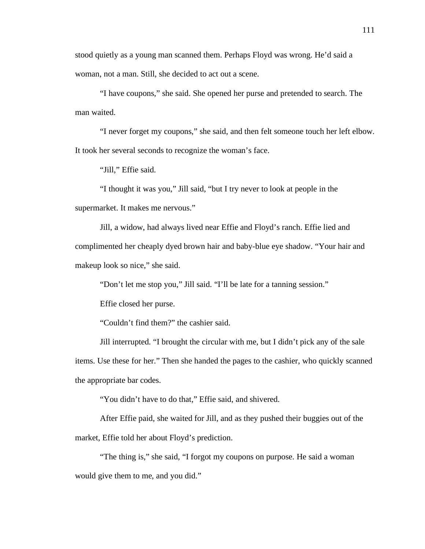stood quietly as a young man scanned them. Perhaps Floyd was wrong. He'd said a woman, not a man. Still, she decided to act out a scene.

"I have coupons," she said. She opened her purse and pretended to search. The man waited.

"I never forget my coupons," she said, and then felt someone touch her left elbow. It took her several seconds to recognize the woman's face.

"Jill," Effie said.

"I thought it was you," Jill said, "but I try never to look at people in the supermarket. It makes me nervous."

Jill, a widow, had always lived near Effie and Floyd's ranch. Effie lied and complimented her cheaply dyed brown hair and baby-blue eye shadow. "Your hair and makeup look so nice," she said.

"Don't let me stop you," Jill said. "I'll be late for a tanning session."

Effie closed her purse.

"Couldn't find them?" the cashier said.

Jill interrupted. "I brought the circular with me, but I didn't pick any of the sale items. Use these for her." Then she handed the pages to the cashier, who quickly scanned the appropriate bar codes.

"You didn't have to do that," Effie said, and shivered.

After Effie paid, she waited for Jill, and as they pushed their buggies out of the market, Effie told her about Floyd's prediction.

"The thing is," she said, "I forgot my coupons on purpose. He said a woman would give them to me, and you did."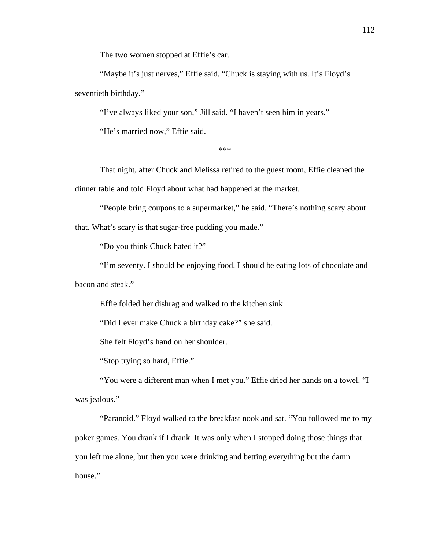The two women stopped at Effie's car.

"Maybe it's just nerves," Effie said. "Chuck is staying with us. It's Floyd's seventieth birthday."

"I've always liked your son," Jill said. "I haven't seen him in years."

"He's married now," Effie said.

\*\*\*

That night, after Chuck and Melissa retired to the guest room, Effie cleaned the dinner table and told Floyd about what had happened at the market.

"People bring coupons to a supermarket," he said. "There's nothing scary about that. What's scary is that sugar-free pudding you made."

"Do you think Chuck hated it?"

"I'm seventy. I should be enjoying food. I should be eating lots of chocolate and bacon and steak."

Effie folded her dishrag and walked to the kitchen sink.

"Did I ever make Chuck a birthday cake?" she said.

She felt Floyd's hand on her shoulder.

"Stop trying so hard, Effie."

"You were a different man when I met you." Effie dried her hands on a towel. "I was jealous."

"Paranoid." Floyd walked to the breakfast nook and sat. "You followed me to my poker games. You drank if I drank. It was only when I stopped doing those things that you left me alone, but then you were drinking and betting everything but the damn house."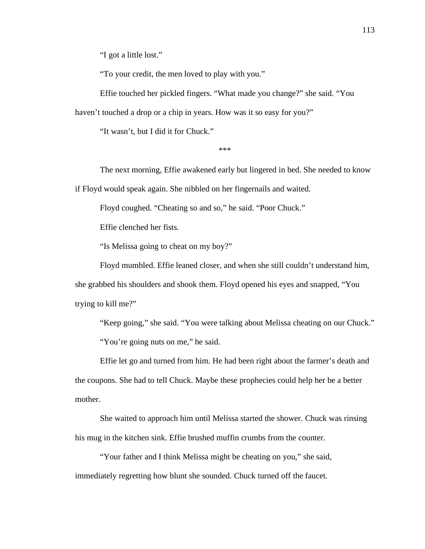"I got a little lost."

"To your credit, the men loved to play with you."

Effie touched her pickled fingers. "What made you change?" she said. "You haven't touched a drop or a chip in years. How was it so easy for you?"

"It wasn't, but I did it for Chuck."

\*\*\*

The next morning, Effie awakened early but lingered in bed. She needed to know if Floyd would speak again. She nibbled on her fingernails and waited.

Floyd coughed. "Cheating so and so," he said. "Poor Chuck."

Effie clenched her fists.

"Is Melissa going to cheat on my boy?"

Floyd mumbled. Effie leaned closer, and when she still couldn't understand him, she grabbed his shoulders and shook them. Floyd opened his eyes and snapped, "You trying to kill me?"

"Keep going," she said. "You were talking about Melissa cheating on our Chuck." "You're going nuts on me," he said.

Effie let go and turned from him. He had been right about the farmer's death and the coupons. She had to tell Chuck. Maybe these prophecies could help her be a better mother.

She waited to approach him until Melissa started the shower. Chuck was rinsing his mug in the kitchen sink. Effie brushed muffin crumbs from the counter.

"Your father and I think Melissa might be cheating on you," she said, immediately regretting how blunt she sounded. Chuck turned off the faucet.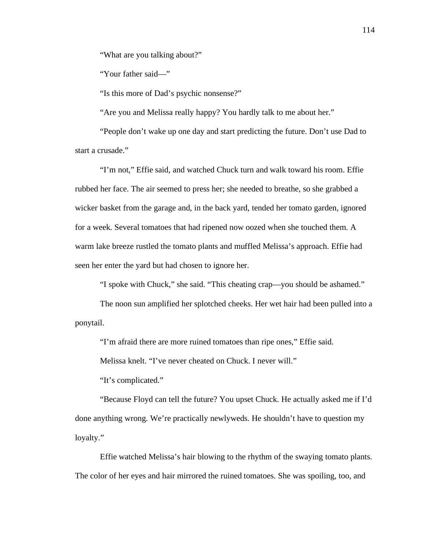"What are you talking about?"

"Your father said—"

"Is this more of Dad's psychic nonsense?"

"Are you and Melissa really happy? You hardly talk to me about her."

"People don't wake up one day and start predicting the future. Don't use Dad to start a crusade."

"I'm not," Effie said, and watched Chuck turn and walk toward his room. Effie rubbed her face. The air seemed to press her; she needed to breathe, so she grabbed a wicker basket from the garage and, in the back yard, tended her tomato garden, ignored for a week. Several tomatoes that had ripened now oozed when she touched them. A warm lake breeze rustled the tomato plants and muffled Melissa's approach. Effie had seen her enter the yard but had chosen to ignore her.

"I spoke with Chuck," she said. "This cheating crap—you should be ashamed."

The noon sun amplified her splotched cheeks. Her wet hair had been pulled into a ponytail.

"I'm afraid there are more ruined tomatoes than ripe ones," Effie said.

Melissa knelt. "I've never cheated on Chuck. I never will."

"It's complicated."

"Because Floyd can tell the future? You upset Chuck. He actually asked me if I'd done anything wrong. We're practically newlyweds. He shouldn't have to question my loyalty."

Effie watched Melissa's hair blowing to the rhythm of the swaying tomato plants. The color of her eyes and hair mirrored the ruined tomatoes. She was spoiling, too, and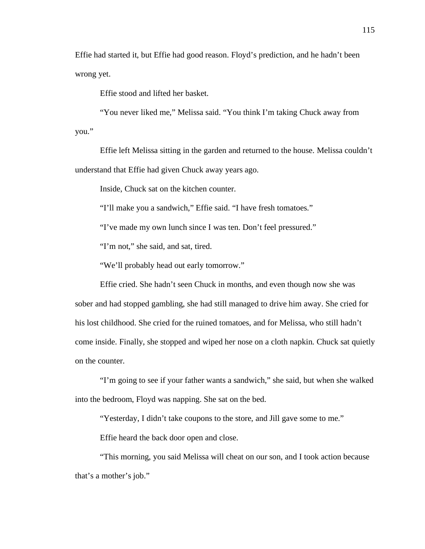Effie had started it, but Effie had good reason. Floyd's prediction, and he hadn't been wrong yet.

Effie stood and lifted her basket.

"You never liked me," Melissa said. "You think I'm taking Chuck away from you."

Effie left Melissa sitting in the garden and returned to the house. Melissa couldn't understand that Effie had given Chuck away years ago.

Inside, Chuck sat on the kitchen counter.

"I'll make you a sandwich," Effie said. "I have fresh tomatoes."

"I've made my own lunch since I was ten. Don't feel pressured."

"I'm not," she said, and sat, tired.

"We'll probably head out early tomorrow."

Effie cried. She hadn't seen Chuck in months, and even though now she was sober and had stopped gambling, she had still managed to drive him away. She cried for his lost childhood. She cried for the ruined tomatoes, and for Melissa, who still hadn't come inside. Finally, she stopped and wiped her nose on a cloth napkin. Chuck sat quietly on the counter.

"I'm going to see if your father wants a sandwich," she said, but when she walked into the bedroom, Floyd was napping. She sat on the bed.

"Yesterday, I didn't take coupons to the store, and Jill gave some to me."

Effie heard the back door open and close.

"This morning, you said Melissa will cheat on our son, and I took action because that's a mother's job."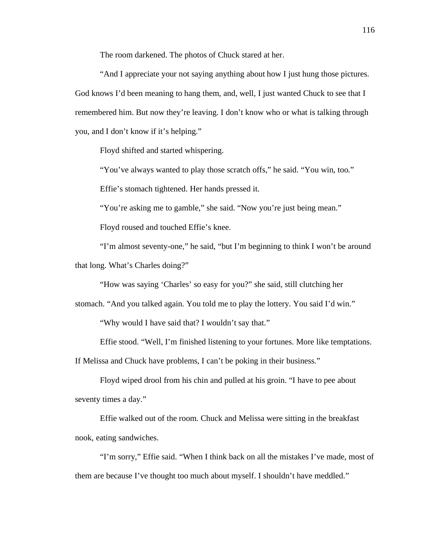The room darkened. The photos of Chuck stared at her.

"And I appreciate your not saying anything about how I just hung those pictures. God knows I'd been meaning to hang them, and, well, I just wanted Chuck to see that I remembered him. But now they're leaving. I don't know who or what is talking through you, and I don't know if it's helping."

Floyd shifted and started whispering.

"You've always wanted to play those scratch offs," he said. "You win, too."

Effie's stomach tightened. Her hands pressed it.

"You're asking me to gamble," she said. "Now you're just being mean."

Floyd roused and touched Effie's knee.

"I'm almost seventy-one," he said, "but I'm beginning to think I won't be around that long. What's Charles doing?"

"How was saying 'Charles' so easy for you?" she said, still clutching her

stomach. "And you talked again. You told me to play the lottery. You said I'd win."

"Why would I have said that? I wouldn't say that."

Effie stood. "Well, I'm finished listening to your fortunes. More like temptations.

If Melissa and Chuck have problems, I can't be poking in their business."

Floyd wiped drool from his chin and pulled at his groin. "I have to pee about seventy times a day."

Effie walked out of the room. Chuck and Melissa were sitting in the breakfast nook, eating sandwiches.

"I'm sorry," Effie said. "When I think back on all the mistakes I've made, most of them are because I've thought too much about myself. I shouldn't have meddled."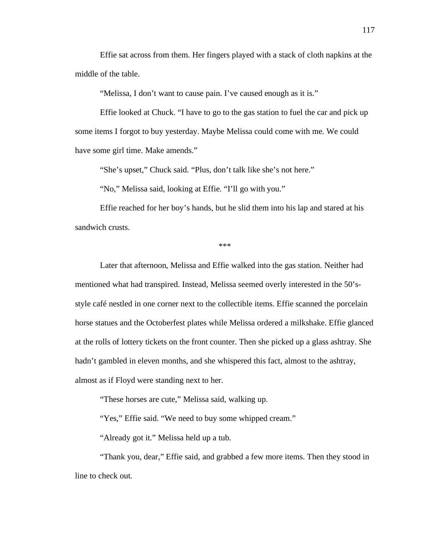Effie sat across from them. Her fingers played with a stack of cloth napkins at the middle of the table.

"Melissa, I don't want to cause pain. I've caused enough as it is."

Effie looked at Chuck. "I have to go to the gas station to fuel the car and pick up some items I forgot to buy yesterday. Maybe Melissa could come with me. We could have some girl time. Make amends."

"She's upset," Chuck said. "Plus, don't talk like she's not here."

"No," Melissa said, looking at Effie. "I'll go with you."

Effie reached for her boy's hands, but he slid them into his lap and stared at his sandwich crusts.

\*\*\*

Later that afternoon, Melissa and Effie walked into the gas station. Neither had mentioned what had transpired. Instead, Melissa seemed overly interested in the 50'sstyle café nestled in one corner next to the collectible items. Effie scanned the porcelain horse statues and the Octoberfest plates while Melissa ordered a milkshake. Effie glanced at the rolls of lottery tickets on the front counter. Then she picked up a glass ashtray. She hadn't gambled in eleven months, and she whispered this fact, almost to the ashtray, almost as if Floyd were standing next to her.

"These horses are cute," Melissa said, walking up.

"Yes," Effie said. "We need to buy some whipped cream."

"Already got it." Melissa held up a tub.

"Thank you, dear," Effie said, and grabbed a few more items. Then they stood in line to check out.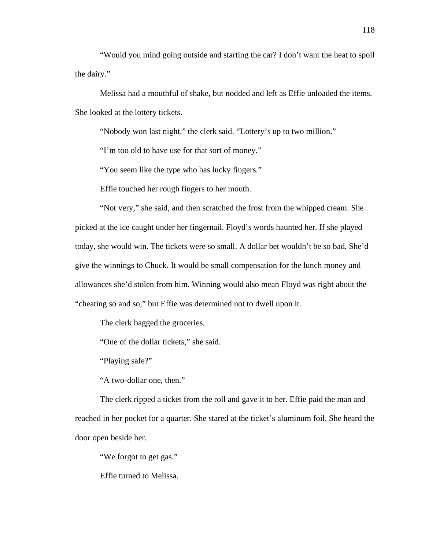"Would you mind going outside and starting the car? I don't want the heat to spoil the dairy."

Melissa had a mouthful of shake, but nodded and left as Effie unloaded the items. She looked at the lottery tickets.

"Nobody won last night," the clerk said. "Lottery's up to two million."

"I'm too old to have use for that sort of money."

"You seem like the type who has lucky fingers."

Effie touched her rough fingers to her mouth.

"Not very," she said, and then scratched the frost from the whipped cream. She picked at the ice caught under her fingernail. Floyd's words haunted her. If she played today, she would win. The tickets were so small. A dollar bet wouldn't be so bad. She'd give the winnings to Chuck. It would be small compensation for the lunch money and allowances she'd stolen from him. Winning would also mean Floyd was right about the "cheating so and so," but Effie was determined not to dwell upon it.

The clerk bagged the groceries.

"One of the dollar tickets," she said.

"Playing safe?"

"A two-dollar one, then."

The clerk ripped a ticket from the roll and gave it to her. Effie paid the man and reached in her pocket for a quarter. She stared at the ticket's aluminum foil. She heard the door open beside her.

"We forgot to get gas."

Effie turned to Melissa.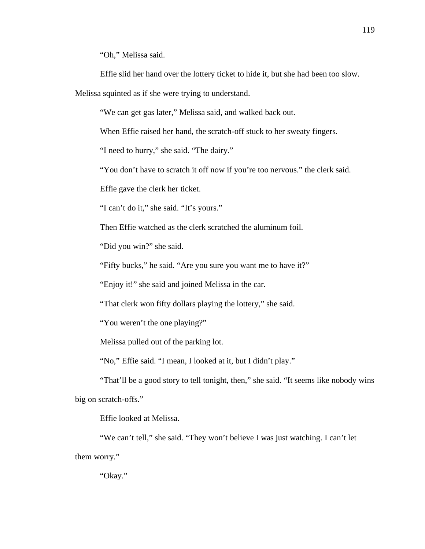"Oh," Melissa said.

Effie slid her hand over the lottery ticket to hide it, but she had been too slow.

Melissa squinted as if she were trying to understand.

"We can get gas later," Melissa said, and walked back out.

When Effie raised her hand, the scratch-off stuck to her sweaty fingers.

"I need to hurry," she said. "The dairy."

"You don't have to scratch it off now if you're too nervous." the clerk said.

Effie gave the clerk her ticket.

"I can't do it," she said. "It's yours."

Then Effie watched as the clerk scratched the aluminum foil.

"Did you win?" she said.

"Fifty bucks," he said. "Are you sure you want me to have it?"

"Enjoy it!" she said and joined Melissa in the car.

"That clerk won fifty dollars playing the lottery," she said.

"You weren't the one playing?"

Melissa pulled out of the parking lot.

"No," Effie said. "I mean, I looked at it, but I didn't play."

"That'll be a good story to tell tonight, then," she said. "It seems like nobody wins big on scratch-offs."

Effie looked at Melissa.

"We can't tell," she said. "They won't believe I was just watching. I can't let them worry."

"Okay."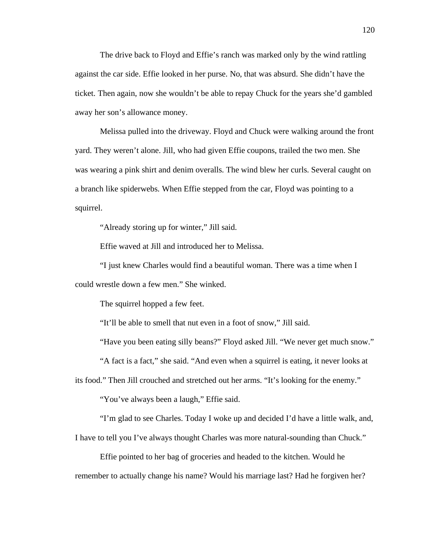The drive back to Floyd and Effie's ranch was marked only by the wind rattling against the car side. Effie looked in her purse. No, that was absurd. She didn't have the ticket. Then again, now she wouldn't be able to repay Chuck for the years she'd gambled away her son's allowance money.

Melissa pulled into the driveway. Floyd and Chuck were walking around the front yard. They weren't alone. Jill, who had given Effie coupons, trailed the two men. She was wearing a pink shirt and denim overalls. The wind blew her curls. Several caught on a branch like spiderwebs. When Effie stepped from the car, Floyd was pointing to a squirrel.

"Already storing up for winter," Jill said.

Effie waved at Jill and introduced her to Melissa.

"I just knew Charles would find a beautiful woman. There was a time when I could wrestle down a few men." She winked.

The squirrel hopped a few feet.

"It'll be able to smell that nut even in a foot of snow," Jill said.

"Have you been eating silly beans?" Floyd asked Jill. "We never get much snow."

"A fact is a fact," she said. "And even when a squirrel is eating, it never looks at

its food." Then Jill crouched and stretched out her arms. "It's looking for the enemy."

"You've always been a laugh," Effie said.

"I'm glad to see Charles. Today I woke up and decided I'd have a little walk, and,

I have to tell you I've always thought Charles was more natural-sounding than Chuck."

Effie pointed to her bag of groceries and headed to the kitchen. Would he remember to actually change his name? Would his marriage last? Had he forgiven her?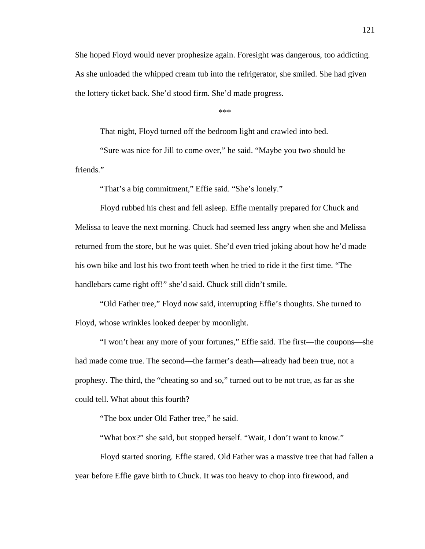She hoped Floyd would never prophesize again. Foresight was dangerous, too addicting. As she unloaded the whipped cream tub into the refrigerator, she smiled. She had given the lottery ticket back. She'd stood firm. She'd made progress.

\*\*\*

That night, Floyd turned off the bedroom light and crawled into bed.

"Sure was nice for Jill to come over," he said. "Maybe you two should be friends."

"That's a big commitment," Effie said. "She's lonely."

Floyd rubbed his chest and fell asleep. Effie mentally prepared for Chuck and Melissa to leave the next morning. Chuck had seemed less angry when she and Melissa returned from the store, but he was quiet. She'd even tried joking about how he'd made his own bike and lost his two front teeth when he tried to ride it the first time. "The handlebars came right off!" she'd said. Chuck still didn't smile.

"Old Father tree," Floyd now said, interrupting Effie's thoughts. She turned to Floyd, whose wrinkles looked deeper by moonlight.

"I won't hear any more of your fortunes," Effie said. The first—the coupons—she had made come true. The second—the farmer's death—already had been true, not a prophesy. The third, the "cheating so and so," turned out to be not true, as far as she could tell. What about this fourth?

"The box under Old Father tree," he said.

"What box?" she said, but stopped herself. "Wait, I don't want to know."

Floyd started snoring. Effie stared. Old Father was a massive tree that had fallen a year before Effie gave birth to Chuck. It was too heavy to chop into firewood, and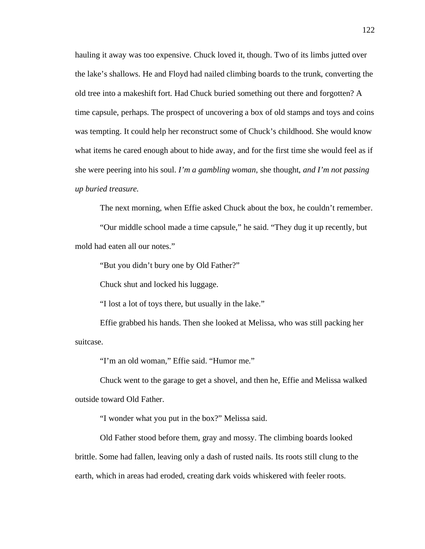hauling it away was too expensive. Chuck loved it, though. Two of its limbs jutted over the lake's shallows. He and Floyd had nailed climbing boards to the trunk, converting the old tree into a makeshift fort. Had Chuck buried something out there and forgotten? A time capsule, perhaps. The prospect of uncovering a box of old stamps and toys and coins was tempting. It could help her reconstruct some of Chuck's childhood. She would know what items he cared enough about to hide away, and for the first time she would feel as if she were peering into his soul. *I'm a gambling woman*, she thought, *and I'm not passing up buried treasure.*

The next morning, when Effie asked Chuck about the box, he couldn't remember.

"Our middle school made a time capsule," he said. "They dug it up recently, but mold had eaten all our notes."

"But you didn't bury one by Old Father?"

Chuck shut and locked his luggage.

"I lost a lot of toys there, but usually in the lake."

Effie grabbed his hands. Then she looked at Melissa, who was still packing her suitcase.

"I'm an old woman," Effie said. "Humor me."

Chuck went to the garage to get a shovel, and then he, Effie and Melissa walked outside toward Old Father.

"I wonder what you put in the box?" Melissa said.

Old Father stood before them, gray and mossy. The climbing boards looked brittle. Some had fallen, leaving only a dash of rusted nails. Its roots still clung to the earth, which in areas had eroded, creating dark voids whiskered with feeler roots.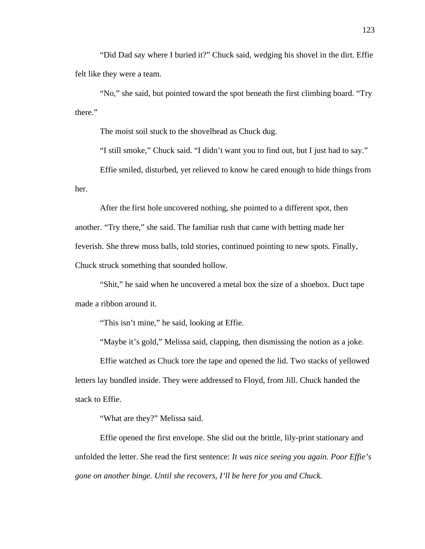"Did Dad say where I buried it?" Chuck said, wedging his shovel in the dirt. Effie felt like they were a team.

"No," she said, but pointed toward the spot beneath the first climbing board. "Try there."

The moist soil stuck to the shovelhead as Chuck dug.

"I still smoke," Chuck said. "I didn't want you to find out, but I just had to say."

Effie smiled, disturbed, yet relieved to know he cared enough to hide things from her.

After the first hole uncovered nothing, she pointed to a different spot, then another. "Try there," she said. The familiar rush that came with betting made her feverish. She threw moss balls, told stories, continued pointing to new spots. Finally, Chuck struck something that sounded hollow.

"Shit," he said when he uncovered a metal box the size of a shoebox. Duct tape made a ribbon around it.

"This isn't mine," he said, looking at Effie.

"Maybe it's gold," Melissa said, clapping, then dismissing the notion as a joke.

Effie watched as Chuck tore the tape and opened the lid. Two stacks of yellowed letters lay bundled inside. They were addressed to Floyd, from Jill. Chuck handed the stack to Effie.

"What are they?" Melissa said.

Effie opened the first envelope. She slid out the brittle, lily-print stationary and unfolded the letter. She read the first sentence: *It was nice seeing you again. Poor Effie's gone on another binge. Until she recovers, I'll be here for you and Chuck.*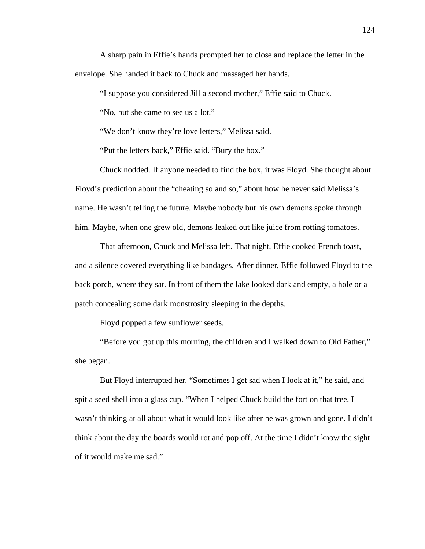A sharp pain in Effie's hands prompted her to close and replace the letter in the envelope. She handed it back to Chuck and massaged her hands.

"I suppose you considered Jill a second mother," Effie said to Chuck.

"No, but she came to see us a lot."

"We don't know they're love letters," Melissa said.

"Put the letters back," Effie said. "Bury the box."

Chuck nodded. If anyone needed to find the box, it was Floyd. She thought about Floyd's prediction about the "cheating so and so," about how he never said Melissa's name. He wasn't telling the future. Maybe nobody but his own demons spoke through him. Maybe, when one grew old, demons leaked out like juice from rotting tomatoes.

That afternoon, Chuck and Melissa left. That night, Effie cooked French toast, and a silence covered everything like bandages. After dinner, Effie followed Floyd to the back porch, where they sat. In front of them the lake looked dark and empty, a hole or a patch concealing some dark monstrosity sleeping in the depths.

Floyd popped a few sunflower seeds.

"Before you got up this morning, the children and I walked down to Old Father," she began.

But Floyd interrupted her. "Sometimes I get sad when I look at it," he said, and spit a seed shell into a glass cup. "When I helped Chuck build the fort on that tree, I wasn't thinking at all about what it would look like after he was grown and gone. I didn't think about the day the boards would rot and pop off. At the time I didn't know the sight of it would make me sad."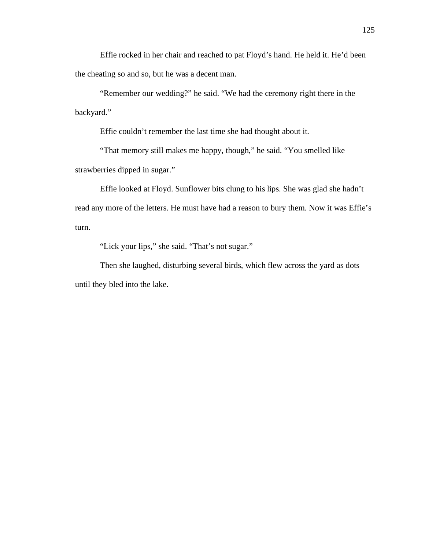Effie rocked in her chair and reached to pat Floyd's hand. He held it. He'd been the cheating so and so, but he was a decent man.

"Remember our wedding?" he said. "We had the ceremony right there in the backyard."

Effie couldn't remember the last time she had thought about it.

"That memory still makes me happy, though," he said. "You smelled like strawberries dipped in sugar."

Effie looked at Floyd. Sunflower bits clung to his lips. She was glad she hadn't read any more of the letters. He must have had a reason to bury them. Now it was Effie's turn.

"Lick your lips," she said. "That's not sugar."

Then she laughed, disturbing several birds, which flew across the yard as dots until they bled into the lake.